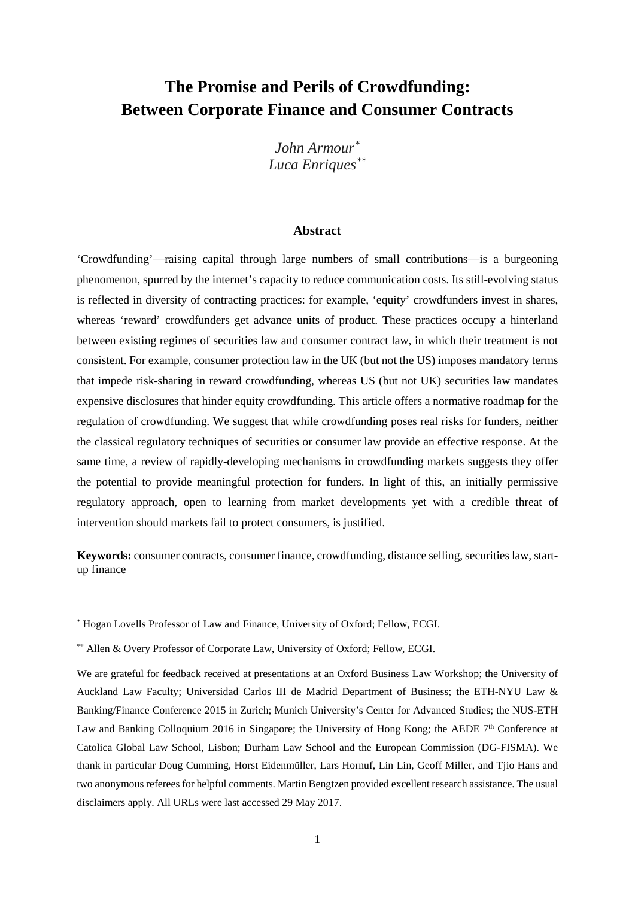# **The Promise and Perils of Crowdfunding: Between Corporate Finance and Consumer Contracts**

*John Armour[\\*](#page-0-0) Luca Enrique[s\\*\\*](#page-0-1)*

#### **Abstract**

'Crowdfunding'—raising capital through large numbers of small contributions—is a burgeoning phenomenon, spurred by the internet's capacity to reduce communication costs. Its still-evolving status is reflected in diversity of contracting practices: for example, 'equity' crowdfunders invest in shares, whereas 'reward' crowdfunders get advance units of product. These practices occupy a hinterland between existing regimes of securities law and consumer contract law, in which their treatment is not consistent. For example, consumer protection law in the UK (but not the US) imposes mandatory terms that impede risk-sharing in reward crowdfunding, whereas US (but not UK) securities law mandates expensive disclosures that hinder equity crowdfunding. This article offers a normative roadmap for the regulation of crowdfunding. We suggest that while crowdfunding poses real risks for funders, neither the classical regulatory techniques of securities or consumer law provide an effective response. At the same time, a review of rapidly-developing mechanisms in crowdfunding markets suggests they offer the potential to provide meaningful protection for funders. In light of this, an initially permissive regulatory approach, open to learning from market developments yet with a credible threat of intervention should markets fail to protect consumers, is justified.

**Keywords:** consumer contracts, consumer finance, crowdfunding, distance selling, securities law, startup finance

<span id="page-0-0"></span><sup>\*</sup> Hogan Lovells Professor of Law and Finance, University of Oxford; Fellow, ECGI.

<span id="page-0-1"></span><sup>\*\*</sup> Allen & Overy Professor of Corporate Law, University of Oxford; Fellow, ECGI.

We are grateful for feedback received at presentations at an Oxford Business Law Workshop; the University of Auckland Law Faculty; Universidad Carlos III de Madrid Department of Business; the ETH-NYU Law & Banking/Finance Conference 2015 in Zurich; Munich University's Center for Advanced Studies; the NUS-ETH Law and Banking Colloquium 2016 in Singapore; the University of Hong Kong; the AEDE  $7<sup>th</sup>$  Conference at Catolica Global Law School, Lisbon; Durham Law School and the European Commission (DG-FISMA). We thank in particular Doug Cumming, Horst Eidenmüller, Lars Hornuf, Lin Lin, Geoff Miller, and Tjio Hans and two anonymous referees for helpful comments. Martin Bengtzen provided excellent research assistance. The usual disclaimers apply. All URLs were last accessed 29 May 2017.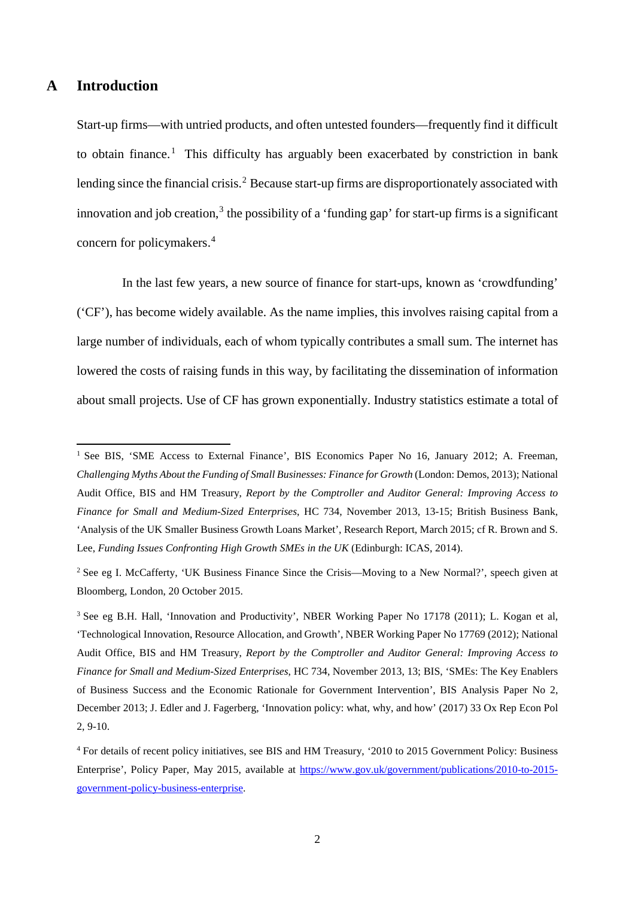## **A Introduction**

**.** 

<span id="page-1-4"></span>Start-up firms—with untried products, and often untested founders—frequently find it difficult to obtain finance.<sup>[1](#page-1-0)</sup> This difficulty has arguably been exacerbated by constriction in bank lending since the financial crisis.<sup>[2](#page-1-1)</sup> Because start-up firms are disproportionately associated with innovation and job creation,<sup>[3](#page-1-2)</sup> the possibility of a 'funding gap' for start-up firms is a significant concern for policymakers. [4](#page-1-3)

In the last few years, a new source of finance for start-ups, known as 'crowdfunding' ('CF'), has become widely available. As the name implies, this involves raising capital from a large number of individuals, each of whom typically contributes a small sum. The internet has lowered the costs of raising funds in this way, by facilitating the dissemination of information about small projects. Use of CF has grown exponentially. Industry statistics estimate a total of

<span id="page-1-0"></span><sup>&</sup>lt;sup>1</sup> See BIS, 'SME Access to External Finance', BIS Economics Paper No 16, January 2012; A. Freeman, *Challenging Myths About the Funding of Small Businesses: Finance for Growth* (London: Demos, 2013); National Audit Office, BIS and HM Treasury, *Report by the Comptroller and Auditor General: Improving Access to Finance for Small and Medium-Sized Enterprises*, HC 734, November 2013, 13-15; British Business Bank, 'Analysis of the UK Smaller Business Growth Loans Market', Research Report, March 2015; cf R. Brown and S. Lee, *Funding Issues Confronting High Growth SMEs in the UK* (Edinburgh: ICAS, 2014).

<span id="page-1-1"></span><sup>2</sup> See eg I. McCafferty, 'UK Business Finance Since the Crisis—Moving to a New Normal?', speech given at Bloomberg, London, 20 October 2015.

<span id="page-1-2"></span><sup>&</sup>lt;sup>3</sup> See eg B.H. Hall, 'Innovation and Productivity', NBER Working Paper No 17178 (2011); L. Kogan et al, 'Technological Innovation, Resource Allocation, and Growth', NBER Working Paper No 17769 (2012); National Audit Office, BIS and HM Treasury, *Report by the Comptroller and Auditor General: Improving Access to Finance for Small and Medium-Sized Enterprises*, HC 734, November 2013, 13; BIS, 'SMEs: The Key Enablers of Business Success and the Economic Rationale for Government Intervention', BIS Analysis Paper No 2, December 2013; J. Edler and J. Fagerberg, 'Innovation policy: what, why, and how' (2017) 33 Ox Rep Econ Pol 2, 9-10.

<span id="page-1-3"></span><sup>4</sup> For details of recent policy initiatives, see BIS and HM Treasury, '2010 to 2015 Government Policy: Business Enterprise', Policy Paper, May 2015, available at [https://www.gov.uk/government/publications/2010-to-2015](https://www.gov.uk/government/publications/2010-to-2015-government-policy-business-enterprise) [government-policy-business-enterprise.](https://www.gov.uk/government/publications/2010-to-2015-government-policy-business-enterprise)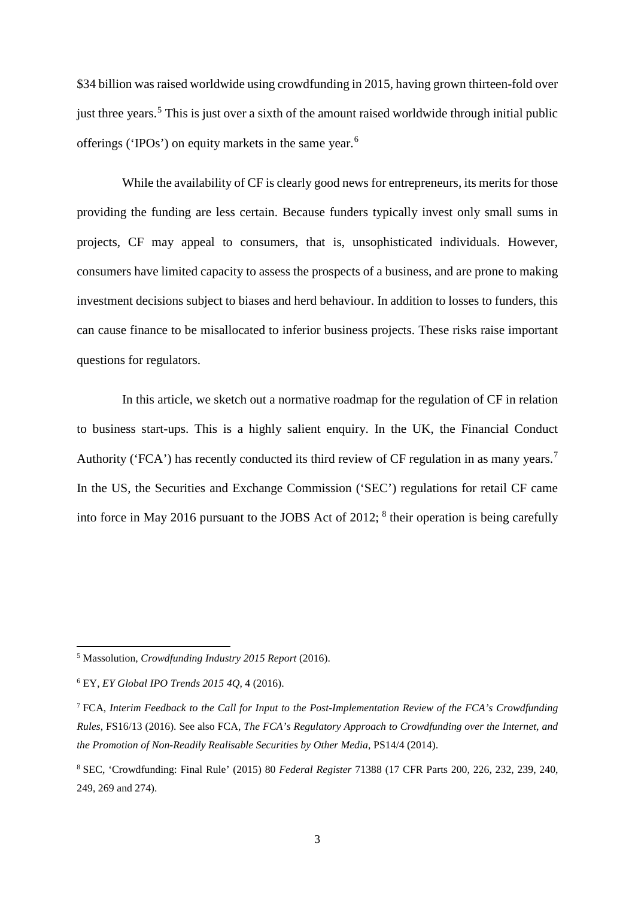\$34 billion was raised worldwide using crowdfunding in 2015, having grown thirteen-fold over just three years.<sup>[5](#page-2-0)</sup> This is just over a sixth of the amount raised worldwide through initial public offerings ('IPOs') on equity markets in the same year. [6](#page-2-1)

While the availability of CF is clearly good news for entrepreneurs, its merits for those providing the funding are less certain. Because funders typically invest only small sums in projects, CF may appeal to consumers, that is, unsophisticated individuals. However, consumers have limited capacity to assess the prospects of a business, and are prone to making investment decisions subject to biases and herd behaviour. In addition to losses to funders, this can cause finance to be misallocated to inferior business projects. These risks raise important questions for regulators.

<span id="page-2-6"></span><span id="page-2-5"></span><span id="page-2-4"></span>In this article, we sketch out a normative roadmap for the regulation of CF in relation to business start-ups. This is a highly salient enquiry. In the UK, the Financial Conduct Authority ('FCA') has recently conducted its third review of CF regulation in as many years.<sup>[7](#page-2-2)</sup> In the US, the Securities and Exchange Commission ('SEC') regulations for retail CF came into force in May 2016 pursuant to the JOBS Act of 2012; [8](#page-2-3) their operation is being carefully

<span id="page-2-0"></span><sup>5</sup> Massolution, *Crowdfunding Industry 2015 Report* (2016).

<span id="page-2-1"></span><sup>6</sup> EY, *EY Global IPO Trends 2015 4Q*, 4 (2016).

<span id="page-2-2"></span><sup>7</sup> FCA, *Interim Feedback to the Call for Input to the Post-Implementation Review of the FCA's Crowdfunding Rules*, FS16/13 (2016). See also FCA, *The FCA's Regulatory Approach to Crowdfunding over the Internet, and the Promotion of Non-Readily Realisable Securities by Other Media*, PS14/4 (2014).

<span id="page-2-3"></span><sup>8</sup> SEC, 'Crowdfunding: Final Rule' (2015) 80 *Federal Register* 71388 (17 CFR Parts 200, 226, 232, 239, 240, 249, 269 and 274).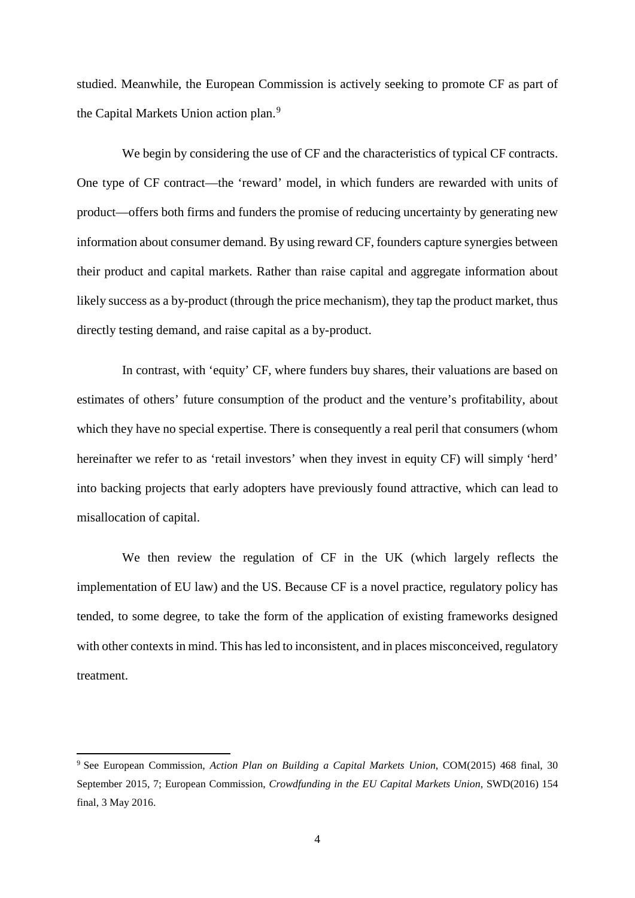studied. Meanwhile, the European Commission is actively seeking to promote CF as part of the Capital Markets Union action plan.[9](#page-3-0)

We begin by considering the use of CF and the characteristics of typical CF contracts. One type of CF contract—the 'reward' model, in which funders are rewarded with units of product—offers both firms and funders the promise of reducing uncertainty by generating new information about consumer demand. By using reward CF, founders capture synergies between their product and capital markets. Rather than raise capital and aggregate information about likely success as a by-product (through the price mechanism), they tap the product market, thus directly testing demand, and raise capital as a by-product.

In contrast, with 'equity' CF, where funders buy shares, their valuations are based on estimates of others' future consumption of the product and the venture's profitability, about which they have no special expertise. There is consequently a real peril that consumers (whom hereinafter we refer to as 'retail investors' when they invest in equity CF) will simply 'herd' into backing projects that early adopters have previously found attractive, which can lead to misallocation of capital.

We then review the regulation of CF in the UK (which largely reflects the implementation of EU law) and the US. Because CF is a novel practice, regulatory policy has tended, to some degree, to take the form of the application of existing frameworks designed with other contexts in mind. This has led to inconsistent, and in places misconceived, regulatory treatment.

<span id="page-3-0"></span><sup>9</sup> See European Commission, *Action Plan on Building a Capital Markets Union*, COM(2015) 468 final, 30 September 2015, 7; European Commission, *Crowdfunding in the EU Capital Markets Union*, SWD(2016) 154 final, 3 May 2016.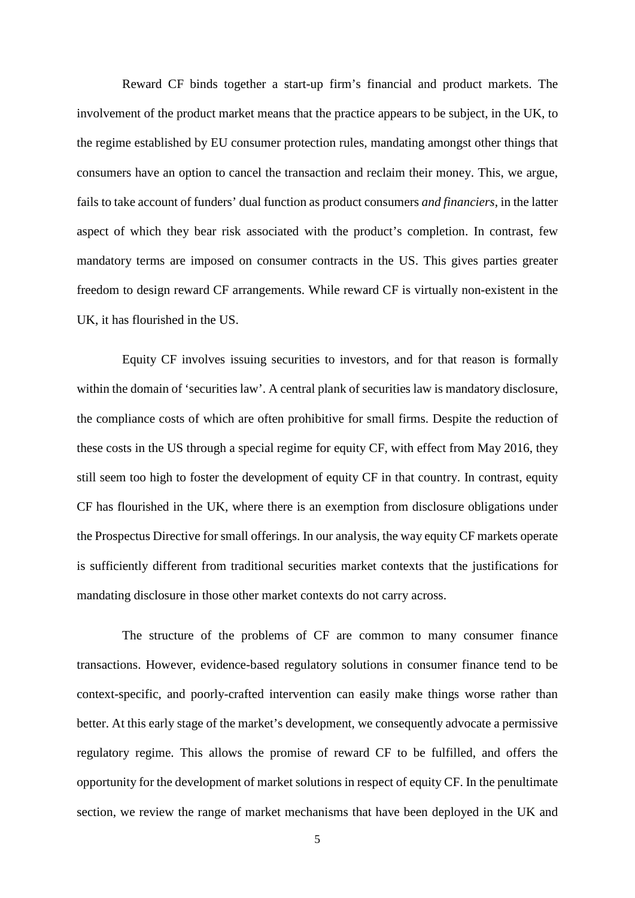Reward CF binds together a start-up firm's financial and product markets. The involvement of the product market means that the practice appears to be subject, in the UK, to the regime established by EU consumer protection rules, mandating amongst other things that consumers have an option to cancel the transaction and reclaim their money. This, we argue, fails to take account of funders' dual function as product consumers *and financiers*, in the latter aspect of which they bear risk associated with the product's completion. In contrast, few mandatory terms are imposed on consumer contracts in the US. This gives parties greater freedom to design reward CF arrangements. While reward CF is virtually non-existent in the UK, it has flourished in the US.

Equity CF involves issuing securities to investors, and for that reason is formally within the domain of 'securities law'. A central plank of securities law is mandatory disclosure, the compliance costs of which are often prohibitive for small firms. Despite the reduction of these costs in the US through a special regime for equity CF, with effect from May 2016, they still seem too high to foster the development of equity CF in that country. In contrast, equity CF has flourished in the UK, where there is an exemption from disclosure obligations under the Prospectus Directive for small offerings. In our analysis, the way equity CF markets operate is sufficiently different from traditional securities market contexts that the justifications for mandating disclosure in those other market contexts do not carry across.

The structure of the problems of CF are common to many consumer finance transactions. However, evidence-based regulatory solutions in consumer finance tend to be context-specific, and poorly-crafted intervention can easily make things worse rather than better. At this early stage of the market's development, we consequently advocate a permissive regulatory regime. This allows the promise of reward CF to be fulfilled, and offers the opportunity for the development of market solutions in respect of equity CF. In the penultimate section, we review the range of market mechanisms that have been deployed in the UK and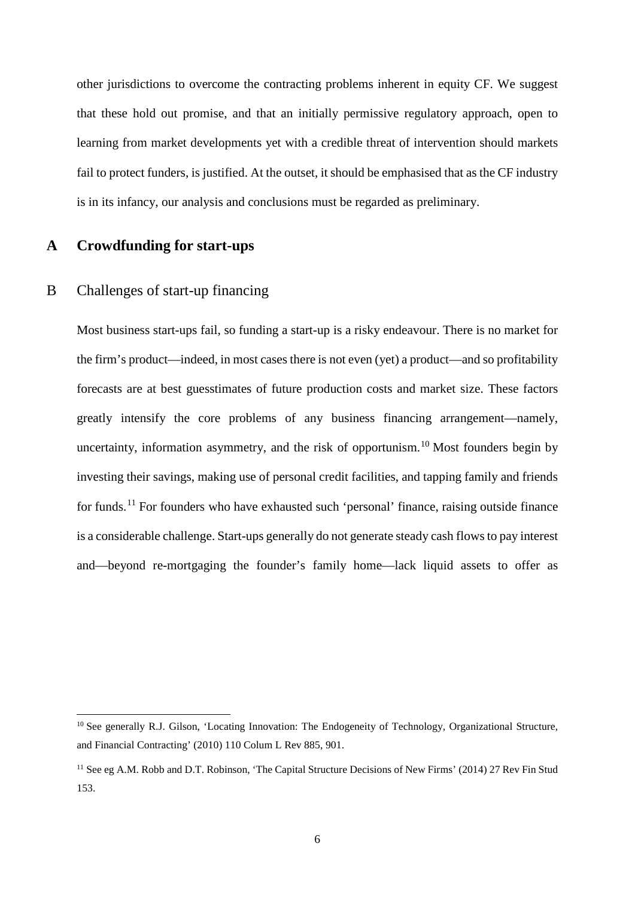other jurisdictions to overcome the contracting problems inherent in equity CF. We suggest that these hold out promise, and that an initially permissive regulatory approach, open to learning from market developments yet with a credible threat of intervention should markets fail to protect funders, is justified. At the outset, it should be emphasised that as the CF industry is in its infancy, our analysis and conclusions must be regarded as preliminary.

## **A Crowdfunding for start-ups**

## B Challenges of start-up financing

**.** 

<span id="page-5-2"></span>Most business start-ups fail, so funding a start-up is a risky endeavour. There is no market for the firm's product—indeed, in most cases there is not even (yet) a product—and so profitability forecasts are at best guesstimates of future production costs and market size. These factors greatly intensify the core problems of any business financing arrangement—namely, uncertainty, information asymmetry, and the risk of opportunism.<sup>[10](#page-5-0)</sup> Most founders begin by investing their savings, making use of personal credit facilities, and tapping family and friends for funds.<sup>[11](#page-5-1)</sup> For founders who have exhausted such 'personal' finance, raising outside finance is a considerable challenge. Start-ups generally do not generate steady cash flows to pay interest and—beyond re-mortgaging the founder's family home—lack liquid assets to offer as

<span id="page-5-0"></span><sup>&</sup>lt;sup>10</sup> See generally R.J. Gilson, 'Locating Innovation: The Endogeneity of Technology, Organizational Structure, and Financial Contracting' (2010) 110 Colum L Rev 885, 901.

<span id="page-5-1"></span><sup>11</sup> See eg A.M. Robb and D.T. Robinson, 'The Capital Structure Decisions of New Firms' (2014) 27 Rev Fin Stud 153.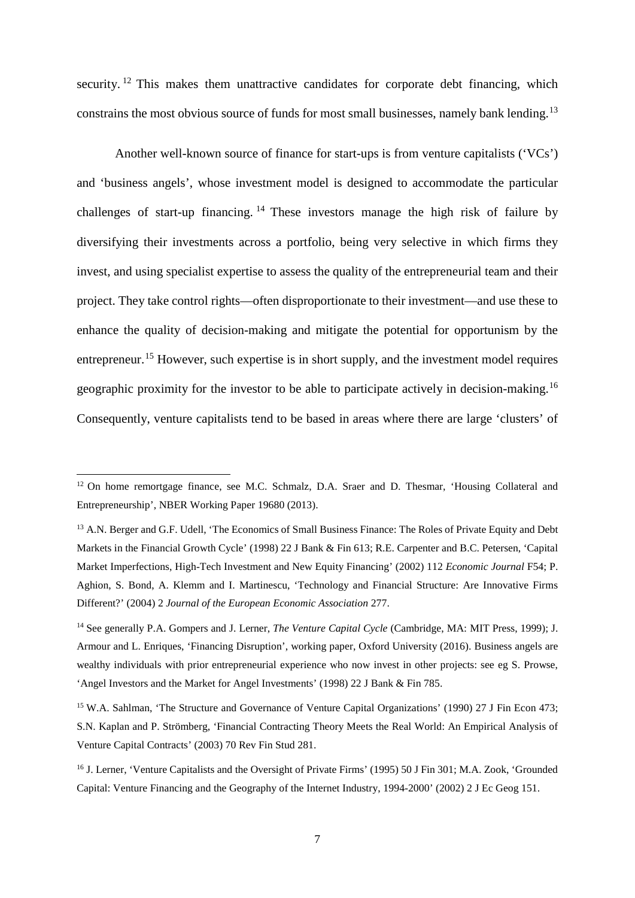<span id="page-6-6"></span><span id="page-6-5"></span>security. <sup>[12](#page-6-0)</sup> This makes them unattractive candidates for corporate debt financing, which constrains the most obvious source of funds for most small businesses, namely bank lending.<sup>[13](#page-6-1)</sup>

Another well-known source of finance for start-ups is from venture capitalists ('VCs') and 'business angels', whose investment model is designed to accommodate the particular challenges of start-up financing.  $14$  These investors manage the high risk of failure by diversifying their investments across a portfolio, being very selective in which firms they invest, and using specialist expertise to assess the quality of the entrepreneurial team and their project. They take control rights—often disproportionate to their investment—and use these to enhance the quality of decision-making and mitigate the potential for opportunism by the entrepreneur.<sup>[15](#page-6-3)</sup> However, such expertise is in short supply, and the investment model requires geographic proximity for the investor to be able to participate actively in decision-making.<sup>[16](#page-6-4)</sup> Consequently, venture capitalists tend to be based in areas where there are large 'clusters' of

<span id="page-6-8"></span><span id="page-6-7"></span><span id="page-6-0"></span><sup>&</sup>lt;sup>12</sup> On home remortgage finance, see M.C. Schmalz, D.A. Sraer and D. Thesmar, 'Housing Collateral and Entrepreneurship', NBER Working Paper 19680 (2013).

<span id="page-6-1"></span><sup>&</sup>lt;sup>13</sup> A.N. Berger and G.F. Udell, 'The Economics of Small Business Finance: The Roles of Private Equity and Debt Markets in the Financial Growth Cycle' (1998) 22 J Bank & Fin 613; R.E. Carpenter and B.C. Petersen, 'Capital Market Imperfections, High-Tech Investment and New Equity Financing' (2002) 112 *Economic Journal* F54; P. Aghion, S. Bond, A. Klemm and I. Martinescu, 'Technology and Financial Structure: Are Innovative Firms Different?' (2004) 2 *Journal of the European Economic Association* 277.

<span id="page-6-2"></span><sup>14</sup> See generally P.A. Gompers and J. Lerner, *The Venture Capital Cycle* (Cambridge, MA: MIT Press, 1999); J. Armour and L. Enriques, 'Financing Disruption', working paper, Oxford University (2016). Business angels are wealthy individuals with prior entrepreneurial experience who now invest in other projects: see eg S. Prowse, 'Angel Investors and the Market for Angel Investments' (1998) 22 J Bank & Fin 785.

<span id="page-6-3"></span><sup>15</sup> W.A. Sahlman, 'The Structure and Governance of Venture Capital Organizations' (1990) 27 J Fin Econ 473; S.N. Kaplan and P. Strömberg, 'Financial Contracting Theory Meets the Real World: An Empirical Analysis of Venture Capital Contracts' (2003) 70 Rev Fin Stud 281.

<span id="page-6-4"></span><sup>&</sup>lt;sup>16</sup> J. Lerner, 'Venture Capitalists and the Oversight of Private Firms' (1995) 50 J Fin 301; M.A. Zook, 'Grounded Capital: Venture Financing and the Geography of the Internet Industry, 1994-2000' (2002) 2 J Ec Geog 151.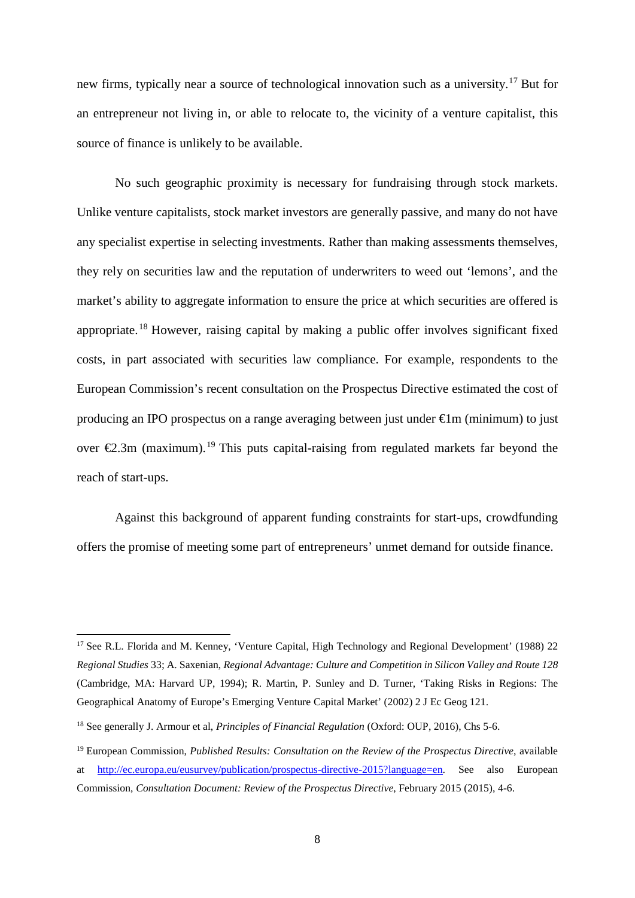<span id="page-7-5"></span>new firms, typically near a source of technological innovation such as a university.[17](#page-7-0) But for an entrepreneur not living in, or able to relocate to, the vicinity of a venture capitalist, this source of finance is unlikely to be available.

<span id="page-7-3"></span>No such geographic proximity is necessary for fundraising through stock markets. Unlike venture capitalists, stock market investors are generally passive, and many do not have any specialist expertise in selecting investments. Rather than making assessments themselves, they rely on securities law and the reputation of underwriters to weed out 'lemons', and the market's ability to aggregate information to ensure the price at which securities are offered is appropriate.[18](#page-7-1) However, raising capital by making a public offer involves significant fixed costs, in part associated with securities law compliance. For example, respondents to the European Commission's recent consultation on the Prospectus Directive estimated the cost of producing an IPO prospectus on a range averaging between just under €1m (minimum) to just over  $\epsilon$ 2.3m (maximum).<sup>[19](#page-7-2)</sup> This puts capital-raising from regulated markets far beyond the reach of start-ups.

<span id="page-7-4"></span>Against this background of apparent funding constraints for start-ups, crowdfunding offers the promise of meeting some part of entrepreneurs' unmet demand for outside finance.

**.** 

Commission, *Consultation Document: Review of the Prospectus Directive*, February 2015 (2015), 4-6.

<span id="page-7-0"></span><sup>&</sup>lt;sup>17</sup> See R.L. Florida and M. Kenney, 'Venture Capital, High Technology and Regional Development' (1988) 22 *Regional Studies* 33; A. Saxenian, *Regional Advantage: Culture and Competition in Silicon Valley and Route 128*  (Cambridge, MA: Harvard UP, 1994); R. Martin, P. Sunley and D. Turner, 'Taking Risks in Regions: The Geographical Anatomy of Europe's Emerging Venture Capital Market' (2002) 2 J Ec Geog 121.

<span id="page-7-1"></span><sup>18</sup> See generally J. Armour et al, *Principles of Financial Regulation* (Oxford: OUP, 2016), Chs 5-6.

<span id="page-7-2"></span><sup>19</sup> European Commission, *Published Results: Consultation on the Review of the Prospectus Directive*, available at [http://ec.europa.eu/eusurvey/publication/prospectus-directive-2015?language=en.](http://ec.europa.eu/eusurvey/publication/prospectus-directive-2015?language=en) See also European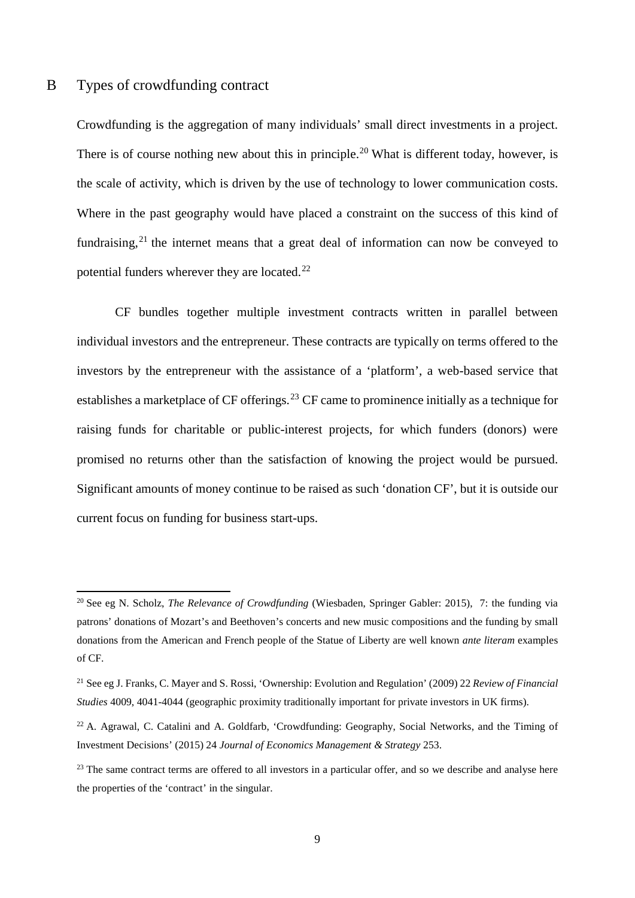#### B Types of crowdfunding contract

**.** 

Crowdfunding is the aggregation of many individuals' small direct investments in a project. There is of course nothing new about this in principle.<sup>[20](#page-8-0)</sup> What is different today, however, is the scale of activity, which is driven by the use of technology to lower communication costs. Where in the past geography would have placed a constraint on the success of this kind of fundraising, $2<sup>1</sup>$  the internet means that a great deal of information can now be conveyed to potential funders wherever they are located.<sup>[22](#page-8-2)</sup>

<span id="page-8-4"></span>CF bundles together multiple investment contracts written in parallel between individual investors and the entrepreneur. These contracts are typically on terms offered to the investors by the entrepreneur with the assistance of a 'platform', a web-based service that establishes a marketplace of CF offerings.<sup>[23](#page-8-3)</sup> CF came to prominence initially as a technique for raising funds for charitable or public-interest projects, for which funders (donors) were promised no returns other than the satisfaction of knowing the project would be pursued. Significant amounts of money continue to be raised as such 'donation CF', but it is outside our current focus on funding for business start-ups.

<span id="page-8-0"></span><sup>20</sup> See eg N. Scholz, *The Relevance of Crowdfunding* (Wiesbaden, Springer Gabler: 2015), 7: the funding via patrons' donations of Mozart's and Beethoven's concerts and new music compositions and the funding by small donations from the American and French people of the Statue of Liberty are well known *ante literam* examples of CF.

<span id="page-8-1"></span><sup>21</sup> See eg J. Franks, C. Mayer and S. Rossi, 'Ownership: Evolution and Regulation' (2009) 22 *Review of Financial Studies* 4009, 4041-4044 (geographic proximity traditionally important for private investors in UK firms).

<span id="page-8-2"></span><sup>&</sup>lt;sup>22</sup> A. Agrawal, C. Catalini and A. Goldfarb, 'Crowdfunding: Geography, Social Networks, and the Timing of Investment Decisions' (2015) 24 *Journal of Economics Management & Strategy* 253.

<span id="page-8-3"></span> $^{23}$  The same contract terms are offered to all investors in a particular offer, and so we describe and analyse here the properties of the 'contract' in the singular.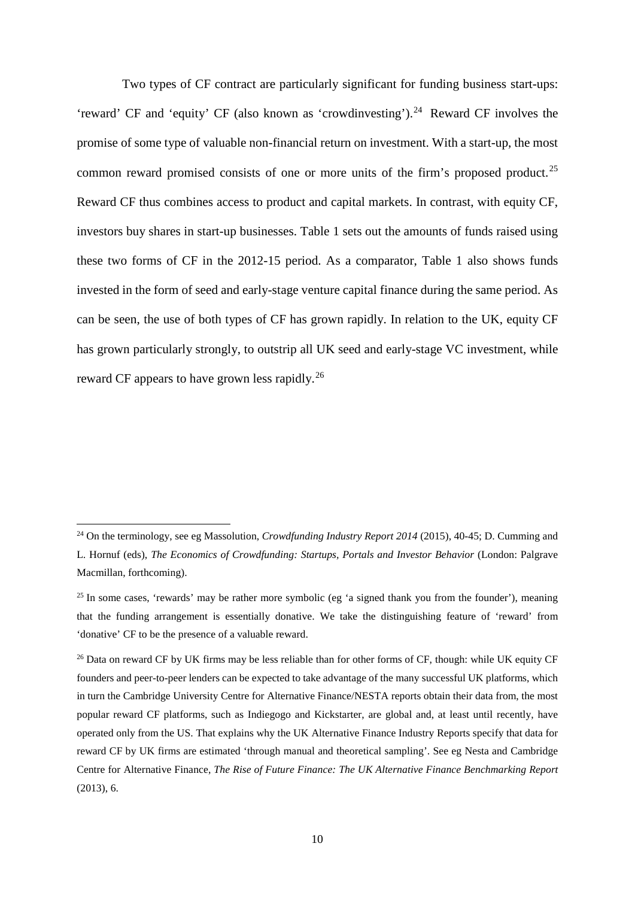<span id="page-9-3"></span>Two types of CF contract are particularly significant for funding business start-ups: 'reward' CF and 'equity' CF (also known as 'crowdinvesting').<sup>[24](#page-9-0)</sup> Reward CF involves the promise of some type of valuable non-financial return on investment. With a start-up, the most common reward promised consists of one or more units of the firm's proposed product.<sup>[25](#page-9-1)</sup> Reward CF thus combines access to product and capital markets. In contrast, with equity CF, investors buy shares in start-up businesses. Table 1 sets out the amounts of funds raised using these two forms of CF in the 2012-15 period. As a comparator, Table 1 also shows funds invested in the form of seed and early-stage venture capital finance during the same period. As can be seen, the use of both types of CF has grown rapidly. In relation to the UK, equity CF has grown particularly strongly, to outstrip all UK seed and early-stage VC investment, while reward CF appears to have grown less rapidly.<sup>[26](#page-9-2)</sup>

<span id="page-9-0"></span><sup>24</sup> On the terminology, see eg Massolution, *Crowdfunding Industry Report 2014* (2015), 40-45; D. Cumming and L. Hornuf (eds), *The Economics of Crowdfunding: Startups, Portals and Investor Behavior* (London: Palgrave Macmillan, forthcoming).

<span id="page-9-1"></span><sup>&</sup>lt;sup>25</sup> In some cases, 'rewards' may be rather more symbolic (eg 'a signed thank you from the founder'), meaning that the funding arrangement is essentially donative. We take the distinguishing feature of 'reward' from 'donative' CF to be the presence of a valuable reward.

<span id="page-9-2"></span><sup>&</sup>lt;sup>26</sup> Data on reward CF by UK firms may be less reliable than for other forms of CF, though: while UK equity CF founders and peer-to-peer lenders can be expected to take advantage of the many successful UK platforms, which in turn the Cambridge University Centre for Alternative Finance/NESTA reports obtain their data from, the most popular reward CF platforms, such as Indiegogo and Kickstarter, are global and, at least until recently, have operated only from the US. That explains why the UK Alternative Finance Industry Reports specify that data for reward CF by UK firms are estimated 'through manual and theoretical sampling'. See eg Nesta and Cambridge Centre for Alternative Finance, *The Rise of Future Finance: The UK Alternative Finance Benchmarking Report*  (2013), 6.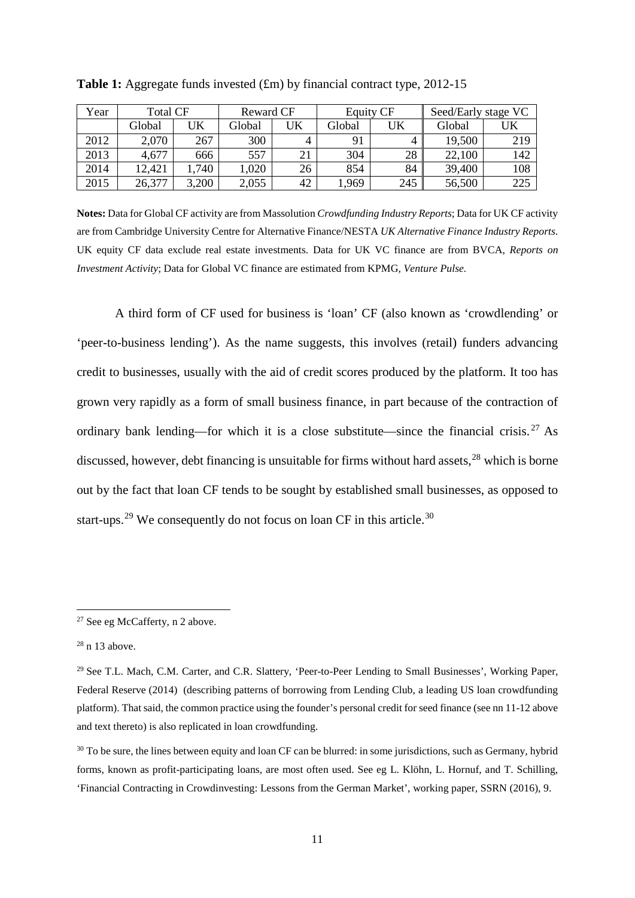| Year | <b>Total CF</b> |       | Reward CF |    | <b>Equity CF</b> |     | Seed/Early stage VC |     |  |
|------|-----------------|-------|-----------|----|------------------|-----|---------------------|-----|--|
|      | Global          | UK    | Global    | UK | Global           | UK  | Global              | UK  |  |
| 2012 | 2,070           | 267   | 300       |    | 91               |     | 19,500              | 219 |  |
| 2013 | 4,677           | 666   | 557       |    | 304              | 28  | 22,100              | 142 |  |
| 2014 | 12,421          | .740  | 1,020     | 26 | 854              | 84  | 39,400              | 108 |  |
| 2015 | 26,377          | 3,200 | 2,055     | 42 | l.969            | 245 | 56,500              | 225 |  |

**Table 1:** Aggregate funds invested (£m) by financial contract type, 2012-15

**Notes:** Data for Global CF activity are from Massolution *Crowdfunding Industry Reports*; Data for UK CF activity are from Cambridge University Centre for Alternative Finance/NESTA *UK Alternative Finance Industry Reports*. UK equity CF data exclude real estate investments. Data for UK VC finance are from BVCA, *Reports on Investment Activity*; Data for Global VC finance are estimated from KPMG, *Venture Pulse.*

A third form of CF used for business is 'loan' CF (also known as 'crowdlending' or 'peer-to-business lending'). As the name suggests, this involves (retail) funders advancing credit to businesses, usually with the aid of credit scores produced by the platform. It too has grown very rapidly as a form of small business finance, in part because of the contraction of ordinary bank lending—for which it is a close substitute—since the financial crisis. [27](#page-10-0) As discussed, however, debt financing is unsuitable for firms without hard assets, <sup>[28](#page-10-1)</sup> which is borne out by the fact that loan CF tends to be sought by established small businesses, as opposed to start-ups.<sup>[29](#page-10-2)</sup> We consequently do not focus on loan CF in this article.<sup>[30](#page-10-3)</sup>

<span id="page-10-0"></span><sup>27</sup> See eg McCafferty, n [2](#page-1-4) above.

<span id="page-10-1"></span> $28$  n [13](#page-6-5) above.

<span id="page-10-2"></span><sup>&</sup>lt;sup>29</sup> See T.L. Mach, C.M. Carter, and C.R. Slattery, 'Peer-to-Peer Lending to Small Businesses', Working Paper, Federal Reserve (2014) (describing patterns of borrowing from Lending Club, a leading US loan crowdfunding platform). That said, the common practice using the founder's personal credit for seed finance (see n[n 11](#page-5-2)[-12](#page-6-6) above and text thereto) is also replicated in loan crowdfunding.

<span id="page-10-3"></span><sup>&</sup>lt;sup>30</sup> To be sure, the lines between equity and loan CF can be blurred: in some jurisdictions, such as Germany, hybrid forms, known as profit-participating loans, are most often used. See eg L. Klöhn, L. Hornuf, and T. Schilling, 'Financial Contracting in Crowdinvesting: Lessons from the German Market', working paper, SSRN (2016), 9.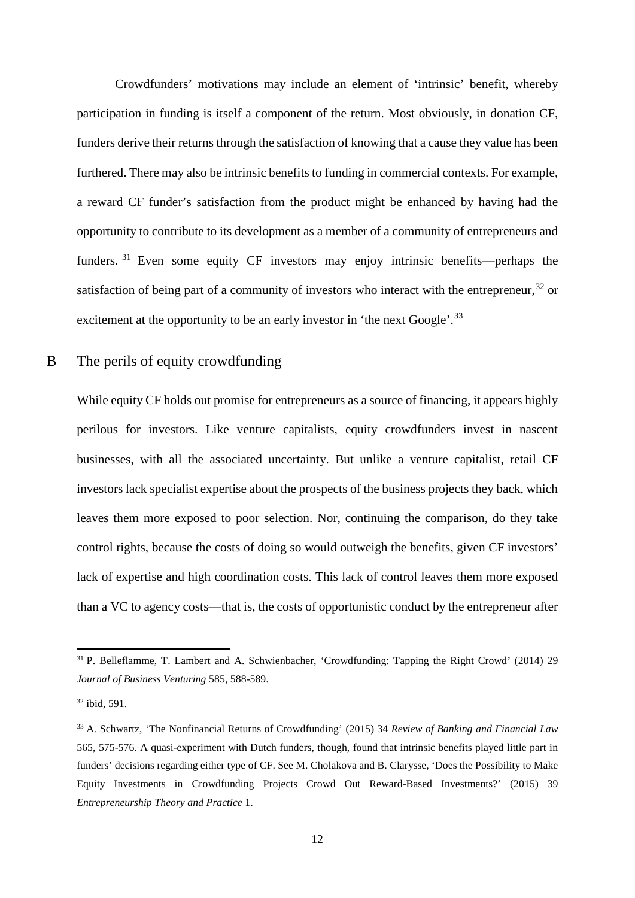Crowdfunders' motivations may include an element of 'intrinsic' benefit, whereby participation in funding is itself a component of the return. Most obviously, in donation CF, funders derive their returns through the satisfaction of knowing that a cause they value has been furthered. There may also be intrinsic benefits to funding in commercial contexts. For example, a reward CF funder's satisfaction from the product might be enhanced by having had the opportunity to contribute to its development as a member of a community of entrepreneurs and funders. [31](#page-11-0) Even some equity CF investors may enjoy intrinsic benefits—perhaps the satisfaction of being part of a community of investors who interact with the entrepreneur,  $32$  or excitement at the opportunity to be an early investor in 'the next Google'.<sup>[33](#page-11-2)</sup>

## <span id="page-11-3"></span>B The perils of equity crowdfunding

<span id="page-11-4"></span>While equity CF holds out promise for entrepreneurs as a source of financing, it appears highly perilous for investors. Like venture capitalists, equity crowdfunders invest in nascent businesses, with all the associated uncertainty. But unlike a venture capitalist, retail CF investors lack specialist expertise about the prospects of the business projects they back, which leaves them more exposed to poor selection. Nor, continuing the comparison, do they take control rights, because the costs of doing so would outweigh the benefits, given CF investors' lack of expertise and high coordination costs. This lack of control leaves them more exposed than a VC to agency costs—that is, the costs of opportunistic conduct by the entrepreneur after

<span id="page-11-0"></span><sup>31</sup> P. Belleflamme, T. Lambert and A. Schwienbacher, 'Crowdfunding: Tapping the Right Crowd' (2014) 29 *Journal of Business Venturing* 585, 588-589.

<span id="page-11-1"></span><sup>32</sup> ibid, 591.

<span id="page-11-2"></span><sup>33</sup> A. Schwartz, 'The Nonfinancial Returns of Crowdfunding' (2015) 34 *Review of Banking and Financial Law* 565, 575-576. A quasi-experiment with Dutch funders, though, found that intrinsic benefits played little part in funders' decisions regarding either type of CF. See M. Cholakova and B. Clarysse, 'Does the Possibility to Make Equity Investments in Crowdfunding Projects Crowd Out Reward-Based Investments?' (2015) 39 *Entrepreneurship Theory and Practice* 1.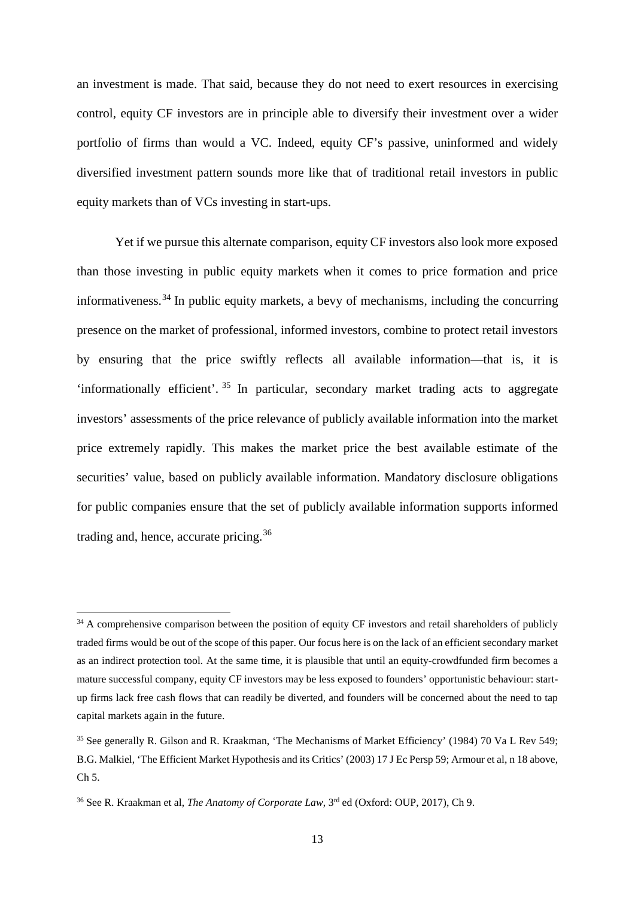an investment is made. That said, because they do not need to exert resources in exercising control, equity CF investors are in principle able to diversify their investment over a wider portfolio of firms than would a VC. Indeed, equity CF's passive, uninformed and widely diversified investment pattern sounds more like that of traditional retail investors in public equity markets than of VCs investing in start-ups.

Yet if we pursue this alternate comparison, equity CF investors also look more exposed than those investing in public equity markets when it comes to price formation and price informativeness. [34](#page-12-0) In public equity markets, a bevy of mechanisms, including the concurring presence on the market of professional, informed investors, combine to protect retail investors by ensuring that the price swiftly reflects all available information—that is, it is 'informationally efficient'. [35](#page-12-1) In particular, secondary market trading acts to aggregate investors' assessments of the price relevance of publicly available information into the market price extremely rapidly. This makes the market price the best available estimate of the securities' value, based on publicly available information. Mandatory disclosure obligations for public companies ensure that the set of publicly available information supports informed trading and, hence, accurate pricing.[36](#page-12-2)

<span id="page-12-3"></span><span id="page-12-0"></span><sup>&</sup>lt;sup>34</sup> A comprehensive comparison between the position of equity CF investors and retail shareholders of publicly traded firms would be out of the scope of this paper. Our focus here is on the lack of an efficient secondary market as an indirect protection tool. At the same time, it is plausible that until an equity-crowdfunded firm becomes a mature successful company, equity CF investors may be less exposed to founders' opportunistic behaviour: startup firms lack free cash flows that can readily be diverted, and founders will be concerned about the need to tap capital markets again in the future.

<span id="page-12-1"></span><sup>&</sup>lt;sup>35</sup> See generally R. Gilson and R. Kraakman, 'The Mechanisms of Market Efficiency' (1984) 70 Va L Rev 549; B.G. Malkiel, 'The Efficient Market Hypothesis and its Critics' (2003) 17 J Ec Persp 59; Armour et al, n [18](#page-7-3) above, Ch 5.

<span id="page-12-2"></span><sup>36</sup> See R. Kraakman et al, *The Anatomy of Corporate Law*, 3rd ed (Oxford: OUP, 2017), Ch 9.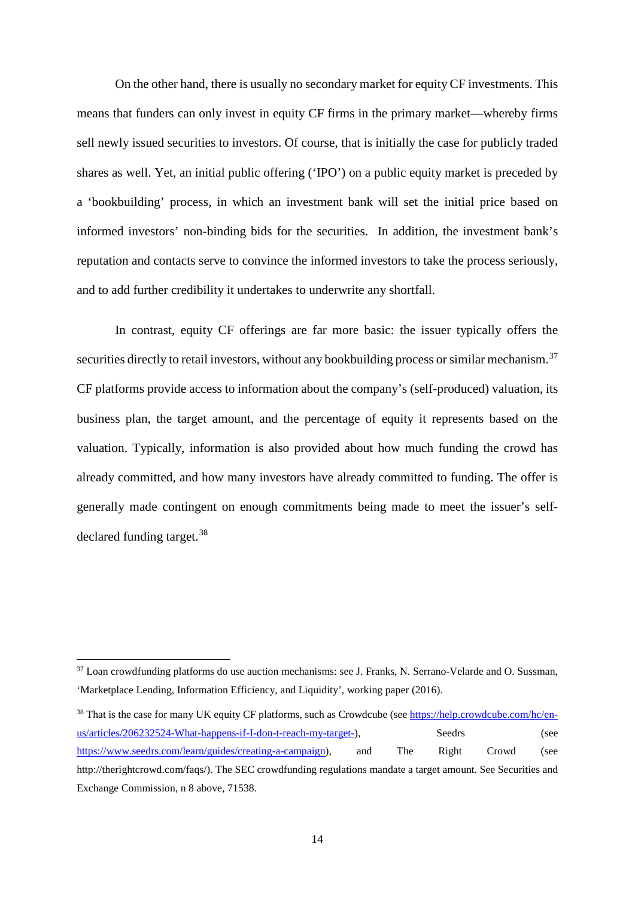On the other hand, there is usually no secondary market for equity CF investments. This means that funders can only invest in equity CF firms in the primary market—whereby firms sell newly issued securities to investors. Of course, that is initially the case for publicly traded shares as well. Yet, an initial public offering ('IPO') on a public equity market is preceded by a 'bookbuilding' process, in which an investment bank will set the initial price based on informed investors' non-binding bids for the securities. In addition, the investment bank's reputation and contacts serve to convince the informed investors to take the process seriously, and to add further credibility it undertakes to underwrite any shortfall.

In contrast, equity CF offerings are far more basic: the issuer typically offers the securities directly to retail investors, without any bookbuilding process or similar mechanism.<sup>[37](#page-13-0)</sup> CF platforms provide access to information about the company's (self-produced) valuation, its business plan, the target amount, and the percentage of equity it represents based on the valuation. Typically, information is also provided about how much funding the crowd has already committed, and how many investors have already committed to funding. The offer is generally made contingent on enough commitments being made to meet the issuer's selfdeclared funding target.[38](#page-13-1)

<span id="page-13-2"></span>**.** 

<span id="page-13-1"></span><sup>38</sup> That is the case for many UK equity CF platforms, such as Crowdcube (see [https://help.crowdcube.com/hc/en](https://help.crowdcube.com/hc/en-us/articles/206232524-What-happens-if-I-don-t-reach-my-target-)[us/articles/206232524-What-happens-if-I-don-t-reach-my-target-\)](https://help.crowdcube.com/hc/en-us/articles/206232524-What-happens-if-I-don-t-reach-my-target-), Seedrs (see [https://www.seedrs.com/learn/guides/creating-a-campaign\)](https://www.seedrs.com/learn/guides/creating-a-campaign), and The Right Crowd (see http://therightcrowd.com/faqs/). The SEC crowdfunding regulations mandate a target amount. See Securities and Exchange Commission, n [8](#page-2-4) above, 71538.

<span id="page-13-0"></span><sup>37</sup> Loan crowdfunding platforms do use auction mechanisms: see J. Franks, N. Serrano-Velarde and O. Sussman, 'Marketplace Lending, Information Efficiency, and Liquidity', working paper (2016).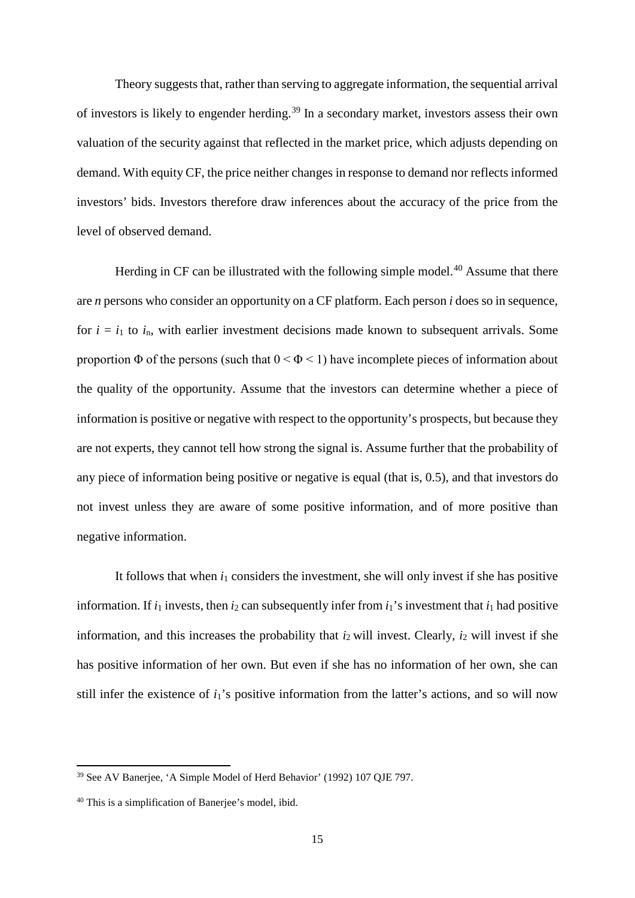<span id="page-14-2"></span>Theory suggests that, rather than serving to aggregate information, the sequential arrival of investors is likely to engender herding.[39](#page-14-0) In a secondary market, investors assess their own valuation of the security against that reflected in the market price, which adjusts depending on demand. With equity CF, the price neither changes in response to demand nor reflects informed investors' bids. Investors therefore draw inferences about the accuracy of the price from the level of observed demand.

Herding in CF can be illustrated with the following simple model.<sup>[40](#page-14-1)</sup> Assume that there are *n* persons who consider an opportunity on a CF platform. Each person *i* does so in sequence, for  $i = i_1$  to  $i_n$ , with earlier investment decisions made known to subsequent arrivals. Some proportion  $\Phi$  of the persons (such that  $0 \le \Phi \le 1$ ) have incomplete pieces of information about the quality of the opportunity. Assume that the investors can determine whether a piece of information is positive or negative with respect to the opportunity's prospects, but because they are not experts, they cannot tell how strong the signal is. Assume further that the probability of any piece of information being positive or negative is equal (that is, 0.5), and that investors do not invest unless they are aware of some positive information, and of more positive than negative information.

It follows that when  $i_1$  considers the investment, she will only invest if she has positive information. If  $i_1$  invests, then  $i_2$  can subsequently infer from  $i_1$ 's investment that  $i_1$  had positive information, and this increases the probability that  $i_2$  will invest. Clearly,  $i_2$  will invest if she has positive information of her own. But even if she has no information of her own, she can still infer the existence of  $i_1$ 's positive information from the latter's actions, and so will now

<span id="page-14-0"></span><sup>39</sup> See AV Banerjee, 'A Simple Model of Herd Behavior' (1992) 107 QJE 797.

<span id="page-14-1"></span><sup>40</sup> This is a simplification of Banerjee's model, ibid.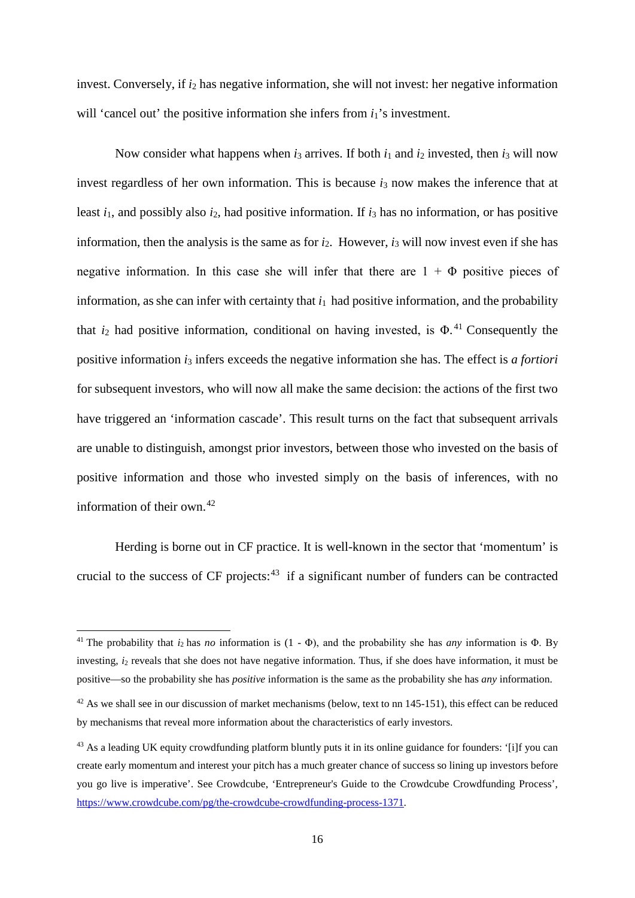invest. Conversely, if *i*<sup>2</sup> has negative information, she will not invest: her negative information will 'cancel out' the positive information she infers from  $i_1$ 's investment.

Now consider what happens when *i*<sup>3</sup> arrives. If both *i*<sup>1</sup> and *i*<sup>2</sup> invested, then *i*<sup>3</sup> will now invest regardless of her own information. This is because  $i_3$  now makes the inference that at least  $i_1$ , and possibly also  $i_2$ , had positive information. If  $i_3$  has no information, or has positive information, then the analysis is the same as for  $i_2$ . However,  $i_3$  will now invest even if she has negative information. In this case she will infer that there are  $1 + \Phi$  positive pieces of information, as she can infer with certainty that  $i_1$  had positive information, and the probability that  $i_2$  had positive information, conditional on having invested, is  $\Phi$ .<sup>[41](#page-15-0)</sup> Consequently the positive information *i*<sup>3</sup> infers exceeds the negative information she has. The effect is *a fortiori*  for subsequent investors, who will now all make the same decision: the actions of the first two have triggered an 'information cascade'. This result turns on the fact that subsequent arrivals are unable to distinguish, amongst prior investors, between those who invested on the basis of positive information and those who invested simply on the basis of inferences, with no information of their own.<sup>[42](#page-15-1)</sup>

<span id="page-15-3"></span>Herding is borne out in CF practice. It is well-known in the sector that 'momentum' is crucial to the success of  $CF$  projects:<sup>[43](#page-15-2)</sup> if a significant number of funders can be contracted

<span id="page-15-0"></span><sup>&</sup>lt;sup>41</sup> The probability that  $i_2$  has *no* information is  $(1 - \Phi)$ , and the probability she has *any* information is  $\Phi$ . By investing, *i*<sup>2</sup> reveals that she does not have negative information. Thus, if she does have information, it must be positive—so the probability she has *positive* information is the same as the probability she has *any* information.

<span id="page-15-1"></span> $42$  As we shall see in our discussion of market mechanisms (below, text to nn [145](#page-45-0)[-151\)](#page-47-0), this effect can be reduced by mechanisms that reveal more information about the characteristics of early investors.

<span id="page-15-2"></span><sup>&</sup>lt;sup>43</sup> As a leading UK equity crowdfunding platform bluntly puts it in its online guidance for founders: '[i]f you can create early momentum and interest your pitch has a much greater chance of success so lining up investors before you go live is imperative'. See Crowdcube, 'Entrepreneur's Guide to the Crowdcube Crowdfunding Process', [https://www.crowdcube.com/pg/the-crowdcube-crowdfunding-process-1371.](https://www.crowdcube.com/pg/the-crowdcube-crowdfunding-process-1371)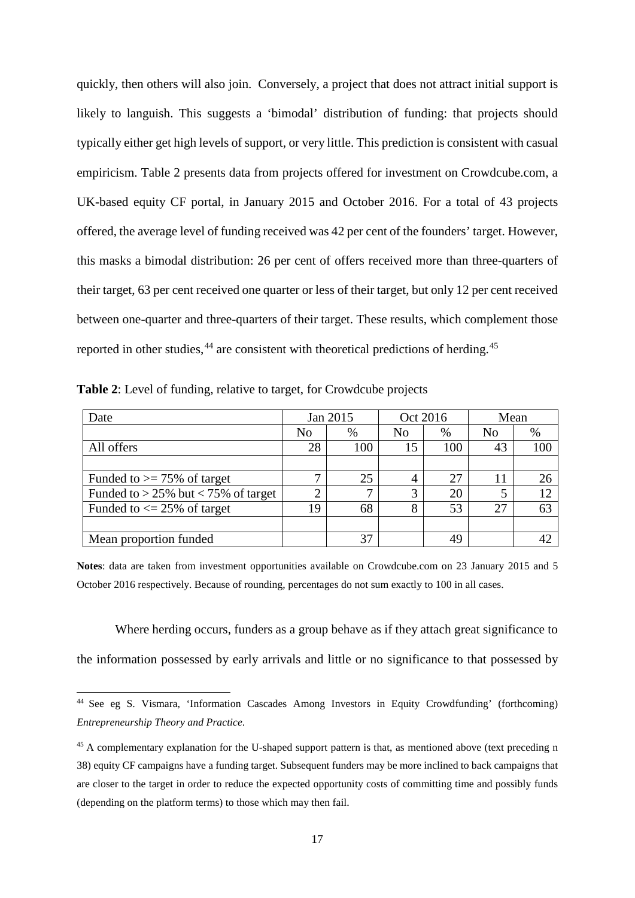quickly, then others will also join. Conversely, a project that does not attract initial support is likely to languish. This suggests a 'bimodal' distribution of funding: that projects should typically either get high levels of support, or very little. This prediction is consistent with casual empiricism. Table 2 presents data from projects offered for investment on Crowdcube.com, a UK-based equity CF portal, in January 2015 and October 2016. For a total of 43 projects offered, the average level of funding received was 42 per cent of the founders' target. However, this masks a bimodal distribution: 26 per cent of offers received more than three-quarters of their target, 63 per cent received one quarter or less of their target, but only 12 per cent received between one-quarter and three-quarters of their target. These results, which complement those reported in other studies,  $44$  are consistent with theoretical predictions of herding.  $45$ 

<span id="page-16-2"></span>**Table 2**: Level of funding, relative to target, for Crowdcube projects

**.** 

| Date                                      | Jan 2015       |     | Oct 2016 |     | Mean           |      |
|-------------------------------------------|----------------|-----|----------|-----|----------------|------|
|                                           | N <sub>o</sub> | %   | No       | %   | N <sub>0</sub> | $\%$ |
| All offers                                | 28             | 100 | 15       | 100 | 43             | 100  |
|                                           |                |     |          |     |                |      |
| Funded to $\ge$ 75% of target             |                | 25  | 4        | 27  | 11             | 26   |
| Funded to $> 25\%$ but $< 75\%$ of target | ◠              | −   | 3        | 20  |                |      |
| Funded to $\leq$ 25% of target            | 19             | 68  | 8        | 53  | 27             |      |
|                                           |                |     |          |     |                |      |
| Mean proportion funded                    |                | 37  |          | 49  |                |      |

**Notes**: data are taken from investment opportunities available on Crowdcube.com on 23 January 2015 and 5 October 2016 respectively. Because of rounding, percentages do not sum exactly to 100 in all cases.

Where herding occurs, funders as a group behave as if they attach great significance to the information possessed by early arrivals and little or no significance to that possessed by

<span id="page-16-0"></span><sup>44</sup> See eg S. Vismara, 'Information Cascades Among Investors in Equity Crowdfunding' (forthcoming) *Entrepreneurship Theory and Practice*.

<span id="page-16-1"></span><sup>&</sup>lt;sup>45</sup> A complementary explanation for the U-shaped support pattern is that, as mentioned above (text preceding n [38\)](#page-13-2) equity CF campaigns have a funding target. Subsequent funders may be more inclined to back campaigns that are closer to the target in order to reduce the expected opportunity costs of committing time and possibly funds (depending on the platform terms) to those which may then fail.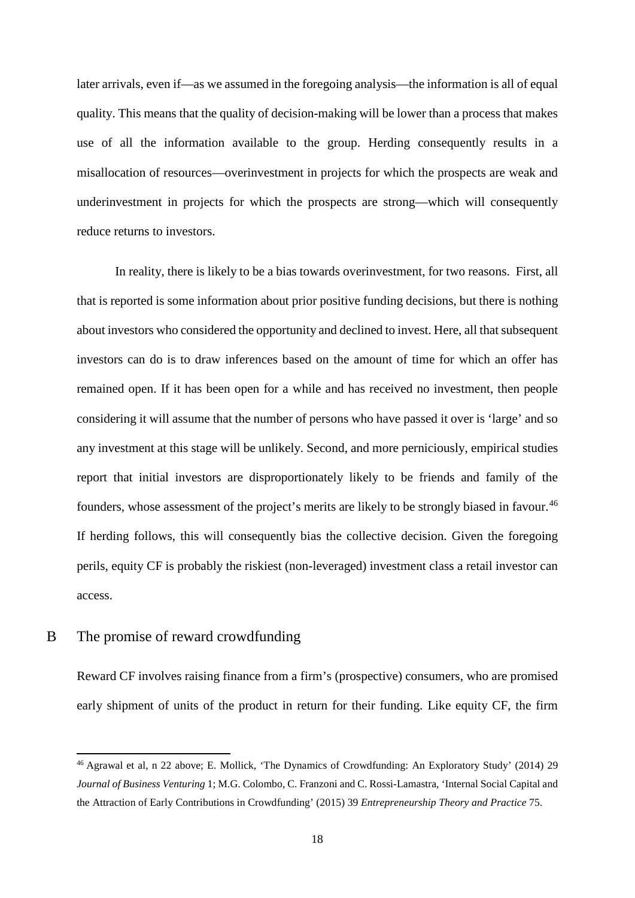later arrivals, even if—as we assumed in the foregoing analysis—the information is all of equal quality. This means that the quality of decision-making will be lower than a process that makes use of all the information available to the group. Herding consequently results in a misallocation of resources—overinvestment in projects for which the prospects are weak and underinvestment in projects for which the prospects are strong—which will consequently reduce returns to investors.

In reality, there is likely to be a bias towards overinvestment, for two reasons. First, all that is reported is some information about prior positive funding decisions, but there is nothing about investors who considered the opportunity and declined to invest. Here, all that subsequent investors can do is to draw inferences based on the amount of time for which an offer has remained open. If it has been open for a while and has received no investment, then people considering it will assume that the number of persons who have passed it over is 'large' and so any investment at this stage will be unlikely. Second, and more perniciously, empirical studies report that initial investors are disproportionately likely to be friends and family of the founders, whose assessment of the project's merits are likely to be strongly biased in favour. [46](#page-17-0) If herding follows, this will consequently bias the collective decision. Given the foregoing perils, equity CF is probably the riskiest (non-leveraged) investment class a retail investor can access.

## B The promise of reward crowdfunding

**.** 

<span id="page-17-1"></span>Reward CF involves raising finance from a firm's (prospective) consumers, who are promised early shipment of units of the product in return for their funding. Like equity CF, the firm

<span id="page-17-0"></span><sup>46</sup> Agrawal et al, n [22](#page-8-4) above; E. Mollick, 'The Dynamics of Crowdfunding: An Exploratory Study' (2014) 29 *Journal of Business Venturing* 1; M.G. Colombo, C. Franzoni and C. Rossi-Lamastra, 'Internal Social Capital and the Attraction of Early Contributions in Crowdfunding' (2015) 39 *Entrepreneurship Theory and Practice* 75.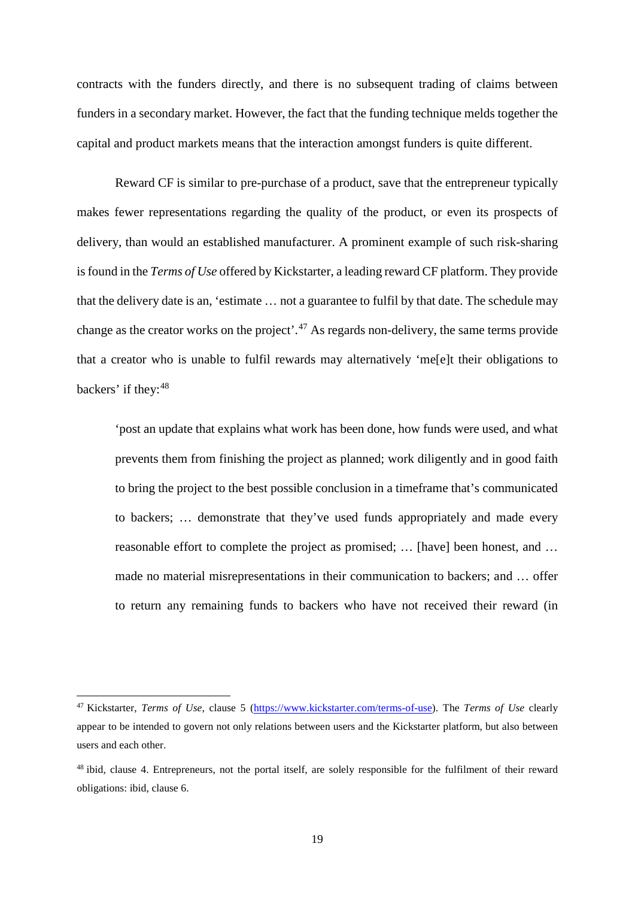contracts with the funders directly, and there is no subsequent trading of claims between funders in a secondary market. However, the fact that the funding technique melds together the capital and product markets means that the interaction amongst funders is quite different.

Reward CF is similar to pre-purchase of a product, save that the entrepreneur typically makes fewer representations regarding the quality of the product, or even its prospects of delivery, than would an established manufacturer. A prominent example of such risk-sharing is found in the *Terms of Use* offered by Kickstarter, a leading reward CF platform. They provide that the delivery date is an, 'estimate … not a guarantee to fulfil by that date. The schedule may change as the creator works on the project'.<sup>[47](#page-18-0)</sup> As regards non-delivery, the same terms provide that a creator who is unable to fulfil rewards may alternatively 'me[e]t their obligations to backers' if they:  $48$ 

<span id="page-18-3"></span><span id="page-18-2"></span>'post an update that explains what work has been done, how funds were used, and what prevents them from finishing the project as planned; work diligently and in good faith to bring the project to the best possible conclusion in a timeframe that's communicated to backers; … demonstrate that they've used funds appropriately and made every reasonable effort to complete the project as promised; … [have] been honest, and … made no material misrepresentations in their communication to backers; and … offer to return any remaining funds to backers who have not received their reward (in

<span id="page-18-0"></span><sup>47</sup> Kickstarter, *Terms of Use*, clause 5 [\(https://www.kickstarter.com/terms-of-use\)](https://www.kickstarter.com/terms-of-use). The *Terms of Use* clearly appear to be intended to govern not only relations between users and the Kickstarter platform, but also between users and each other.

<span id="page-18-1"></span><sup>48</sup> ibid, clause 4. Entrepreneurs, not the portal itself, are solely responsible for the fulfilment of their reward obligations: ibid, clause 6.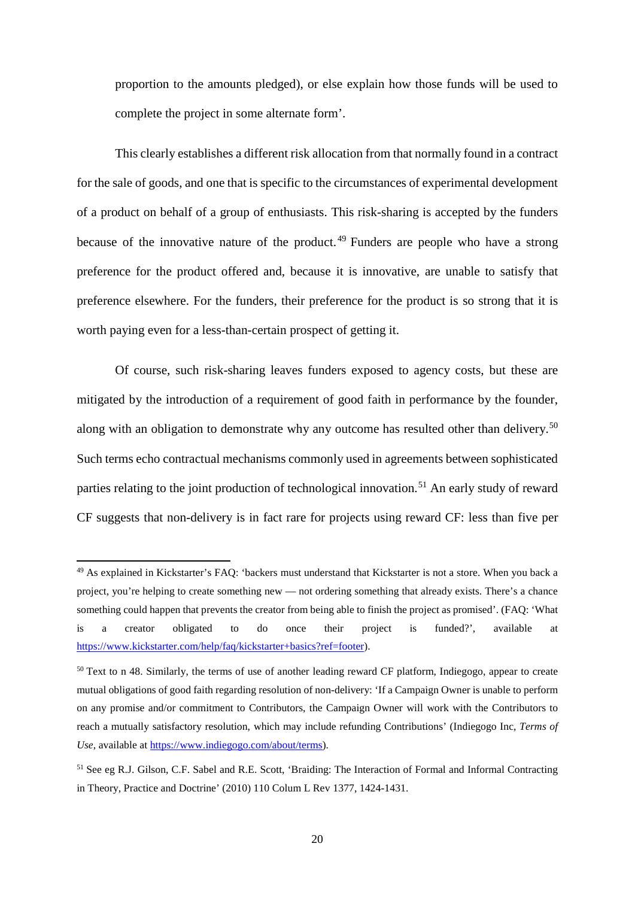<span id="page-19-3"></span>proportion to the amounts pledged), or else explain how those funds will be used to complete the project in some alternate form'.

This clearly establishes a different risk allocation from that normally found in a contract for the sale of goods, and one that is specific to the circumstances of experimental development of a product on behalf of a group of enthusiasts. This risk-sharing is accepted by the funders because of the innovative nature of the product.<sup>[49](#page-19-0)</sup> Funders are people who have a strong preference for the product offered and, because it is innovative, are unable to satisfy that preference elsewhere. For the funders, their preference for the product is so strong that it is worth paying even for a less-than-certain prospect of getting it.

Of course, such risk-sharing leaves funders exposed to agency costs, but these are mitigated by the introduction of a requirement of good faith in performance by the founder, along with an obligation to demonstrate why any outcome has resulted other than delivery.<sup>[50](#page-19-1)</sup> Such terms echo contractual mechanisms commonly used in agreements between sophisticated parties relating to the joint production of technological innovation.<sup>[51](#page-19-2)</sup> An early study of reward CF suggests that non-delivery is in fact rare for projects using reward CF: less than five per

<span id="page-19-0"></span><sup>&</sup>lt;sup>49</sup> As explained in Kickstarter's FAQ: 'backers must understand that Kickstarter is not a store. When you back a project, you're helping to create something new — not ordering something that already exists. There's a chance something could happen that prevents the creator from being able to finish the project as promised'. (FAQ: 'What is a creator obligated to do once their project is funded?', available at [https://www.kickstarter.com/help/faq/kickstarter+basics?ref=footer\)](https://www.kickstarter.com/help/faq/kickstarter+basics?ref=footer).

<span id="page-19-1"></span><sup>&</sup>lt;sup>50</sup> Text to n [48.](#page-18-2) Similarly, the terms of use of another leading reward CF platform, Indiegogo, appear to create mutual obligations of good faith regarding resolution of non-delivery: 'If a Campaign Owner is unable to perform on any promise and/or commitment to Contributors, the Campaign Owner will work with the Contributors to reach a mutually satisfactory resolution, which may include refunding Contributions' (Indiegogo Inc, *Terms of Use*, available at [https://www.indiegogo.com/about/terms\)](https://www.indiegogo.com/about/terms).

<span id="page-19-2"></span><sup>51</sup> See eg R.J. Gilson, C.F. Sabel and R.E. Scott, 'Braiding: The Interaction of Formal and Informal Contracting in Theory, Practice and Doctrine' (2010) 110 Colum L Rev 1377, 1424-1431.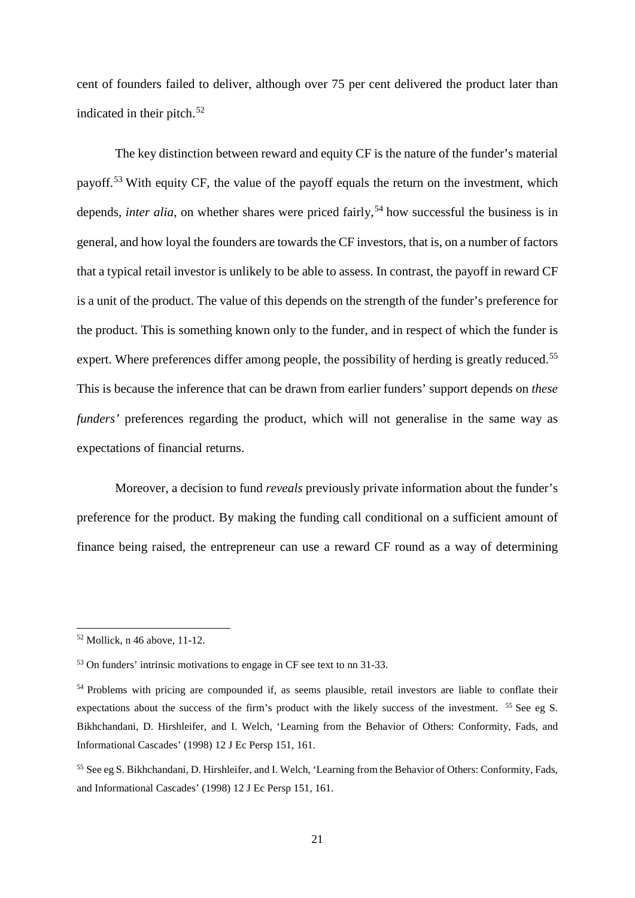cent of founders failed to deliver, although over 75 per cent delivered the product later than indicated in their pitch. [52](#page-20-0)

The key distinction between reward and equity CF is the nature of the funder's material payoff.[53](#page-20-1) With equity CF, the value of the payoff equals the return on the investment, which depends, *inter alia*, on whether shares were priced fairly, [54](#page-20-2) how successful the business is in general, and how loyal the founders are towards the CF investors, that is, on a number of factors that a typical retail investor is unlikely to be able to assess. In contrast, the payoff in reward CF is a unit of the product. The value of this depends on the strength of the funder's preference for the product. This is something known only to the funder, and in respect of which the funder is expert. Where preferences differ among people, the possibility of herding is greatly reduced.<sup>[55](#page-20-3)</sup> This is because the inference that can be drawn from earlier funders' support depends on *these funders'* preferences regarding the product, which will not generalise in the same way as expectations of financial returns.

Moreover, a decision to fund *reveals* previously private information about the funder's preference for the product. By making the funding call conditional on a sufficient amount of finance being raised, the entrepreneur can use a reward CF round as a way of determining

 $52$  Mollick, n [46](#page-17-1) above, 11-12.

<sup>53</sup> On funders' intrinsic motivations to engage in CF see text to nn [31](#page-11-3)[-33.](#page-11-4)

<span id="page-20-2"></span><span id="page-20-1"></span><span id="page-20-0"></span><sup>&</sup>lt;sup>54</sup> Problems with pricing are compounded if, as seems plausible, retail investors are liable to conflate their expectations about the success of the firm's product with the likely success of the investment. <sup>55</sup> See eg S. Bikhchandani, D. Hirshleifer, and I. Welch, 'Learning from the Behavior of Others: Conformity, Fads, and Informational Cascades' (1998) 12 J Ec Persp 151, 161.

<span id="page-20-3"></span><sup>55</sup> See eg S. Bikhchandani, D. Hirshleifer, and I. Welch, 'Learning from the Behavior of Others: Conformity, Fads, and Informational Cascades' (1998) 12 J Ec Persp 151, 161.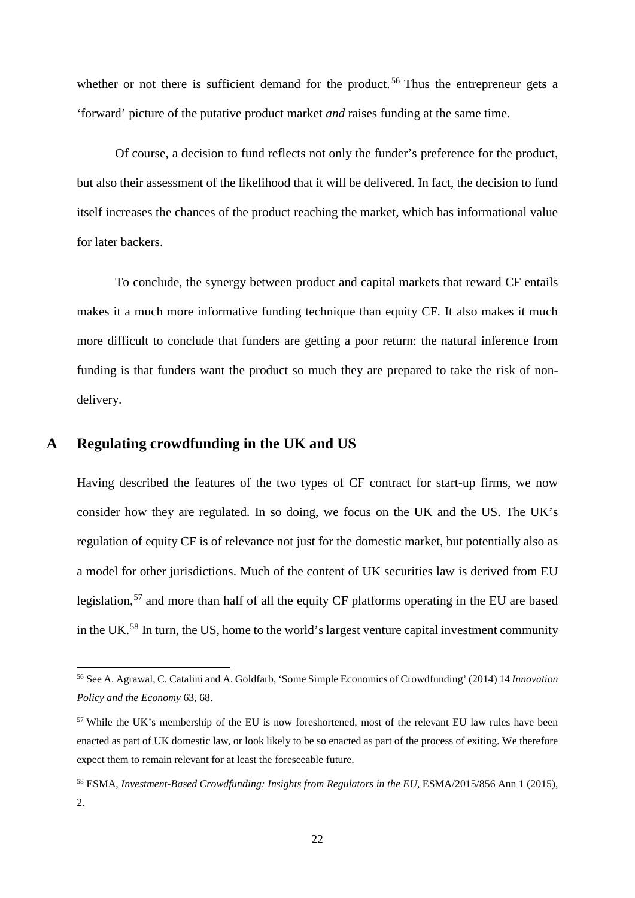<span id="page-21-3"></span>whether or not there is sufficient demand for the product.<sup>[56](#page-21-0)</sup> Thus the entrepreneur gets a 'forward' picture of the putative product market *and* raises funding at the same time.

Of course, a decision to fund reflects not only the funder's preference for the product, but also their assessment of the likelihood that it will be delivered. In fact, the decision to fund itself increases the chances of the product reaching the market, which has informational value for later backers.

To conclude, the synergy between product and capital markets that reward CF entails makes it a much more informative funding technique than equity CF. It also makes it much more difficult to conclude that funders are getting a poor return: the natural inference from funding is that funders want the product so much they are prepared to take the risk of nondelivery.

#### **A Regulating crowdfunding in the UK and US**

**.** 

Having described the features of the two types of CF contract for start-up firms, we now consider how they are regulated. In so doing, we focus on the UK and the US. The UK's regulation of equity CF is of relevance not just for the domestic market, but potentially also as a model for other jurisdictions. Much of the content of UK securities law is derived from EU legislation,<sup>[57](#page-21-1)</sup> and more than half of all the equity CF platforms operating in the EU are based in the UK.<sup>[58](#page-21-2)</sup> In turn, the US, home to the world's largest venture capital investment community

<span id="page-21-0"></span><sup>56</sup> See A. Agrawal, C. Catalini and A. Goldfarb, 'Some Simple Economics of Crowdfunding' (2014) 14 *Innovation Policy and the Economy* 63, 68.

<span id="page-21-1"></span><sup>&</sup>lt;sup>57</sup> While the UK's membership of the EU is now foreshortened, most of the relevant EU law rules have been enacted as part of UK domestic law, or look likely to be so enacted as part of the process of exiting. We therefore expect them to remain relevant for at least the foreseeable future.

<span id="page-21-2"></span><sup>58</sup> ESMA, *Investment-Based Crowdfunding: Insights from Regulators in the EU,* ESMA/2015/856 Ann 1 (2015), 2.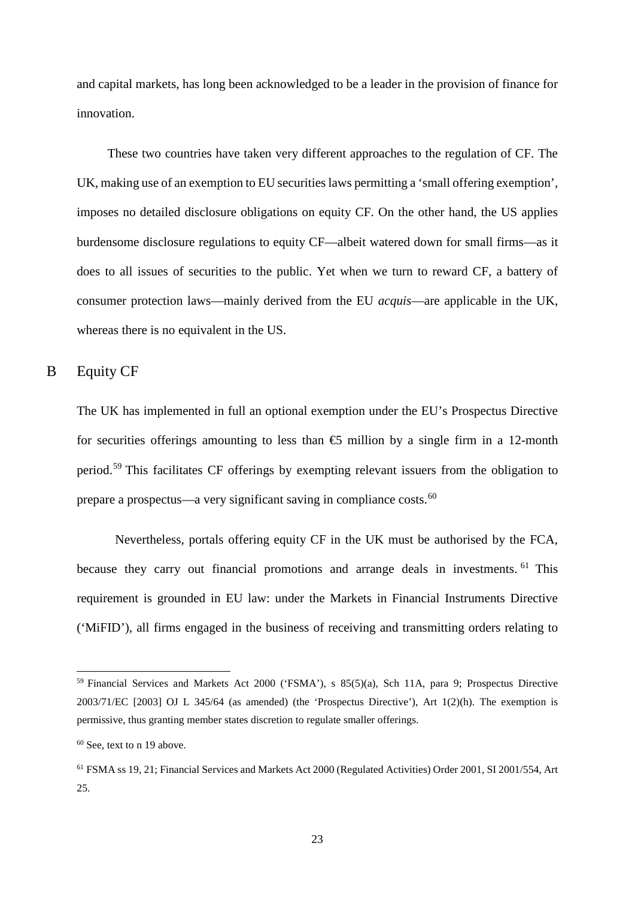and capital markets, has long been acknowledged to be a leader in the provision of finance for innovation.

These two countries have taken very different approaches to the regulation of CF. The UK, making use of an exemption to EU securities laws permitting a 'small offering exemption', imposes no detailed disclosure obligations on equity CF. On the other hand, the US applies burdensome disclosure regulations to equity CF—albeit watered down for small firms—as it does to all issues of securities to the public. Yet when we turn to reward CF, a battery of consumer protection laws—mainly derived from the EU *acquis*—are applicable in the UK, whereas there is no equivalent in the US.

## B Equity CF

The UK has implemented in full an optional exemption under the EU's Prospectus Directive for securities offerings amounting to less than  $\epsilon$  million by a single firm in a 12-month period.<sup>[59](#page-22-0)</sup> This facilitates CF offerings by exempting relevant issuers from the obligation to prepare a prospectus—a very significant saving in compliance costs.<sup>[60](#page-22-1)</sup>

<span id="page-22-3"></span>Nevertheless, portals offering equity CF in the UK must be authorised by the FCA, because they carry out financial promotions and arrange deals in investments. [61](#page-22-2) This requirement is grounded in EU law: under the Markets in Financial Instruments Directive ('MiFID'), all firms engaged in the business of receiving and transmitting orders relating to

<span id="page-22-0"></span><sup>59</sup> Financial Services and Markets Act 2000 ('FSMA'), s 85(5)(a), Sch 11A, para 9; Prospectus Directive 2003/71/EC [2003] OJ L 345/64 (as amended) (the 'Prospectus Directive'), Art 1(2)(h). The exemption is permissive, thus granting member states discretion to regulate smaller offerings.

<span id="page-22-1"></span><sup>&</sup>lt;sup>60</sup> See, text to [n 19](#page-7-4) above.

<span id="page-22-2"></span><sup>61</sup> FSMA ss 19, 21; Financial Services and Markets Act 2000 (Regulated Activities) Order 2001, SI 2001/554, Art 25.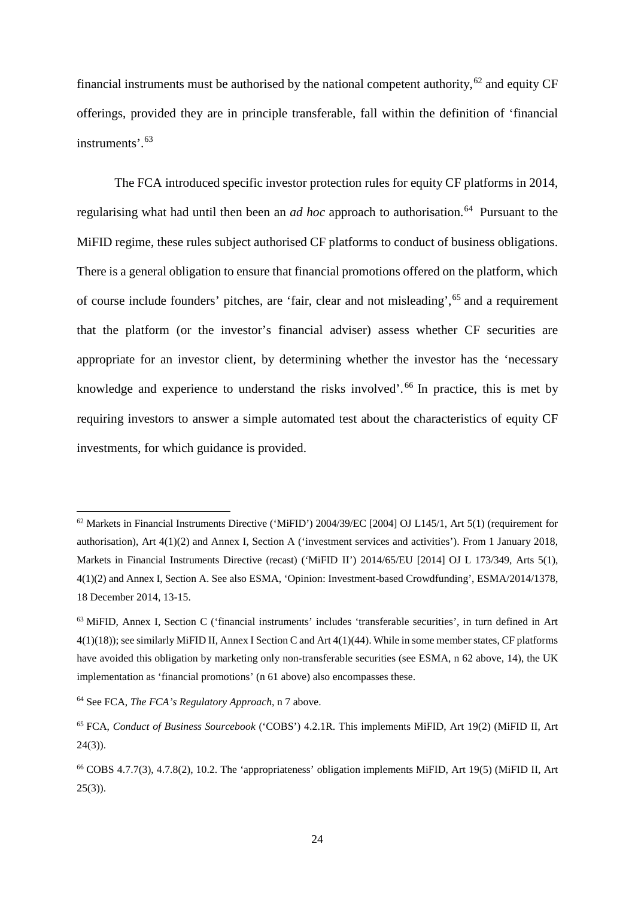<span id="page-23-0"></span>financial instruments must be authorised by the national competent authority,  $62$  and equity CF offerings, provided they are in principle transferable, fall within the definition of 'financial instruments'.[63](#page-23-2)

The FCA introduced specific investor protection rules for equity CF platforms in 2014, regularising what had until then been an *ad hoc* approach to authorisation.<sup>64</sup> Pursuant to the MiFID regime, these rules subject authorised CF platforms to conduct of business obligations. There is a general obligation to ensure that financial promotions offered on the platform, which of course include founders' pitches, are 'fair, clear and not misleading', [65](#page-23-4) and a requirement that the platform (or the investor's financial adviser) assess whether CF securities are appropriate for an investor client, by determining whether the investor has the 'necessary knowledge and experience to understand the risks involved'.<sup>[66](#page-23-5)</sup> In practice, this is met by requiring investors to answer a simple automated test about the characteristics of equity CF investments, for which guidance is provided.

<span id="page-23-1"></span><sup>62</sup> Markets in Financial Instruments Directive ('MiFID') 2004/39/EC [2004] OJ L145/1, Art 5(1) (requirement for authorisation), Art 4(1)(2) and Annex I, Section A ('investment services and activities'). From 1 January 2018, Markets in Financial Instruments Directive (recast) ('MiFID II') 2014/65/EU [2014] OJ L 173/349, Arts 5(1), 4(1)(2) and Annex I, Section A. See also ESMA, 'Opinion: Investment-based Crowdfunding', ESMA/2014/1378, 18 December 2014, 13-15.

<span id="page-23-2"></span><sup>63</sup> MiFID, Annex I, Section C ('financial instruments' includes 'transferable securities', in turn defined in Art 4(1)(18)); see similarly MiFID II, Annex I Section C and Art 4(1)(44). While in some member states, CF platforms have avoided this obligation by marketing only non-transferable securities (see ESMA, n [62](#page-23-0) above, 14), the UK implementation as 'financial promotions' (n [61](#page-22-3) above) also encompasses these.

<span id="page-23-3"></span><sup>64</sup> See FCA, *The FCA's Regulatory Approach*, n [7](#page-2-5) above.

<span id="page-23-4"></span><sup>65</sup> FCA, *Conduct of Business Sourcebook* ('COBS') 4.2.1R. This implements MiFID, Art 19(2) (MiFID II, Art  $24(3)$ ).

<span id="page-23-5"></span><sup>66</sup> COBS 4.7.7(3), 4.7.8(2), 10.2. The 'appropriateness' obligation implements MiFID, Art 19(5) (MiFID II, Art  $25(3)$ ).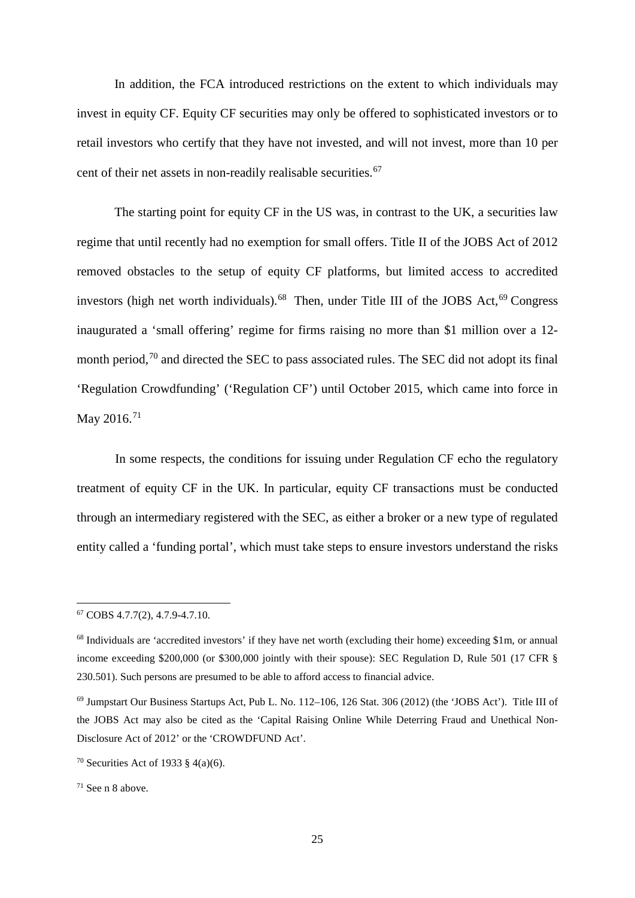In addition, the FCA introduced restrictions on the extent to which individuals may invest in equity CF. Equity CF securities may only be offered to sophisticated investors or to retail investors who certify that they have not invested, and will not invest, more than 10 per cent of their net assets in non-readily realisable securities.<sup>[67](#page-24-0)</sup>

<span id="page-24-5"></span>The starting point for equity CF in the US was, in contrast to the UK, a securities law regime that until recently had no exemption for small offers. Title II of the JOBS Act of 2012 removed obstacles to the setup of equity CF platforms, but limited access to accredited investors (high net worth individuals).<sup>68</sup> Then, under Title III of the JOBS Act,<sup>[69](#page-24-2)</sup> Congress inaugurated a 'small offering' regime for firms raising no more than \$1 million over a 12 month period,  $70$  and directed the SEC to pass associated rules. The SEC did not adopt its final 'Regulation Crowdfunding' ('Regulation CF') until October 2015, which came into force in May 2016.<sup>71</sup>

In some respects, the conditions for issuing under Regulation CF echo the regulatory treatment of equity CF in the UK. In particular, equity CF transactions must be conducted through an intermediary registered with the SEC, as either a broker or a new type of regulated entity called a 'funding portal', which must take steps to ensure investors understand the risks

<span id="page-24-0"></span><sup>67</sup> COBS 4.7.7(2), 4.7.9-4.7.10.

<span id="page-24-1"></span><sup>68</sup> Individuals are 'accredited investors' if they have net worth (excluding their home) exceeding \$1m, or annual income exceeding \$200,000 (or \$300,000 jointly with their spouse): SEC Regulation D, Rule 501 (17 CFR § 230.501). Such persons are presumed to be able to afford access to financial advice.

<span id="page-24-2"></span><sup>69</sup> Jumpstart Our Business Startups Act, Pub L. No. 112–106, 126 Stat. 306 (2012) (the 'JOBS Act'). Title III of the JOBS Act may also be cited as the 'Capital Raising Online While Deterring Fraud and Unethical Non-Disclosure Act of 2012' or the 'CROWDFUND Act'.

<span id="page-24-3"></span><sup>&</sup>lt;sup>70</sup> Securities Act of 1933 § 4(a)(6).

<span id="page-24-4"></span><sup>71</sup> See n [8](#page-2-6) above.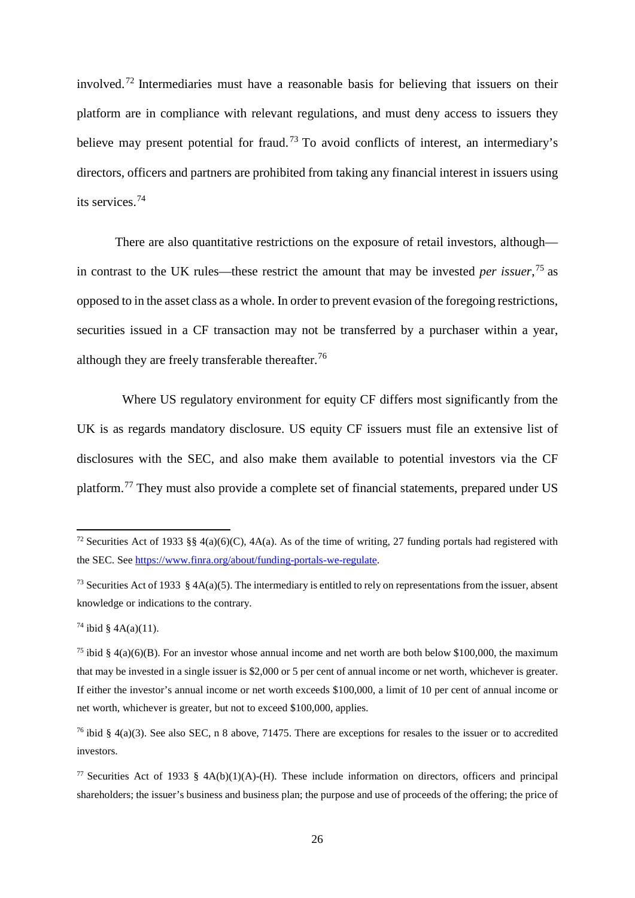involved.[72](#page-25-0) Intermediaries must have a reasonable basis for believing that issuers on their platform are in compliance with relevant regulations, and must deny access to issuers they believe may present potential for fraud.<sup>[73](#page-25-1)</sup> To avoid conflicts of interest, an intermediary's directors, officers and partners are prohibited from taking any financial interest in issuers using its services.[74](#page-25-2)

There are also quantitative restrictions on the exposure of retail investors, although in contrast to the UK rules—these restrict the amount that may be invested *per issuer*, [75](#page-25-3) as opposed to in the asset class as a whole. In order to prevent evasion of the foregoing restrictions, securities issued in a CF transaction may not be transferred by a purchaser within a year, although they are freely transferable thereafter.<sup>[76](#page-25-4)</sup>

Where US regulatory environment for equity CF differs most significantly from the UK is as regards mandatory disclosure. US equity CF issuers must file an extensive list of disclosures with the SEC, and also make them available to potential investors via the CF platform.[77](#page-25-5) They must also provide a complete set of financial statements, prepared under US

<span id="page-25-0"></span><sup>&</sup>lt;sup>72</sup> Securities Act of 1933 §§ 4(a)(6)(C), 4A(a). As of the time of writing, 27 funding portals had registered with the SEC. See [https://www.finra.org/about/funding-portals-we-regulate.](https://www.finra.org/about/funding-portals-we-regulate)

<span id="page-25-1"></span><sup>&</sup>lt;sup>73</sup> Securities Act of 1933 § 4A(a)(5). The intermediary is entitled to rely on representations from the issuer, absent knowledge or indications to the contrary.

<span id="page-25-2"></span> $74$  ibid § 4A(a)(11).

<span id="page-25-3"></span><sup>&</sup>lt;sup>75</sup> ibid § 4(a)(6)(B). For an investor whose annual income and net worth are both below \$100,000, the maximum that may be invested in a single issuer is \$2,000 or 5 per cent of annual income or net worth, whichever is greater. If either the investor's annual income or net worth exceeds \$100,000, a limit of 10 per cent of annual income or net worth, whichever is greater, but not to exceed \$100,000, applies.

<span id="page-25-4"></span><sup>&</sup>lt;sup>76</sup> ibid § 4(a)(3). See also SEC, n [8](#page-2-4) above, 71475. There are exceptions for resales to the issuer or to accredited investors.

<span id="page-25-5"></span><sup>&</sup>lt;sup>77</sup> Securities Act of 1933 § 4A(b)(1)(A)-(H). These include information on directors, officers and principal shareholders; the issuer's business and business plan; the purpose and use of proceeds of the offering; the price of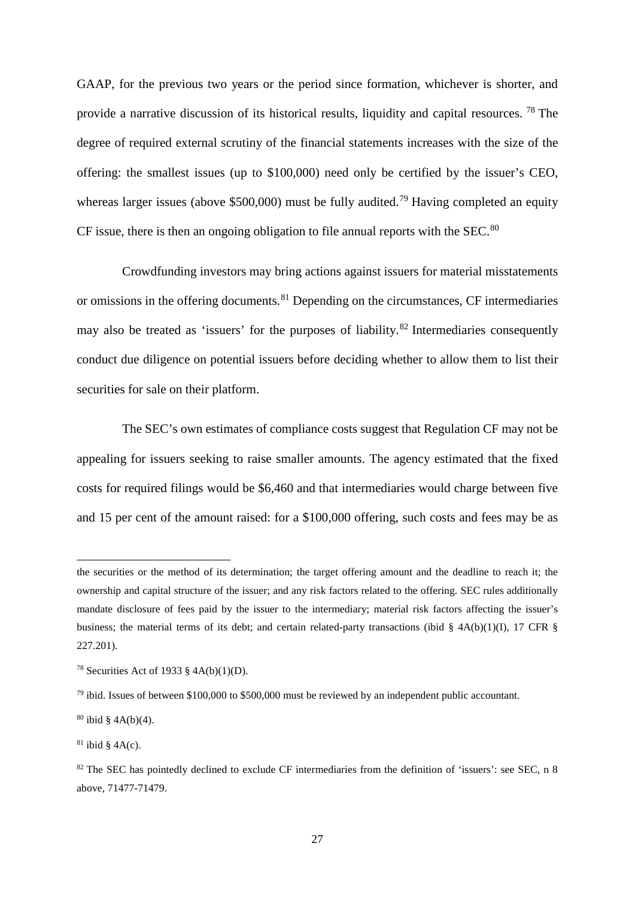GAAP, for the previous two years or the period since formation, whichever is shorter, and provide a narrative discussion of its historical results, liquidity and capital resources.  $^{78}$  $^{78}$  $^{78}$  The degree of required external scrutiny of the financial statements increases with the size of the offering: the smallest issues (up to \$100,000) need only be certified by the issuer's CEO, whereas larger issues (above \$500,000) must be fully audited.<sup>[79](#page-26-1)</sup> Having completed an equity  $CF$  issue, there is then an ongoing obligation to file annual reports with the SEC. $80$ 

Crowdfunding investors may bring actions against issuers for material misstatements or omissions in the offering documents.<sup>[81](#page-26-3)</sup> Depending on the circumstances, CF intermediaries may also be treated as 'issuers' for the purposes of liability.<sup>[82](#page-26-4)</sup> Intermediaries consequently conduct due diligence on potential issuers before deciding whether to allow them to list their securities for sale on their platform.

The SEC's own estimates of compliance costs suggest that Regulation CF may not be appealing for issuers seeking to raise smaller amounts. The agency estimated that the fixed costs for required filings would be \$6,460 and that intermediaries would charge between five and 15 per cent of the amount raised: for a \$100,000 offering, such costs and fees may be as

the securities or the method of its determination; the target offering amount and the deadline to reach it; the ownership and capital structure of the issuer; and any risk factors related to the offering. SEC rules additionally mandate disclosure of fees paid by the issuer to the intermediary; material risk factors affecting the issuer's business; the material terms of its debt; and certain related-party transactions (ibid  $\S$  4A(b)(1)(I), 17 CFR  $\S$ 227.201).

<span id="page-26-0"></span><sup>&</sup>lt;sup>78</sup> Securities Act of 1933 §  $4A(b)(1)(D)$ .

<span id="page-26-1"></span> $79$  ibid. Issues of between \$100,000 to \$500,000 must be reviewed by an independent public accountant.

<span id="page-26-2"></span> $80$  ibid § 4A(b)(4).

<span id="page-26-3"></span> $81$  ibid  $§$  4A(c).

<span id="page-26-4"></span><sup>&</sup>lt;sup>82</sup> The SEC has pointedly declined to exclude CF intermediaries from the definition of 'issuers': see SEC, n [8](#page-2-4) above, 71477-71479.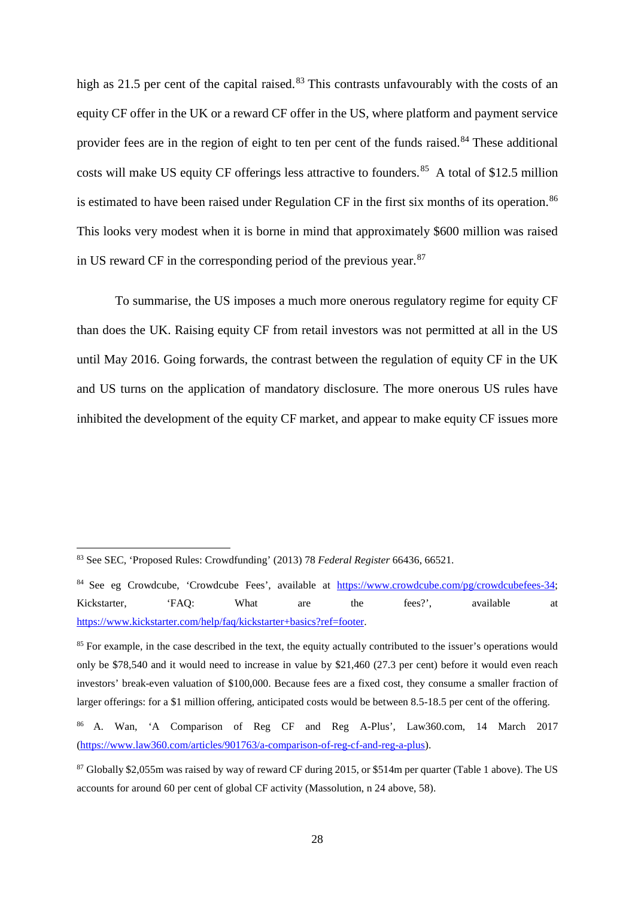high as 21.5 per cent of the capital raised.<sup>[83](#page-27-0)</sup> This contrasts unfavourably with the costs of an equity CF offer in the UK or a reward CF offer in the US, where platform and payment service provider fees are in the region of eight to ten per cent of the funds raised.<sup>[84](#page-27-1)</sup> These additional costs will make US equity CF offerings less attractive to founders.<sup>[85](#page-27-2)</sup> A total of \$12.5 million is estimated to have been raised under Regulation CF in the first six months of its operation.<sup>[86](#page-27-3)</sup> This looks very modest when it is borne in mind that approximately \$600 million was raised in US reward CF in the corresponding period of the previous year.  $87$ 

To summarise, the US imposes a much more onerous regulatory regime for equity CF than does the UK. Raising equity CF from retail investors was not permitted at all in the US until May 2016. Going forwards, the contrast between the regulation of equity CF in the UK and US turns on the application of mandatory disclosure. The more onerous US rules have inhibited the development of the equity CF market, and appear to make equity CF issues more

<span id="page-27-0"></span><sup>83</sup> See SEC, 'Proposed Rules: Crowdfunding' (2013) 78 *Federal Register* 66436, 66521.

<span id="page-27-1"></span><sup>&</sup>lt;sup>84</sup> See eg Crowdcube, 'Crowdcube Fees', available at https://www.crowdcube.com/pg/crowdcubefees-34: Kickstarter, 'FAQ: What are the fees?', available at [https://www.kickstarter.com/help/faq/kickstarter+basics?ref=footer.](https://www.kickstarter.com/help/faq/kickstarter+basics?ref=footer)

<span id="page-27-2"></span><sup>&</sup>lt;sup>85</sup> For example, in the case described in the text, the equity actually contributed to the issuer's operations would only be \$78,540 and it would need to increase in value by \$21,460 (27.3 per cent) before it would even reach investors' break-even valuation of \$100,000. Because fees are a fixed cost, they consume a smaller fraction of larger offerings: for a \$1 million offering, anticipated costs would be between 8.5-18.5 per cent of the offering.

<span id="page-27-3"></span><sup>86</sup> A. Wan, 'A Comparison of Reg CF and Reg A-Plus', Law360.com, 14 March 2017 [\(https://www.law360.com/articles/901763/a-comparison-of-reg-cf-and-reg-a-plus\)](https://www.law360.com/articles/901763/a-comparison-of-reg-cf-and-reg-a-plus).

<span id="page-27-4"></span><sup>&</sup>lt;sup>87</sup> Globally \$2,055m was raised by way of reward CF during 2015, or \$514m per quarter (Table 1 above). The US accounts for around 60 per cent of global CF activity (Massolution, [n 24](#page-9-3) above, 58).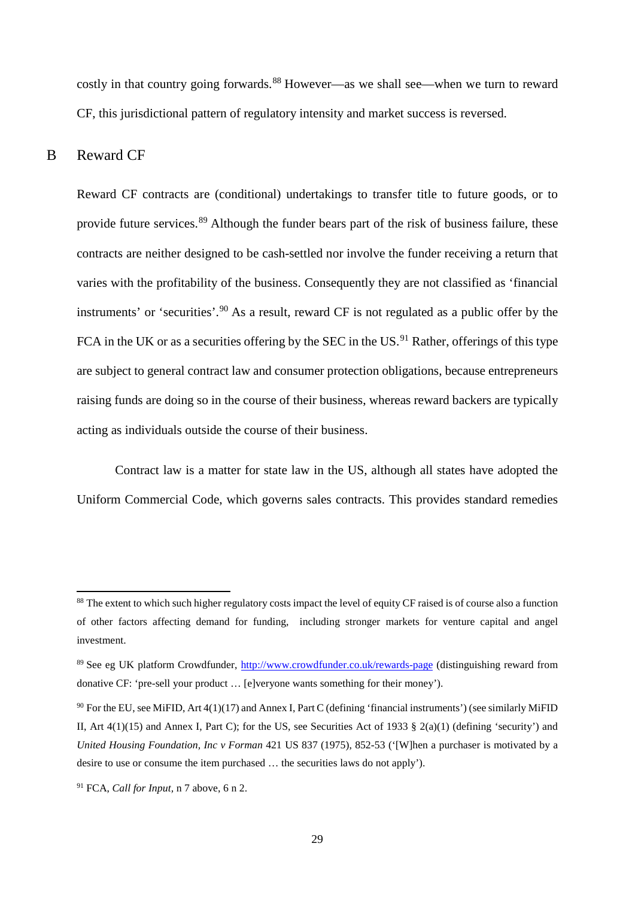costly in that country going forwards.<sup>[88](#page-28-0)</sup> However—as we shall see—when we turn to reward CF, this jurisdictional pattern of regulatory intensity and market success is reversed.

#### B Reward CF

**.** 

Reward CF contracts are (conditional) undertakings to transfer title to future goods, or to provide future services.<sup>[89](#page-28-1)</sup> Although the funder bears part of the risk of business failure, these contracts are neither designed to be cash-settled nor involve the funder receiving a return that varies with the profitability of the business. Consequently they are not classified as 'financial instruments' or 'securities'. [90](#page-28-2) As a result, reward CF is not regulated as a public offer by the FCA in the UK or as a securities offering by the SEC in the US.<sup>[91](#page-28-3)</sup> Rather, offerings of this type are subject to general contract law and consumer protection obligations, because entrepreneurs raising funds are doing so in the course of their business, whereas reward backers are typically acting as individuals outside the course of their business.

Contract law is a matter for state law in the US, although all states have adopted the Uniform Commercial Code, which governs sales contracts. This provides standard remedies

<span id="page-28-0"></span><sup>&</sup>lt;sup>88</sup> The extent to which such higher regulatory costs impact the level of equity CF raised is of course also a function of other factors affecting demand for funding, including stronger markets for venture capital and angel investment.

<span id="page-28-1"></span><sup>&</sup>lt;sup>89</sup> See eg UK platform Crowdfunder,<http://www.crowdfunder.co.uk/rewards-page> (distinguishing reward from donative CF: 'pre-sell your product … [e]veryone wants something for their money').

<span id="page-28-2"></span><sup>90</sup> For the EU, see MiFID, Art 4(1)(17) and Annex I, Part C (defining 'financial instruments') (see similarly MiFID II, Art  $4(1)(15)$  and Annex I, Part C); for the US, see Securities Act of 1933 § 2(a)(1) (defining 'security') and *United Housing Foundation, Inc v Forman* 421 US 837 (1975), 852-53 ('[W]hen a purchaser is motivated by a desire to use or consume the item purchased … the securities laws do not apply').

<span id="page-28-3"></span><sup>91</sup> FCA, *Call for Input,* n [7](#page-2-5) above, 6 n 2.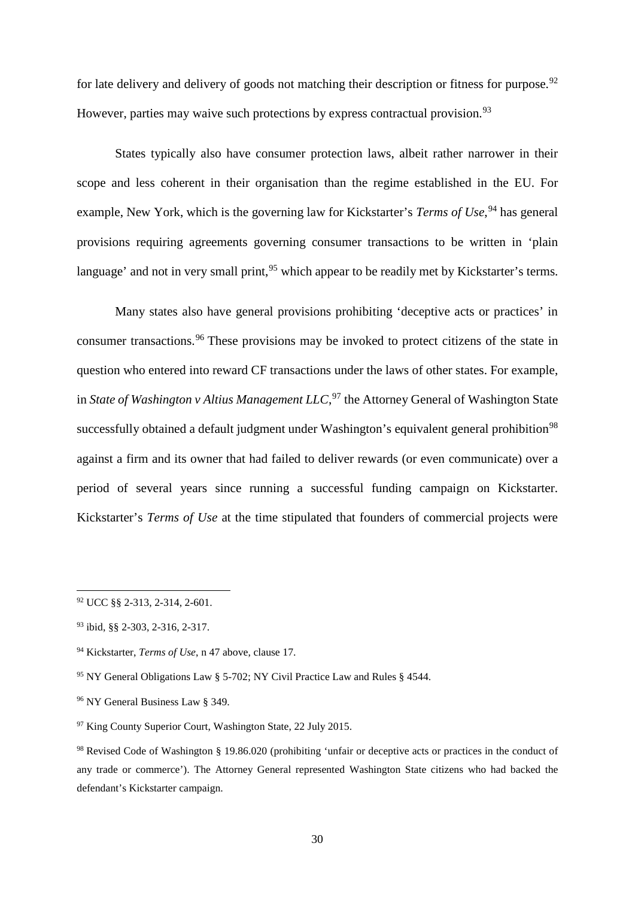for late delivery and delivery of goods not matching their description or fitness for purpose.  $92$ However, parties may waive such protections by express contractual provision.<sup>[93](#page-29-1)</sup>

States typically also have consumer protection laws, albeit rather narrower in their scope and less coherent in their organisation than the regime established in the EU. For example, New York, which is the governing law for Kickstarter's *Terms of Use*,<sup>[94](#page-29-2)</sup> has general provisions requiring agreements governing consumer transactions to be written in 'plain language' and not in very small print,<sup>[95](#page-29-3)</sup> which appear to be readily met by Kickstarter's terms.

Many states also have general provisions prohibiting 'deceptive acts or practices' in consumer transactions.<sup>[96](#page-29-4)</sup> These provisions may be invoked to protect citizens of the state in question who entered into reward CF transactions under the laws of other states. For example, in *State of Washington v Altius Management LLC*, [97](#page-29-5) the Attorney General of Washington State successfully obtained a default judgment under Washington's equivalent general prohibition<sup>[98](#page-29-6)</sup> against a firm and its owner that had failed to deliver rewards (or even communicate) over a period of several years since running a successful funding campaign on Kickstarter. Kickstarter's *Terms of Use* at the time stipulated that founders of commercial projects were

<span id="page-29-0"></span><sup>92</sup> UCC §§ 2-313, 2-314, 2-601.

<span id="page-29-1"></span><sup>93</sup> ibid, §§ 2-303, 2-316, 2-317.

<span id="page-29-2"></span><sup>94</sup> Kickstarter, *Terms of Use*, n [47](#page-18-3) above, clause 17.

<span id="page-29-3"></span><sup>95</sup> NY General Obligations Law § 5-702; NY Civil Practice Law and Rules § 4544.

<span id="page-29-4"></span><sup>96</sup> NY General Business Law § 349.

<span id="page-29-5"></span><sup>97</sup> King County Superior Court, Washington State, 22 July 2015.

<span id="page-29-6"></span><sup>&</sup>lt;sup>98</sup> Revised Code of Washington § 19.86.020 (prohibiting 'unfair or deceptive acts or practices in the conduct of any trade or commerce'). The Attorney General represented Washington State citizens who had backed the defendant's Kickstarter campaign.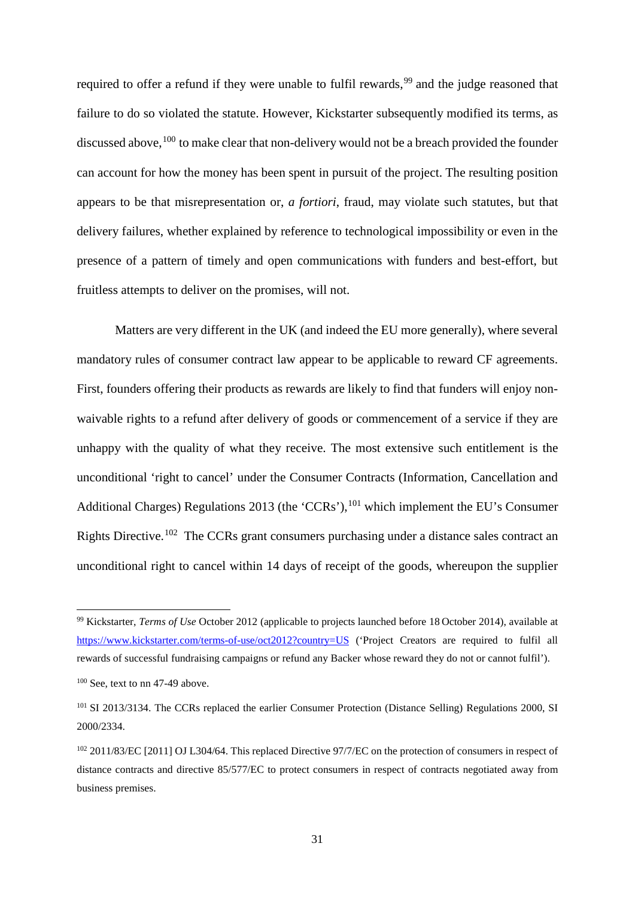required to offer a refund if they were unable to fulfil rewards,<sup>[99](#page-30-0)</sup> and the judge reasoned that failure to do so violated the statute. However, Kickstarter subsequently modified its terms, as discussed above, <sup>[100](#page-30-1)</sup> to make clear that non-delivery would not be a breach provided the founder can account for how the money has been spent in pursuit of the project. The resulting position appears to be that misrepresentation or, *a fortiori*, fraud, may violate such statutes, but that delivery failures, whether explained by reference to technological impossibility or even in the presence of a pattern of timely and open communications with funders and best-effort, but fruitless attempts to deliver on the promises, will not.

Matters are very different in the UK (and indeed the EU more generally), where several mandatory rules of consumer contract law appear to be applicable to reward CF agreements. First, founders offering their products as rewards are likely to find that funders will enjoy nonwaivable rights to a refund after delivery of goods or commencement of a service if they are unhappy with the quality of what they receive. The most extensive such entitlement is the unconditional 'right to cancel' under the Consumer Contracts (Information, Cancellation and Additional Charges) Regulations 2013 (the 'CCRs'),  $^{101}$  $^{101}$  $^{101}$  which implement the EU's Consumer Rights Directive.<sup>[102](#page-30-3)</sup> The CCRs grant consumers purchasing under a distance sales contract an unconditional right to cancel within 14 days of receipt of the goods, whereupon the supplier

<span id="page-30-4"></span><span id="page-30-0"></span><sup>99</sup> Kickstarter, *Terms of Use* October 2012 (applicable to projects launched before 18 October 2014), available at <https://www.kickstarter.com/terms-of-use/oct2012?country=US> ('Project Creators are required to fulfil all rewards of successful fundraising campaigns or refund any Backer whose reward they do not or cannot fulfil').

<span id="page-30-1"></span><sup>100</sup> See, text to nn [47](#page-18-3)[-49](#page-19-3) above.

<span id="page-30-2"></span><sup>101</sup> SI 2013/3134. The CCRs replaced the earlier Consumer Protection (Distance Selling) Regulations 2000, SI 2000/2334.

<span id="page-30-3"></span><sup>102</sup> 2011/83/EC [2011] OJ L304/64. This replaced Directive 97/7/EC on the protection of consumers in respect of distance contracts and directive 85/577/EC to protect consumers in respect of contracts negotiated away from business premises.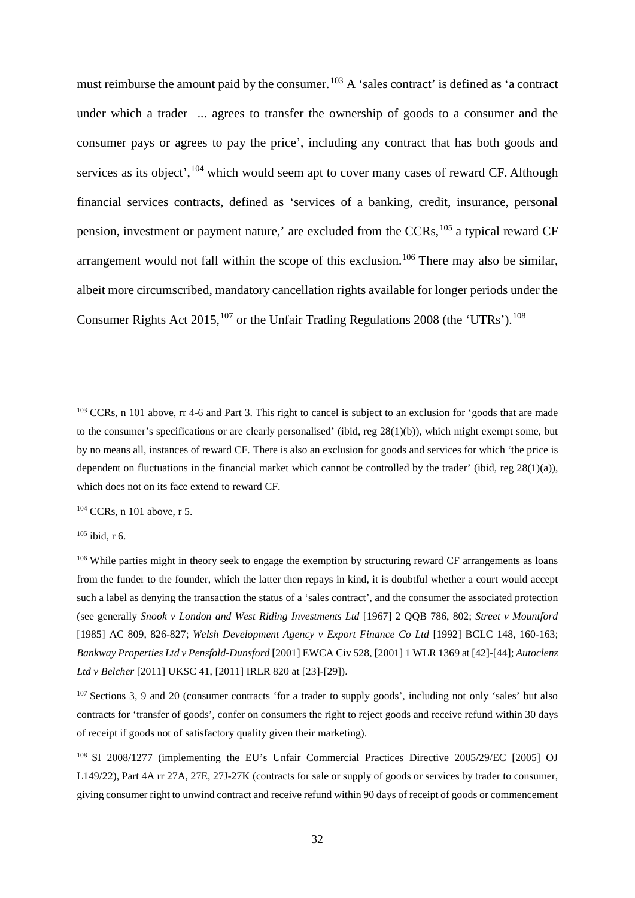must reimburse the amount paid by the consumer.<sup>[103](#page-31-0)</sup> A 'sales contract' is defined as 'a contract under which a trader ... agrees to transfer the ownership of goods to a consumer and the consumer pays or agrees to pay the price', including any contract that has both goods and services as its object', <sup>[104](#page-31-1)</sup> which would seem apt to cover many cases of reward CF. Although financial services contracts, defined as 'services of a banking, credit, insurance, personal pension, investment or payment nature,' are excluded from the CCRs, <sup>[105](#page-31-2)</sup> a typical reward CF arrangement would not fall within the scope of this exclusion.<sup>[106](#page-31-3)</sup> There may also be similar, albeit more circumscribed, mandatory cancellation rights available for longer periods under the Consumer Rights Act 2015,<sup>[107](#page-31-4)</sup> or the Unfair Trading Regulations 2008 (the 'UTRs').<sup>[108](#page-31-5)</sup>

<span id="page-31-1"></span><sup>104</sup> CCRs, [n 101](#page-30-4) above, r 5.

<span id="page-31-2"></span> $105$  ibid, r 6.

<span id="page-31-0"></span><sup>&</sup>lt;sup>103</sup> CCRs, n [101](#page-30-4) above, rr 4-6 and Part 3. This right to cancel is subject to an exclusion for 'goods that are made to the consumer's specifications or are clearly personalised' (ibid, reg  $28(1)(b)$ ), which might exempt some, but by no means all, instances of reward CF. There is also an exclusion for goods and services for which 'the price is dependent on fluctuations in the financial market which cannot be controlled by the trader' (ibid, reg 28(1)(a)), which does not on its face extend to reward CF.

<span id="page-31-3"></span><sup>&</sup>lt;sup>106</sup> While parties might in theory seek to engage the exemption by structuring reward CF arrangements as loans from the funder to the founder, which the latter then repays in kind, it is doubtful whether a court would accept such a label as denying the transaction the status of a 'sales contract', and the consumer the associated protection (see generally *Snook v London and West Riding Investments Ltd* [1967] 2 QQB 786, 802; *Street v Mountford*  [1985] AC 809, 826-827; *Welsh Development Agency v Export Finance Co Ltd* [1992] BCLC 148, 160-163; *Bankway Properties Ltd v Pensfold-Dunsford* [2001] EWCA Civ 528, [2001] 1 WLR 1369 at [42]-[44]; *Autoclenz Ltd v Belcher* [2011] UKSC 41, [2011] IRLR 820 at [23]-[29]).

<span id="page-31-4"></span><sup>&</sup>lt;sup>107</sup> Sections 3, 9 and 20 (consumer contracts 'for a trader to supply goods', including not only 'sales' but also contracts for 'transfer of goods', confer on consumers the right to reject goods and receive refund within 30 days of receipt if goods not of satisfactory quality given their marketing).

<span id="page-31-5"></span><sup>108</sup> SI 2008/1277 (implementing the EU's Unfair Commercial Practices Directive 2005/29/EC [2005] OJ L149/22), Part 4A rr 27A, 27E, 27J-27K (contracts for sale or supply of goods or services by trader to consumer, giving consumer right to unwind contract and receive refund within 90 days of receipt of goods or commencement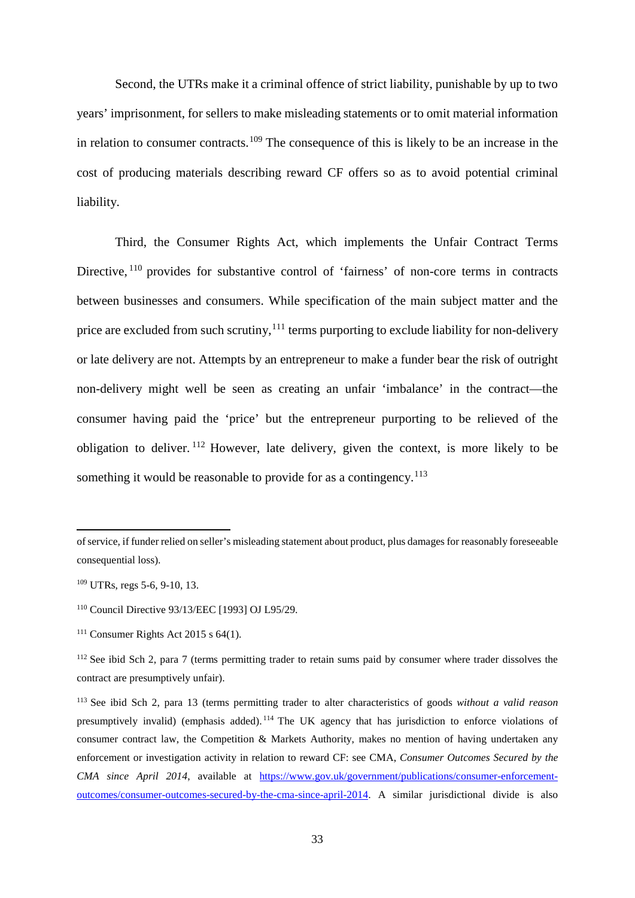Second, the UTRs make it a criminal offence of strict liability, punishable by up to two years' imprisonment, for sellers to make misleading statements or to omit material information in relation to consumer contracts.<sup>[109](#page-32-0)</sup> The consequence of this is likely to be an increase in the cost of producing materials describing reward CF offers so as to avoid potential criminal liability.

Third, the Consumer Rights Act, which implements the Unfair Contract Terms Directive, <sup>[110](#page-32-1)</sup> provides for substantive control of 'fairness' of non-core terms in contracts between businesses and consumers. While specification of the main subject matter and the price are excluded from such scrutiny, $111$  terms purporting to exclude liability for non-delivery or late delivery are not. Attempts by an entrepreneur to make a funder bear the risk of outright non-delivery might well be seen as creating an unfair 'imbalance' in the contract—the consumer having paid the 'price' but the entrepreneur purporting to be relieved of the obligation to deliver. [112](#page-32-3) However, late delivery, given the context, is more likely to be something it would be reasonable to provide for as a contingency.<sup>[113](#page-32-4)</sup>

of service, if funder relied on seller's misleading statement about product, plus damages for reasonably foreseeable consequential loss).

<sup>109</sup> UTRs, regs 5-6, 9-10, 13.

<sup>110</sup> Council Directive 93/13/EEC [1993] OJ L95/29.

 $111$  Consumer Rights Act 2015 s 64(1).

<span id="page-32-1"></span><span id="page-32-0"></span><sup>&</sup>lt;sup>112</sup> See ibid Sch 2, para 7 (terms permitting trader to retain sums paid by consumer where trader dissolves the contract are presumptively unfair).

<span id="page-32-4"></span><span id="page-32-3"></span><span id="page-32-2"></span><sup>113</sup> See ibid Sch 2, para 13 (terms permitting trader to alter characteristics of goods *without a valid reason* presumptively invalid) (emphasis added). <sup>114</sup> The UK agency that has jurisdiction to enforce violations of consumer contract law, the Competition & Markets Authority, makes no mention of having undertaken any enforcement or investigation activity in relation to reward CF: see CMA, *Consumer Outcomes Secured by the CMA since April 2014*, available at [https://www.gov.uk/government/publications/consumer-enforcement](https://www.gov.uk/government/publications/consumer-enforcement-outcomes/consumer-outcomes-secured-by-the-cma-since-april-2014)[outcomes/consumer-outcomes-secured-by-the-cma-since-april-2014.](https://www.gov.uk/government/publications/consumer-enforcement-outcomes/consumer-outcomes-secured-by-the-cma-since-april-2014) A similar jurisdictional divide is also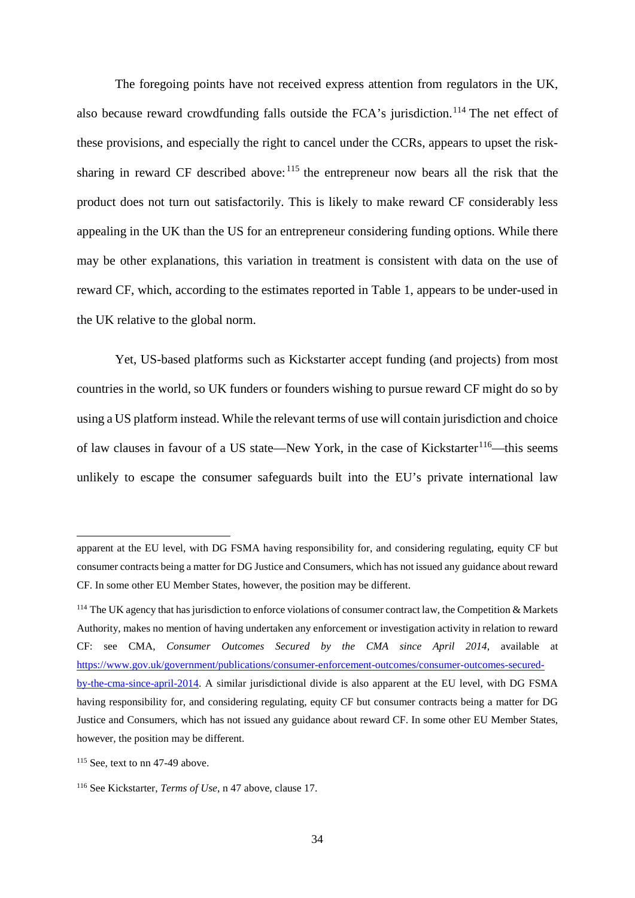The foregoing points have not received express attention from regulators in the UK, also because reward crowdfunding falls outside the FCA's jurisdiction.<sup>[114](#page-33-0)</sup> The net effect of these provisions, and especially the right to cancel under the CCRs, appears to upset the risksharing in reward CF described above: [115](#page-33-1) the entrepreneur now bears all the risk that the product does not turn out satisfactorily. This is likely to make reward CF considerably less appealing in the UK than the US for an entrepreneur considering funding options. While there may be other explanations, this variation in treatment is consistent with data on the use of reward CF, which, according to the estimates reported in Table 1, appears to be under-used in the UK relative to the global norm.

Yet, US-based platforms such as Kickstarter accept funding (and projects) from most countries in the world, so UK funders or founders wishing to pursue reward CF might do so by using a US platform instead. While the relevant terms of use will contain jurisdiction and choice of law clauses in favour of a US state—New York, in the case of Kickstarter<sup>[116](#page-33-2)</sup>—this seems unlikely to escape the consumer safeguards built into the EU's private international law

apparent at the EU level, with DG FSMA having responsibility for, and considering regulating, equity CF but consumer contracts being a matter for DG Justice and Consumers, which has not issued any guidance about reward CF. In some other EU Member States, however, the position may be different.

<span id="page-33-0"></span> $114$  The UK agency that has jurisdiction to enforce violations of consumer contract law, the Competition & Markets Authority, makes no mention of having undertaken any enforcement or investigation activity in relation to reward CF: see CMA, *Consumer Outcomes Secured by the CMA since April 2014*, available at [https://www.gov.uk/government/publications/consumer-enforcement-outcomes/consumer-outcomes-secured](https://www.gov.uk/government/publications/consumer-enforcement-outcomes/consumer-outcomes-secured-by-the-cma-since-april-2014)[by-the-cma-since-april-2014.](https://www.gov.uk/government/publications/consumer-enforcement-outcomes/consumer-outcomes-secured-by-the-cma-since-april-2014) A similar jurisdictional divide is also apparent at the EU level, with DG FSMA having responsibility for, and considering regulating, equity CF but consumer contracts being a matter for DG Justice and Consumers, which has not issued any guidance about reward CF. In some other EU Member States, however, the position may be different.

<span id="page-33-1"></span><sup>&</sup>lt;sup>115</sup> See, text to nn [47](#page-18-3)[-49](#page-19-3) above.

<span id="page-33-2"></span><sup>116</sup> See Kickstarter, *Terms of Use*, n [47](#page-18-3) above, clause 17.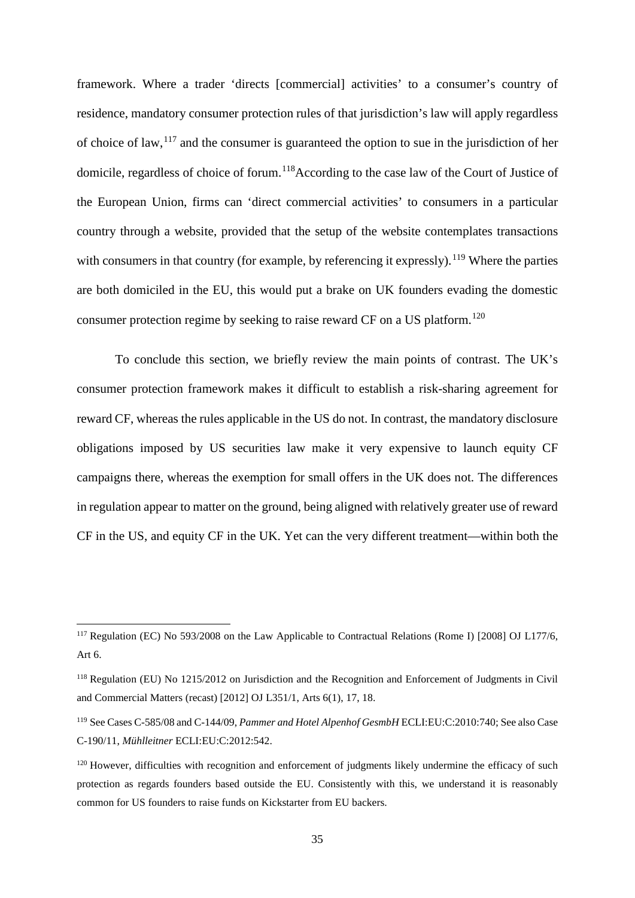framework. Where a trader 'directs [commercial] activities' to a consumer's country of residence, mandatory consumer protection rules of that jurisdiction's law will apply regardless of choice of law,  $117$  and the consumer is guaranteed the option to sue in the jurisdiction of her domicile, regardless of choice of forum.<sup>118</sup>According to the case law of the Court of Justice of the European Union, firms can 'direct commercial activities' to consumers in a particular country through a website, provided that the setup of the website contemplates transactions with consumers in that country (for example, by referencing it expressly).<sup>[119](#page-34-2)</sup> Where the parties are both domiciled in the EU, this would put a brake on UK founders evading the domestic consumer protection regime by seeking to raise reward CF on a US platform.<sup>[120](#page-34-3)</sup>

To conclude this section, we briefly review the main points of contrast. The UK's consumer protection framework makes it difficult to establish a risk-sharing agreement for reward CF, whereas the rules applicable in the US do not. In contrast, the mandatory disclosure obligations imposed by US securities law make it very expensive to launch equity CF campaigns there, whereas the exemption for small offers in the UK does not. The differences in regulation appear to matter on the ground, being aligned with relatively greater use of reward CF in the US, and equity CF in the UK. Yet can the very different treatment—within both the

<span id="page-34-0"></span><sup>&</sup>lt;sup>117</sup> Regulation (EC) No 593/2008 on the Law Applicable to Contractual Relations (Rome I) [2008] OJ L177/6, Art 6.

<span id="page-34-1"></span><sup>118</sup> Regulation (EU) No 1215/2012 on Jurisdiction and the Recognition and Enforcement of Judgments in Civil and Commercial Matters (recast) [2012] OJ L351/1, Arts 6(1), 17, 18.

<span id="page-34-2"></span><sup>119</sup> See Cases C-585/08 and C-144/09, *Pammer and Hotel Alpenhof GesmbH* ECLI:EU:C:2010:740; See also Case C-190/11, *Mühlleitner* ECLI:EU:C:2012:542.

<span id="page-34-3"></span><sup>&</sup>lt;sup>120</sup> However, difficulties with recognition and enforcement of judgments likely undermine the efficacy of such protection as regards founders based outside the EU. Consistently with this, we understand it is reasonably common for US founders to raise funds on Kickstarter from EU backers.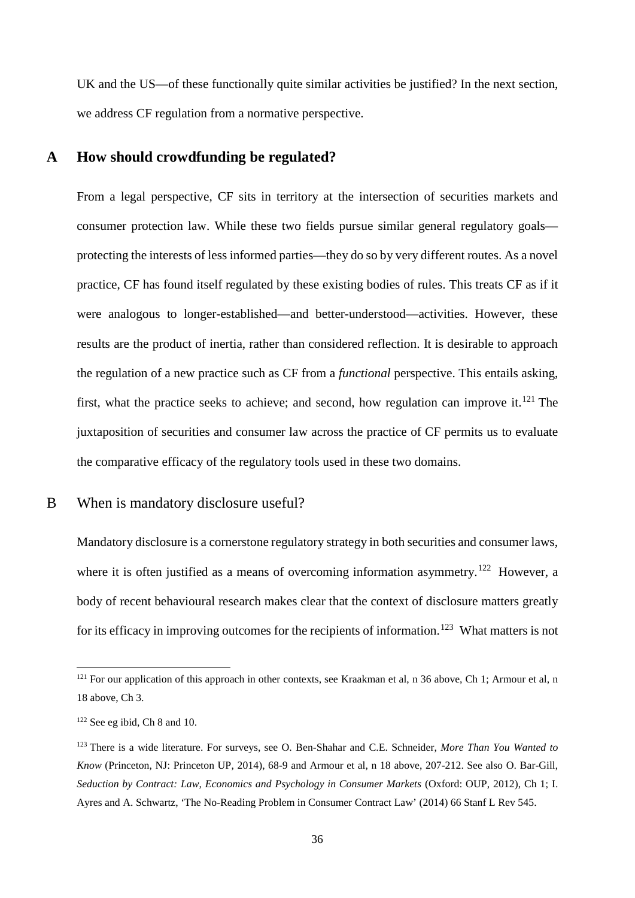UK and the US—of these functionally quite similar activities be justified? In the next section, we address CF regulation from a normative perspective.

## **A How should crowdfunding be regulated?**

From a legal perspective, CF sits in territory at the intersection of securities markets and consumer protection law. While these two fields pursue similar general regulatory goals protecting the interests of less informed parties—they do so by very different routes. As a novel practice, CF has found itself regulated by these existing bodies of rules. This treats CF as if it were analogous to longer-established—and better-understood—activities. However, these results are the product of inertia, rather than considered reflection. It is desirable to approach the regulation of a new practice such as CF from a *functional* perspective. This entails asking, first, what the practice seeks to achieve; and second, how regulation can improve it.<sup>[121](#page-35-0)</sup> The juxtaposition of securities and consumer law across the practice of CF permits us to evaluate the comparative efficacy of the regulatory tools used in these two domains.

#### B When is mandatory disclosure useful?

Mandatory disclosure is a cornerstone regulatory strategy in both securities and consumer laws, where it is often justified as a means of overcoming information asymmetry.<sup>[122](#page-35-1)</sup> However, a body of recent behavioural research makes clear that the context of disclosure matters greatly for its efficacy in improving outcomes for the recipients of information.<sup>[123](#page-35-2)</sup> What matters is not

<span id="page-35-3"></span><span id="page-35-0"></span><sup>&</sup>lt;sup>121</sup> For our application of this approach in other contexts, see Kraakman et al, n [36](#page-12-3) above, Ch 1; Armour et al, n [18](#page-7-3) above, Ch 3.

<span id="page-35-1"></span><sup>122</sup> See eg ibid, Ch 8 and 10.

<span id="page-35-2"></span><sup>123</sup> There is a wide literature. For surveys, see O. Ben-Shahar and C.E. Schneider, *More Than You Wanted to Know* (Princeton, NJ: Princeton UP, 2014), 68-9 and Armour et al, n [18](#page-7-3) above, 207-212. See also O. Bar-Gill, *Seduction by Contract: Law, Economics and Psychology in Consumer Markets* (Oxford: OUP, 2012), Ch 1; I. Ayres and A. Schwartz, 'The No-Reading Problem in Consumer Contract Law' (2014) 66 Stanf L Rev 545.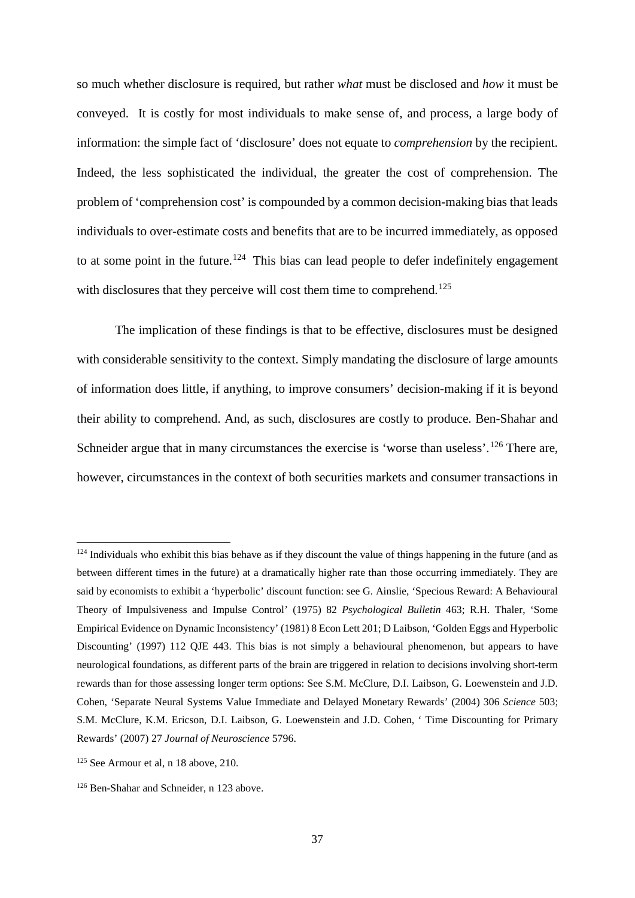so much whether disclosure is required, but rather *what* must be disclosed and *how* it must be conveyed. It is costly for most individuals to make sense of, and process, a large body of information: the simple fact of 'disclosure' does not equate to *comprehension* by the recipient. Indeed, the less sophisticated the individual, the greater the cost of comprehension. The problem of 'comprehension cost' is compounded by a common decision-making bias that leads individuals to over-estimate costs and benefits that are to be incurred immediately, as opposed to at some point in the future.<sup>124</sup> This bias can lead people to defer indefinitely engagement with disclosures that they perceive will cost them time to comprehend.<sup>125</sup>

The implication of these findings is that to be effective, disclosures must be designed with considerable sensitivity to the context. Simply mandating the disclosure of large amounts of information does little, if anything, to improve consumers' decision-making if it is beyond their ability to comprehend. And, as such, disclosures are costly to produce. Ben-Shahar and Schneider argue that in many circumstances the exercise is 'worse than useless'.<sup>[126](#page-36-2)</sup> There are, however, circumstances in the context of both securities markets and consumer transactions in

<span id="page-36-0"></span> $124$  Individuals who exhibit this bias behave as if they discount the value of things happening in the future (and as between different times in the future) at a dramatically higher rate than those occurring immediately. They are said by economists to exhibit a 'hyperbolic' discount function: see G. Ainslie, 'Specious Reward: A Behavioural Theory of Impulsiveness and Impulse Control' (1975) 82 *Psychological Bulletin* 463; R.H. Thaler, 'Some Empirical Evidence on Dynamic Inconsistency' (1981) 8 Econ Lett 201; D Laibson, 'Golden Eggs and Hyperbolic Discounting' (1997) 112 QJE 443. This bias is not simply a behavioural phenomenon, but appears to have neurological foundations, as different parts of the brain are triggered in relation to decisions involving short-term rewards than for those assessing longer term options: See S.M. McClure, D.I. Laibson, G. Loewenstein and J.D. Cohen, 'Separate Neural Systems Value Immediate and Delayed Monetary Rewards' (2004) 306 *Science* 503; S.M. McClure, K.M. Ericson, D.I. Laibson, G. Loewenstein and J.D. Cohen, ' Time Discounting for Primary Rewards' (2007) 27 *Journal of Neuroscience* 5796.

<span id="page-36-1"></span><sup>125</sup> See Armour et al, n [18](#page-7-3) above, 210.

<span id="page-36-2"></span><sup>126</sup> Ben-Shahar and Schneider, n [123](#page-35-3) above.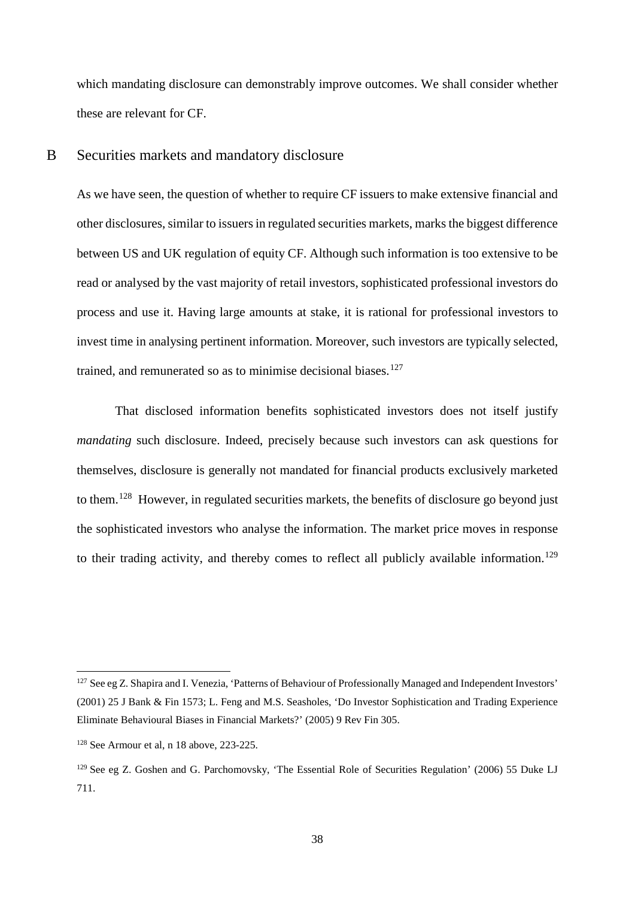which mandating disclosure can demonstrably improve outcomes. We shall consider whether these are relevant for CF.

#### B Securities markets and mandatory disclosure

As we have seen, the question of whether to require CF issuers to make extensive financial and other disclosures, similar to issuers in regulated securities markets, marks the biggest difference between US and UK regulation of equity CF. Although such information is too extensive to be read or analysed by the vast majority of retail investors, sophisticated professional investors do process and use it. Having large amounts at stake, it is rational for professional investors to invest time in analysing pertinent information. Moreover, such investors are typically selected, trained, and remunerated so as to minimise decisional biases.<sup>[127](#page-37-0)</sup>

That disclosed information benefits sophisticated investors does not itself justify *mandating* such disclosure. Indeed, precisely because such investors can ask questions for themselves, disclosure is generally not mandated for financial products exclusively marketed to them.<sup>128</sup> However, in regulated securities markets, the benefits of disclosure go beyond just the sophisticated investors who analyse the information. The market price moves in response to their trading activity, and thereby comes to reflect all publicly available information.<sup>[129](#page-37-2)</sup>

<span id="page-37-1"></span><span id="page-37-0"></span><sup>&</sup>lt;sup>127</sup> See eg Z. Shapira and I. Venezia, 'Patterns of Behaviour of Professionally Managed and Independent Investors' (2001) 25 J Bank & Fin 1573; L. Feng and M.S. Seasholes, 'Do Investor Sophistication and Trading Experience Eliminate Behavioural Biases in Financial Markets?' (2005) 9 Rev Fin 305.

<span id="page-37-2"></span><sup>128</sup> See Armour et al, n [18](#page-7-3) above, 223-225.

<span id="page-37-3"></span><sup>129</sup> See eg Z. Goshen and G. Parchomovsky, 'The Essential Role of Securities Regulation' (2006) 55 Duke LJ 711.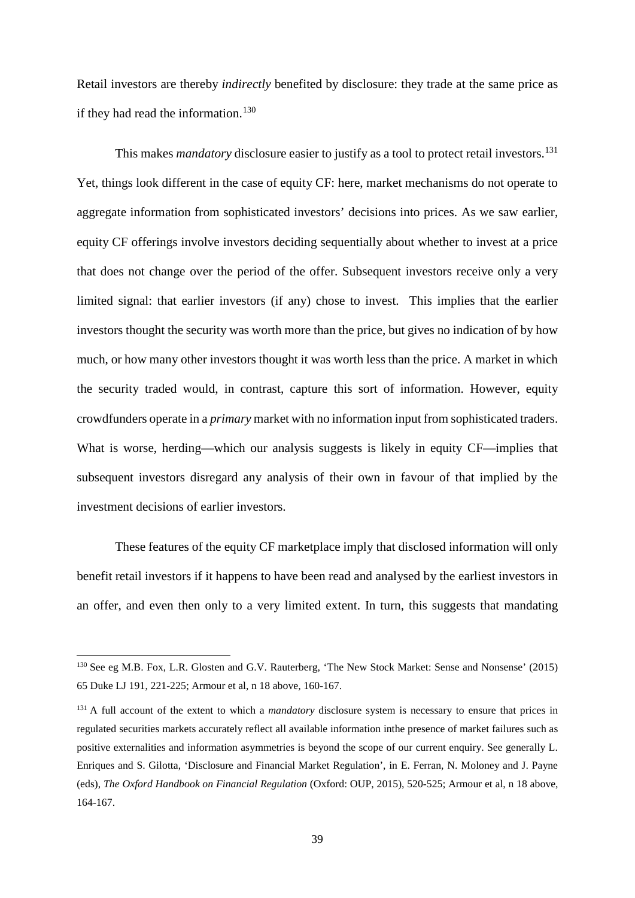Retail investors are thereby *indirectly* benefited by disclosure: they trade at the same price as if they had read the information.<sup>[130](#page-37-3)</sup>

This makes *mandatory* disclosure easier to justify as a tool to protect retail investors. [131](#page-38-0) Yet, things look different in the case of equity CF: here, market mechanisms do not operate to aggregate information from sophisticated investors' decisions into prices. As we saw earlier, equity CF offerings involve investors deciding sequentially about whether to invest at a price that does not change over the period of the offer. Subsequent investors receive only a very limited signal: that earlier investors (if any) chose to invest. This implies that the earlier investors thought the security was worth more than the price, but gives no indication of by how much, or how many other investors thought it was worth less than the price. A market in which the security traded would, in contrast, capture this sort of information. However, equity crowdfunders operate in a *primary* market with no information input from sophisticated traders. What is worse, herding—which our analysis suggests is likely in equity CF—implies that subsequent investors disregard any analysis of their own in favour of that implied by the investment decisions of earlier investors.

These features of the equity CF marketplace imply that disclosed information will only benefit retail investors if it happens to have been read and analysed by the earliest investors in an offer, and even then only to a very limited extent. In turn, this suggests that mandating

<sup>130</sup> See eg M.B. Fox, L.R. Glosten and G.V. Rauterberg, 'The New Stock Market: Sense and Nonsense' (2015) 65 Duke LJ 191, 221-225; Armour et al, n [18](#page-7-3) above, 160-167.

<span id="page-38-0"></span><sup>&</sup>lt;sup>131</sup> A full account of the extent to which a *mandatory* disclosure system is necessary to ensure that prices in regulated securities markets accurately reflect all available information inthe presence of market failures such as positive externalities and information asymmetries is beyond the scope of our current enquiry. See generally L. Enriques and S. Gilotta, 'Disclosure and Financial Market Regulation', in E. Ferran, N. Moloney and J. Payne (eds), *The Oxford Handbook on Financial Regulation* (Oxford: OUP, 2015), 520-525; Armour et al, n [18](#page-7-3) above, 164-167.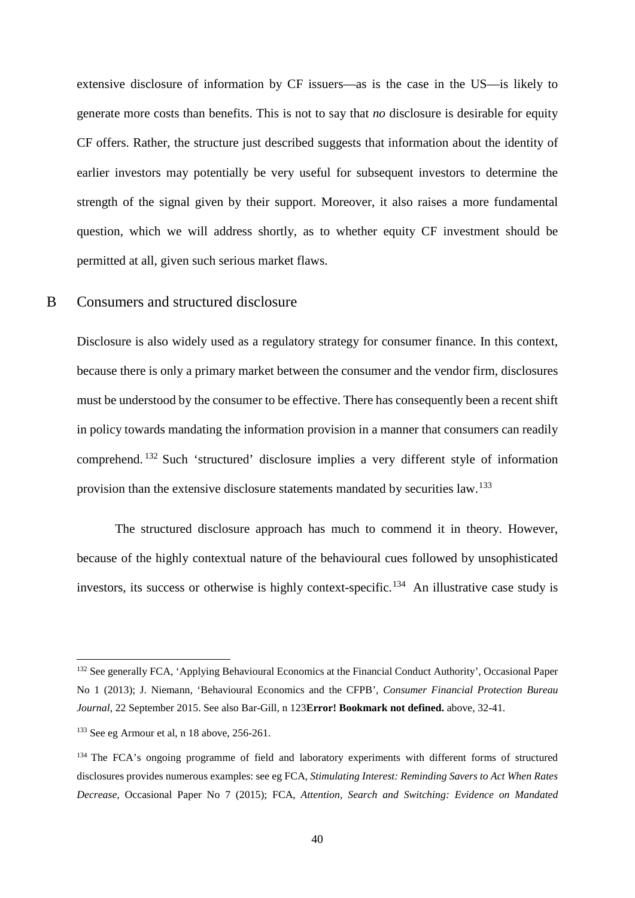extensive disclosure of information by CF issuers—as is the case in the US—is likely to generate more costs than benefits. This is not to say that *no* disclosure is desirable for equity CF offers. Rather, the structure just described suggests that information about the identity of earlier investors may potentially be very useful for subsequent investors to determine the strength of the signal given by their support. Moreover, it also raises a more fundamental question, which we will address shortly, as to whether equity CF investment should be permitted at all, given such serious market flaws.

### B Consumers and structured disclosure

Disclosure is also widely used as a regulatory strategy for consumer finance. In this context, because there is only a primary market between the consumer and the vendor firm, disclosures must be understood by the consumer to be effective. There has consequently been a recent shift in policy towards mandating the information provision in a manner that consumers can readily comprehend. [132](#page-39-0) Such 'structured' disclosure implies a very different style of information provision than the extensive disclosure statements mandated by securities law.<sup>[133](#page-39-1)</sup>

<span id="page-39-4"></span><span id="page-39-3"></span>The structured disclosure approach has much to commend it in theory. However, because of the highly contextual nature of the behavioural cues followed by unsophisticated investors, its success or otherwise is highly context-specific.<sup>134</sup> An illustrative case study is

<span id="page-39-1"></span><span id="page-39-0"></span><sup>&</sup>lt;sup>132</sup> See generally FCA, 'Applying Behavioural Economics at the Financial Conduct Authority', Occasional Paper No 1 (2013); J. Niemann, 'Behavioural Economics and the CFPB', *Consumer Financial Protection Bureau Journal*, 22 September 2015. See also Bar-Gill, n [123](#page-35-3)**[Error! Bookmark not defined.](#page-35-3)** above, 32-41.

<span id="page-39-2"></span><sup>133</sup> See eg Armour et al, [n 18](#page-7-3) above, 256-261.

<sup>&</sup>lt;sup>134</sup> The FCA's ongoing programme of field and laboratory experiments with different forms of structured disclosures provides numerous examples: see eg FCA, *Stimulating Interest: Reminding Savers to Act When Rates Decrease,* Occasional Paper No 7 (2015); FCA, *Attention, Search and Switching: Evidence on Mandated*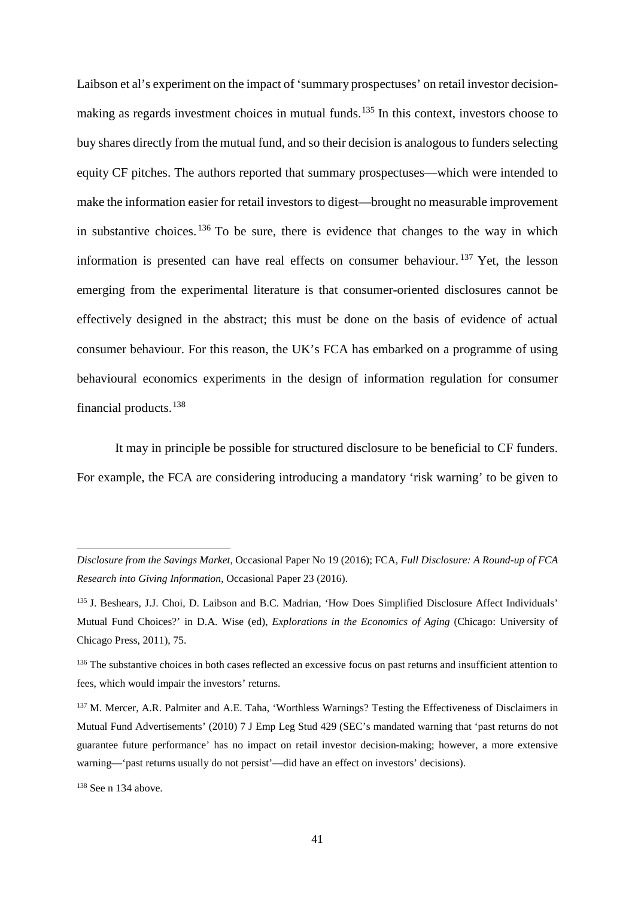Laibson et al's experiment on the impact of 'summary prospectuses' on retail investor decision-making as regards investment choices in mutual funds.<sup>[135](#page-40-0)</sup> In this context, investors choose to buy shares directly from the mutual fund, and so their decision is analogous to funders selecting equity CF pitches. The authors reported that summary prospectuses—which were intended to make the information easier for retail investors to digest—brought no measurable improvement in substantive choices.  $136$  To be sure, there is evidence that changes to the way in which information is presented can have real effects on consumer behaviour.  $137$  Yet, the lesson emerging from the experimental literature is that consumer-oriented disclosures cannot be effectively designed in the abstract; this must be done on the basis of evidence of actual consumer behaviour. For this reason, the UK's FCA has embarked on a programme of using behavioural economics experiments in the design of information regulation for consumer financial products.[138](#page-40-3)

It may in principle be possible for structured disclosure to be beneficial to CF funders. For example, the FCA are considering introducing a mandatory 'risk warning' to be given to

<span id="page-40-0"></span>*Disclosure from the Savings Market,* Occasional Paper No 19 (2016); FCA, *Full Disclosure: A Round-up of FCA Research into Giving Information*, Occasional Paper 23 (2016).

<sup>&</sup>lt;sup>135</sup> J. Beshears, J.J. Choi, D. Laibson and B.C. Madrian, 'How Does Simplified Disclosure Affect Individuals' Mutual Fund Choices?' in D.A. Wise (ed), *Explorations in the Economics of Aging* (Chicago: University of Chicago Press, 2011), 75.

<span id="page-40-2"></span><span id="page-40-1"></span><sup>&</sup>lt;sup>136</sup> The substantive choices in both cases reflected an excessive focus on past returns and insufficient attention to fees, which would impair the investors' returns.

<sup>137</sup> M. Mercer, A.R. Palmiter and A.E. Taha, 'Worthless Warnings? Testing the Effectiveness of Disclaimers in Mutual Fund Advertisements' (2010) 7 J Emp Leg Stud 429 (SEC's mandated warning that 'past returns do not guarantee future performance' has no impact on retail investor decision-making; however, a more extensive warning—'past returns usually do not persist'—did have an effect on investors' decisions).

<span id="page-40-4"></span><span id="page-40-3"></span><sup>138</sup> See [n 134](#page-39-3) above.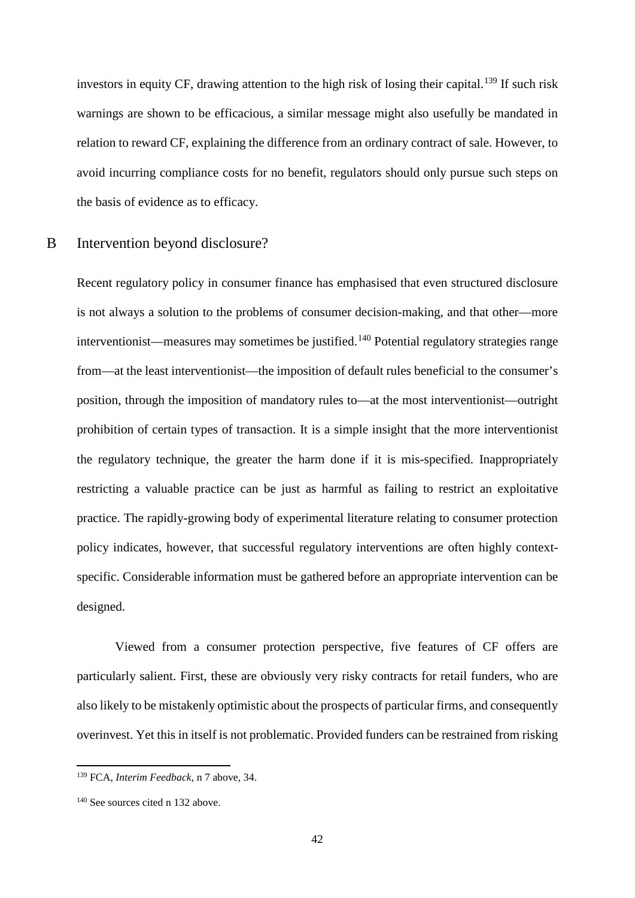investors in equity CF, drawing attention to the high risk of losing their capital.<sup>[139](#page-40-4)</sup> If such risk warnings are shown to be efficacious, a similar message might also usefully be mandated in relation to reward CF, explaining the difference from an ordinary contract of sale. However, to avoid incurring compliance costs for no benefit, regulators should only pursue such steps on the basis of evidence as to efficacy.

#### B Intervention beyond disclosure?

Recent regulatory policy in consumer finance has emphasised that even structured disclosure is not always a solution to the problems of consumer decision-making, and that other—more interventionist—measures may sometimes be justified.<sup>[140](#page-41-0)</sup> Potential regulatory strategies range from—at the least interventionist—the imposition of default rules beneficial to the consumer's position, through the imposition of mandatory rules to—at the most interventionist—outright prohibition of certain types of transaction. It is a simple insight that the more interventionist the regulatory technique, the greater the harm done if it is mis-specified. Inappropriately restricting a valuable practice can be just as harmful as failing to restrict an exploitative practice. The rapidly-growing body of experimental literature relating to consumer protection policy indicates, however, that successful regulatory interventions are often highly contextspecific. Considerable information must be gathered before an appropriate intervention can be designed.

Viewed from a consumer protection perspective, five features of CF offers are particularly salient. First, these are obviously very risky contracts for retail funders, who are also likely to be mistakenly optimistic about the prospects of particular firms, and consequently overinvest. Yet this in itself is not problematic. Provided funders can be restrained from risking

<sup>139</sup> FCA, *Interim Feedback,* n [7](#page-2-5) above, 34.

<span id="page-41-0"></span><sup>&</sup>lt;sup>140</sup> See sources cited n [132](#page-39-4) above.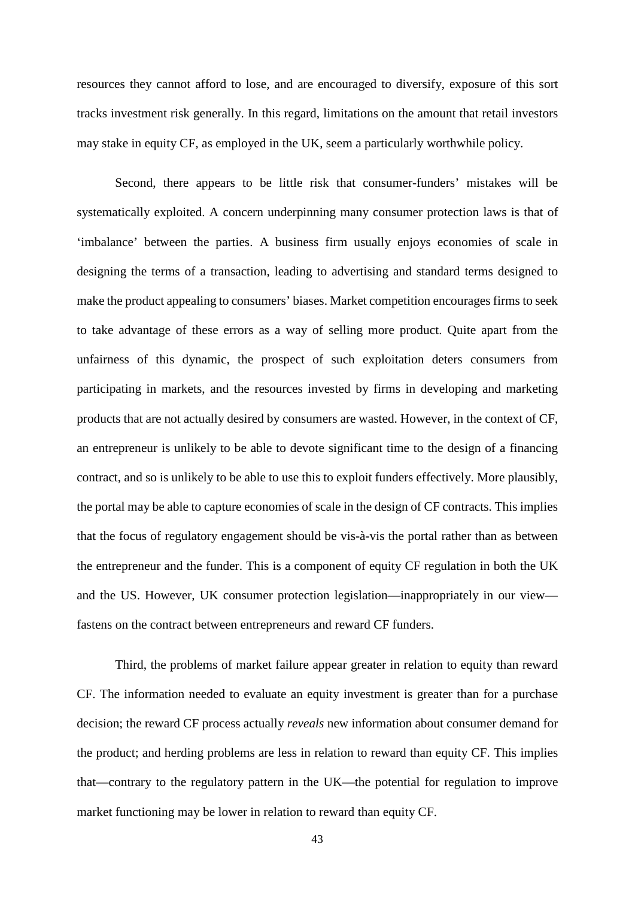resources they cannot afford to lose, and are encouraged to diversify, exposure of this sort tracks investment risk generally. In this regard, limitations on the amount that retail investors may stake in equity CF, as employed in the UK, seem a particularly worthwhile policy.

Second, there appears to be little risk that consumer-funders' mistakes will be systematically exploited. A concern underpinning many consumer protection laws is that of 'imbalance' between the parties. A business firm usually enjoys economies of scale in designing the terms of a transaction, leading to advertising and standard terms designed to make the product appealing to consumers' biases. Market competition encourages firms to seek to take advantage of these errors as a way of selling more product. Quite apart from the unfairness of this dynamic, the prospect of such exploitation deters consumers from participating in markets, and the resources invested by firms in developing and marketing products that are not actually desired by consumers are wasted. However, in the context of CF, an entrepreneur is unlikely to be able to devote significant time to the design of a financing contract, and so is unlikely to be able to use this to exploit funders effectively. More plausibly, the portal may be able to capture economies of scale in the design of CF contracts. This implies that the focus of regulatory engagement should be vis-à-vis the portal rather than as between the entrepreneur and the funder. This is a component of equity CF regulation in both the UK and the US. However, UK consumer protection legislation—inappropriately in our view fastens on the contract between entrepreneurs and reward CF funders.

Third, the problems of market failure appear greater in relation to equity than reward CF. The information needed to evaluate an equity investment is greater than for a purchase decision; the reward CF process actually *reveals* new information about consumer demand for the product; and herding problems are less in relation to reward than equity CF. This implies that—contrary to the regulatory pattern in the UK—the potential for regulation to improve market functioning may be lower in relation to reward than equity CF.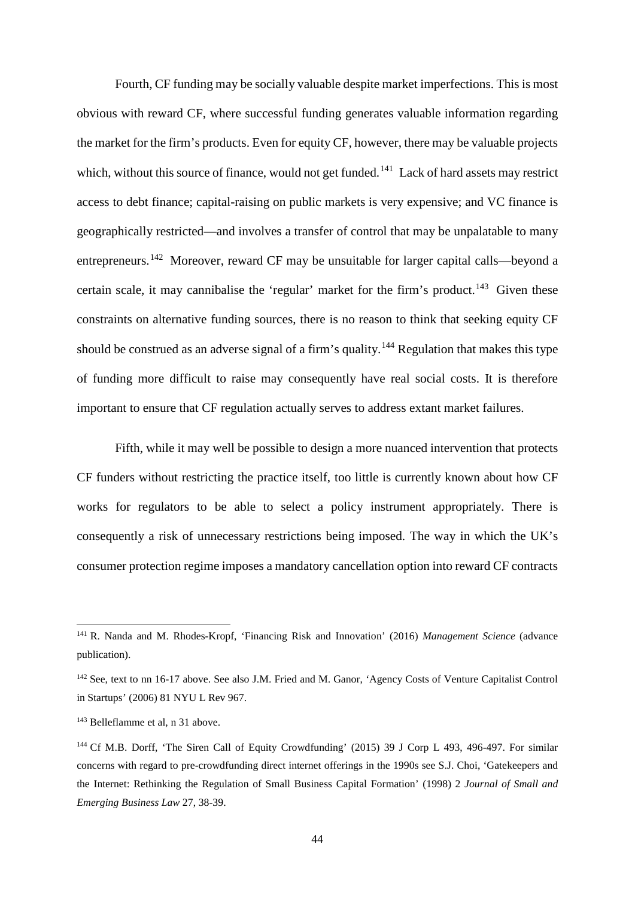Fourth, CF funding may be socially valuable despite market imperfections. This is most obvious with reward CF, where successful funding generates valuable information regarding the market for the firm's products. Even for equity CF, however, there may be valuable projects which, without this source of finance, would not get funded.<sup>141</sup> Lack of hard assets may restrict access to debt finance; capital-raising on public markets is very expensive; and VC finance is geographically restricted—and involves a transfer of control that may be unpalatable to many entrepreneurs.<sup>[142](#page-43-1)</sup> Moreover, reward CF may be unsuitable for larger capital calls—beyond a certain scale, it may cannibalise the 'regular' market for the firm's product.<sup>[143](#page-43-2)</sup> Given these constraints on alternative funding sources, there is no reason to think that seeking equity CF should be construed as an adverse signal of a firm's quality.<sup>[144](#page-43-3)</sup> Regulation that makes this type of funding more difficult to raise may consequently have real social costs. It is therefore important to ensure that CF regulation actually serves to address extant market failures.

Fifth, while it may well be possible to design a more nuanced intervention that protects CF funders without restricting the practice itself, too little is currently known about how CF works for regulators to be able to select a policy instrument appropriately. There is consequently a risk of unnecessary restrictions being imposed. The way in which the UK's consumer protection regime imposes a mandatory cancellation option into reward CF contracts

<span id="page-43-0"></span><sup>141</sup> R. Nanda and M. Rhodes-Kropf, 'Financing Risk and Innovation' (2016) *Management Science* (advance publication).

<span id="page-43-1"></span><sup>&</sup>lt;sup>142</sup> See, text to nn [16](#page-6-7)[-17](#page-7-5) above. See also J.M. Fried and M. Ganor, 'Agency Costs of Venture Capitalist Control in Startups' (2006) 81 NYU L Rev 967.

<span id="page-43-2"></span><sup>&</sup>lt;sup>143</sup> Belleflamme et al, n [31](#page-11-3) above.

<span id="page-43-3"></span><sup>&</sup>lt;sup>144</sup> Cf M.B. Dorff, 'The Siren Call of Equity Crowdfunding' (2015) 39 J Corp L 493, 496-497. For similar concerns with regard to pre-crowdfunding direct internet offerings in the 1990s see S.J. Choi, 'Gatekeepers and the Internet: Rethinking the Regulation of Small Business Capital Formation' (1998) 2 *Journal of Small and Emerging Business Law* 27, 38-39.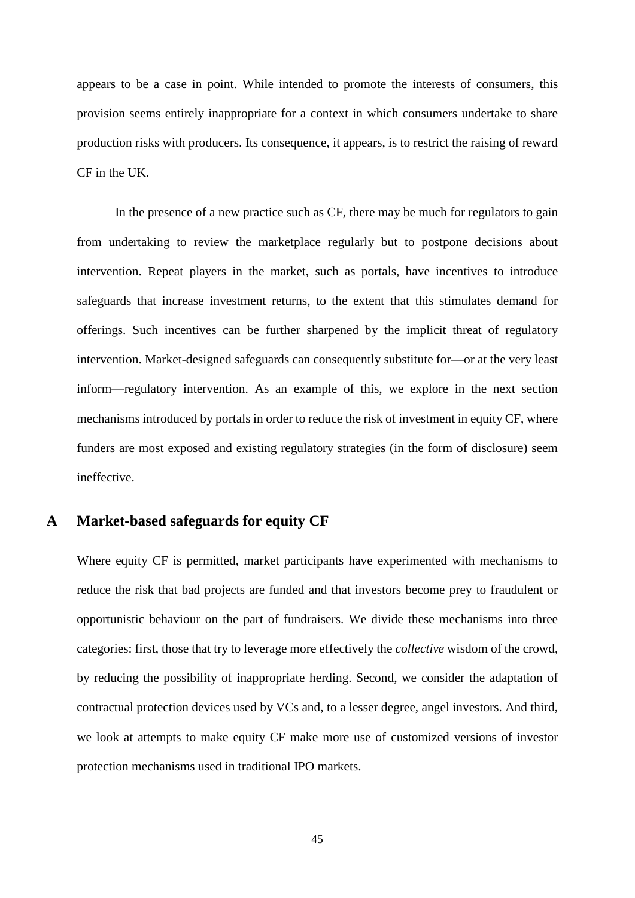appears to be a case in point. While intended to promote the interests of consumers, this provision seems entirely inappropriate for a context in which consumers undertake to share production risks with producers. Its consequence, it appears, is to restrict the raising of reward CF in the UK.

In the presence of a new practice such as CF, there may be much for regulators to gain from undertaking to review the marketplace regularly but to postpone decisions about intervention. Repeat players in the market, such as portals, have incentives to introduce safeguards that increase investment returns, to the extent that this stimulates demand for offerings. Such incentives can be further sharpened by the implicit threat of regulatory intervention. Market-designed safeguards can consequently substitute for—or at the very least inform—regulatory intervention. As an example of this, we explore in the next section mechanisms introduced by portals in order to reduce the risk of investment in equity CF, where funders are most exposed and existing regulatory strategies (in the form of disclosure) seem ineffective.

## **A Market-based safeguards for equity CF**

Where equity CF is permitted, market participants have experimented with mechanisms to reduce the risk that bad projects are funded and that investors become prey to fraudulent or opportunistic behaviour on the part of fundraisers. We divide these mechanisms into three categories: first, those that try to leverage more effectively the *collective* wisdom of the crowd, by reducing the possibility of inappropriate herding. Second, we consider the adaptation of contractual protection devices used by VCs and, to a lesser degree, angel investors. And third, we look at attempts to make equity CF make more use of customized versions of investor protection mechanisms used in traditional IPO markets.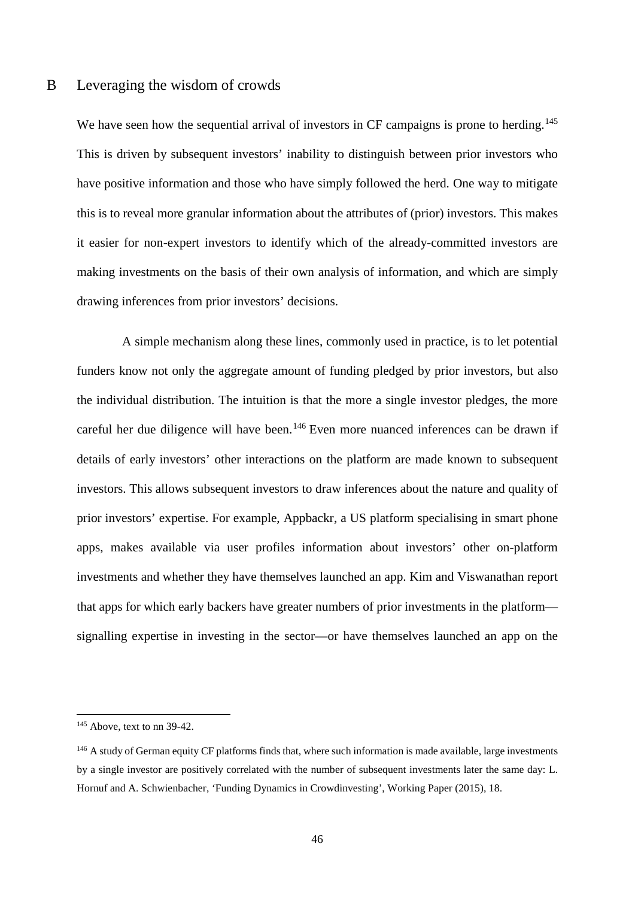#### B Leveraging the wisdom of crowds

<span id="page-45-0"></span>We have seen how the sequential arrival of investors in CF campaigns is prone to herding.<sup>[145](#page-45-1)</sup> This is driven by subsequent investors' inability to distinguish between prior investors who have positive information and those who have simply followed the herd. One way to mitigate this is to reveal more granular information about the attributes of (prior) investors. This makes it easier for non-expert investors to identify which of the already-committed investors are making investments on the basis of their own analysis of information, and which are simply drawing inferences from prior investors' decisions.

<span id="page-45-3"></span>A simple mechanism along these lines, commonly used in practice, is to let potential funders know not only the aggregate amount of funding pledged by prior investors, but also the individual distribution. The intuition is that the more a single investor pledges, the more careful her due diligence will have been.<sup>[146](#page-45-2)</sup> Even more nuanced inferences can be drawn if details of early investors' other interactions on the platform are made known to subsequent investors. This allows subsequent investors to draw inferences about the nature and quality of prior investors' expertise. For example, Appbackr, a US platform specialising in smart phone apps, makes available via user profiles information about investors' other on-platform investments and whether they have themselves launched an app. Kim and Viswanathan report that apps for which early backers have greater numbers of prior investments in the platform signalling expertise in investing in the sector—or have themselves launched an app on the

<span id="page-45-1"></span><sup>145</sup> Above, text to nn [39](#page-14-2)[-42.](#page-15-3)

<span id="page-45-2"></span><sup>&</sup>lt;sup>146</sup> A study of German equity CF platforms finds that, where such information is made available, large investments by a single investor are positively correlated with the number of subsequent investments later the same day: L. Hornuf and A. Schwienbacher, 'Funding Dynamics in Crowdinvesting', Working Paper (2015), 18.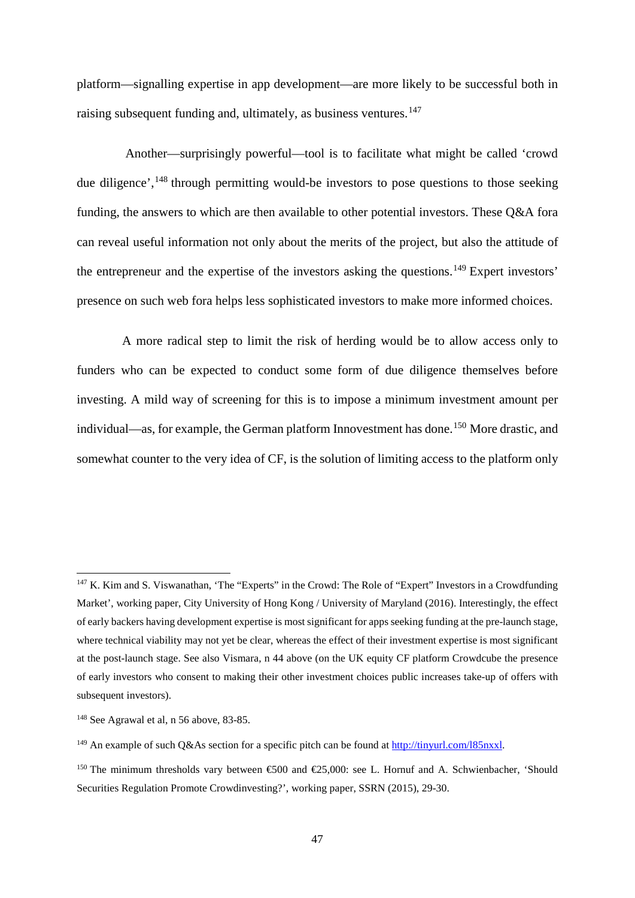platform—signalling expertise in app development—are more likely to be successful both in raising subsequent funding and, ultimately, as business ventures.<sup>[147](#page-46-0)</sup>

Another—surprisingly powerful—tool is to facilitate what might be called 'crowd due diligence',<sup>[148](#page-46-1)</sup> through permitting would-be investors to pose questions to those seeking funding, the answers to which are then available to other potential investors. These Q&A fora can reveal useful information not only about the merits of the project, but also the attitude of the entrepreneur and the expertise of the investors asking the questions.<sup>[149](#page-46-2)</sup> Expert investors' presence on such web fora helps less sophisticated investors to make more informed choices.

A more radical step to limit the risk of herding would be to allow access only to funders who can be expected to conduct some form of due diligence themselves before investing. A mild way of screening for this is to impose a minimum investment amount per individual—as, for example, the German platform Innovestment has done.<sup>[150](#page-46-3)</sup> More drastic, and somewhat counter to the very idea of CF, is the solution of limiting access to the platform only

<span id="page-46-0"></span><sup>&</sup>lt;sup>147</sup> K. Kim and S. Viswanathan, 'The "Experts" in the Crowd: The Role of "Expert" Investors in a Crowdfunding Market', working paper, City University of Hong Kong / University of Maryland (2016). Interestingly, the effect of early backers having development expertise is most significant for apps seeking funding at the pre-launch stage, where technical viability may not yet be clear, whereas the effect of their investment expertise is most significant at the post-launch stage. See also Vismara, n [44](#page-16-2) above (on the UK equity CF platform Crowdcube the presence of early investors who consent to making their other investment choices public increases take-up of offers with subsequent investors).

<span id="page-46-1"></span><sup>&</sup>lt;sup>148</sup> See Agrawal et al, n [56](#page-21-3) above, 83-85.

<span id="page-46-2"></span><sup>149</sup> An example of such Q&As section for a specific pitch can be found at [http://tinyurl.com/l85nxxl.](http://tinyurl.com/l85nxxl)

<span id="page-46-3"></span><sup>&</sup>lt;sup>150</sup> The minimum thresholds vary between  $\epsilon$ 500 and  $\epsilon$ 25,000: see L. Hornuf and A. Schwienbacher, 'Should Securities Regulation Promote Crowdinvesting?', working paper, SSRN (2015), 29-30.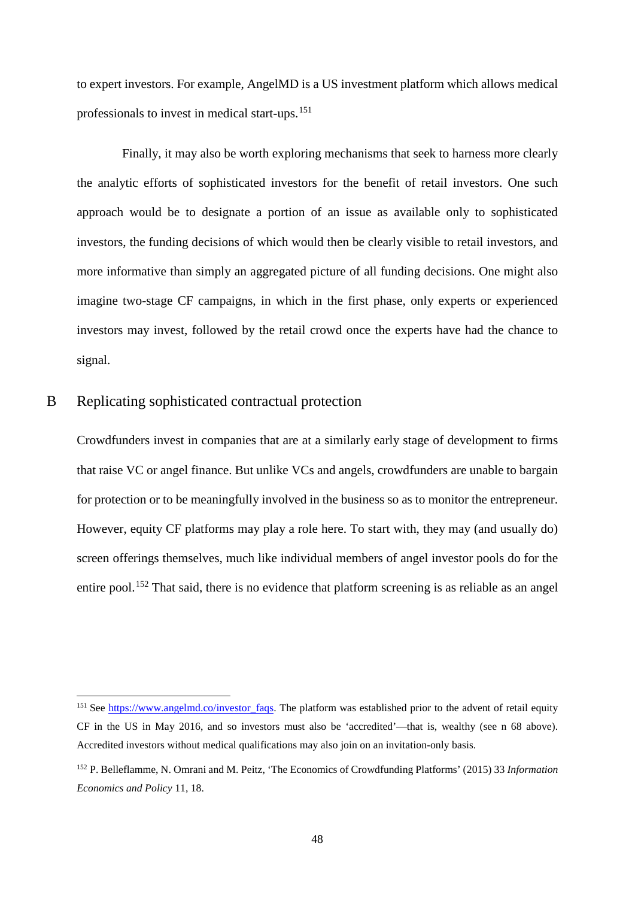<span id="page-47-0"></span>to expert investors. For example, AngelMD is a US investment platform which allows medical professionals to invest in medical start-ups. [151](#page-47-1)

Finally, it may also be worth exploring mechanisms that seek to harness more clearly the analytic efforts of sophisticated investors for the benefit of retail investors. One such approach would be to designate a portion of an issue as available only to sophisticated investors, the funding decisions of which would then be clearly visible to retail investors, and more informative than simply an aggregated picture of all funding decisions. One might also imagine two-stage CF campaigns, in which in the first phase, only experts or experienced investors may invest, followed by the retail crowd once the experts have had the chance to signal.

#### B Replicating sophisticated contractual protection

**.** 

Crowdfunders invest in companies that are at a similarly early stage of development to firms that raise VC or angel finance. But unlike VCs and angels, crowdfunders are unable to bargain for protection or to be meaningfully involved in the business so as to monitor the entrepreneur. However, equity CF platforms may play a role here. To start with, they may (and usually do) screen offerings themselves, much like individual members of angel investor pools do for the entire pool.<sup>[152](#page-47-2)</sup> That said, there is no evidence that platform screening is as reliable as an angel

<span id="page-47-1"></span><sup>&</sup>lt;sup>151</sup> See [https://www.angelmd.co/investor\\_faqs.](https://www.angelmd.co/investor_faqs) The platform was established prior to the advent of retail equity CF in the US in May 2016, and so investors must also be 'accredited'—that is, wealthy (see n [68](#page-24-5) above). Accredited investors without medical qualifications may also join on an invitation-only basis.

<span id="page-47-2"></span><sup>152</sup> P. Belleflamme, N. Omrani and M. Peitz, 'The Economics of Crowdfunding Platforms' (2015) 33 *Information Economics and Policy* 11, 18.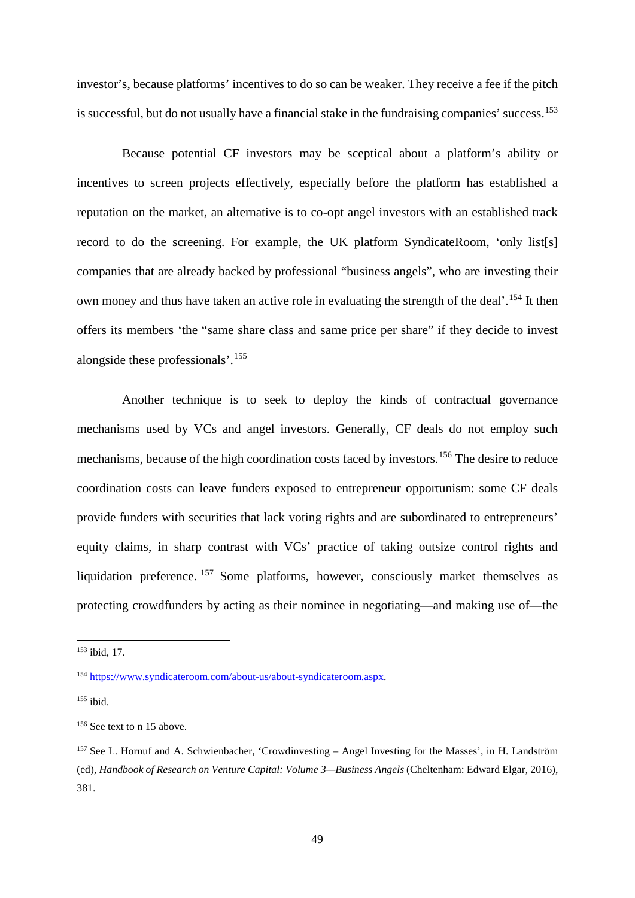investor's, because platforms' incentives to do so can be weaker. They receive a fee if the pitch is successful, but do not usually have a financial stake in the fundraising companies' success.<sup>[153](#page-48-0)</sup>

Because potential CF investors may be sceptical about a platform's ability or incentives to screen projects effectively, especially before the platform has established a reputation on the market, an alternative is to co-opt angel investors with an established track record to do the screening. For example, the UK platform SyndicateRoom, 'only list[s] companies that are already backed by professional "business angels", who are investing their own money and thus have taken an active role in evaluating the strength of the deal'.<sup>[154](#page-48-1)</sup> It then offers its members 'the "same share class and same price per share" if they decide to invest alongside these professionals'. [155](#page-48-2)

Another technique is to seek to deploy the kinds of contractual governance mechanisms used by VCs and angel investors. Generally, CF deals do not employ such mechanisms, because of the high coordination costs faced by investors.<sup>[156](#page-48-3)</sup> The desire to reduce coordination costs can leave funders exposed to entrepreneur opportunism: some CF deals provide funders with securities that lack voting rights and are subordinated to entrepreneurs' equity claims, in sharp contrast with VCs' practice of taking outsize control rights and liquidation preference. [157](#page-48-4) Some platforms, however, consciously market themselves as protecting crowdfunders by acting as their nominee in negotiating—and making use of—the

<span id="page-48-0"></span><sup>153</sup> ibid, 17.

<span id="page-48-1"></span><sup>154</sup> [https://www.syndicateroom.com/about-us/about-syndicateroom.aspx.](https://www.syndicateroom.com/about-us/about-syndicateroom.aspx)

<span id="page-48-2"></span> $155$  ibid.

<span id="page-48-3"></span><sup>&</sup>lt;sup>156</sup> See text to n [15](#page-6-8) above.

<span id="page-48-4"></span><sup>157</sup> See L. Hornuf and A. Schwienbacher, 'Crowdinvesting – Angel Investing for the Masses', in H. Landström (ed), *Handbook of Research on Venture Capital: Volume 3—Business Angels* (Cheltenham: Edward Elgar, 2016), 381.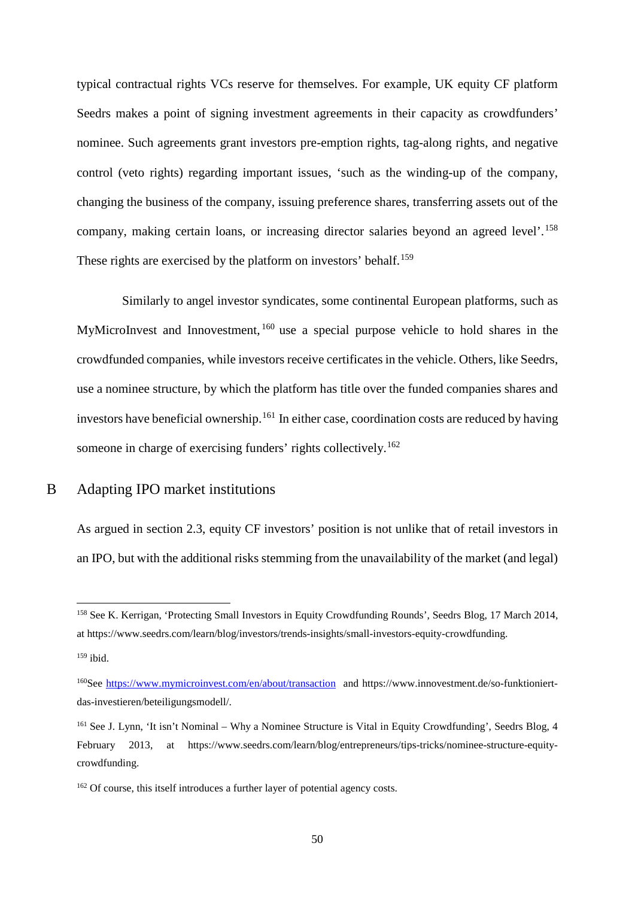typical contractual rights VCs reserve for themselves. For example, UK equity CF platform Seedrs makes a point of signing investment agreements in their capacity as crowdfunders' nominee. Such agreements grant investors pre-emption rights, tag-along rights, and negative control (veto rights) regarding important issues, 'such as the winding-up of the company, changing the business of the company, issuing preference shares, transferring assets out of the company, making certain loans, or increasing director salaries beyond an agreed level'. [158](#page-49-0) These rights are exercised by the platform on investors' behalf.<sup>[159](#page-49-1)</sup>

Similarly to angel investor syndicates, some continental European platforms, such as MyMicroInvest and Innovestment, [160](#page-49-2) use a special purpose vehicle to hold shares in the crowdfunded companies, while investors receive certificates in the vehicle. Others, like Seedrs, use a nominee structure, by which the platform has title over the funded companies shares and investors have beneficial ownership.<sup>[161](#page-49-3)</sup> In either case, coordination costs are reduced by having someone in charge of exercising funders' rights collectively.<sup>[162](#page-49-4)</sup>

## B Adapting IPO market institutions

As argued in section 2.3, equity CF investors' position is not unlike that of retail investors in an IPO, but with the additional risks stemming from the unavailability of the market (and legal)

<span id="page-49-0"></span><sup>158</sup> See K. Kerrigan, 'Protecting Small Investors in Equity Crowdfunding Rounds', Seedrs Blog, 17 March 2014, at https://www.seedrs.com/learn/blog/investors/trends-insights/small-investors-equity-crowdfunding.

<span id="page-49-1"></span> $159$  ibid.

<span id="page-49-2"></span><sup>160</sup>See<https://www.mymicroinvest.com/en/about/transaction>and https://www.innovestment.de/so-funktioniertdas-investieren/beteiligungsmodell/.

<span id="page-49-3"></span><sup>&</sup>lt;sup>161</sup> See J. Lynn, 'It isn't Nominal – Why a Nominee Structure is Vital in Equity Crowdfunding', Seedrs Blog, 4 February 2013, at https://www.seedrs.com/learn/blog/entrepreneurs/tips-tricks/nominee-structure-equitycrowdfunding.

<span id="page-49-4"></span><sup>&</sup>lt;sup>162</sup> Of course, this itself introduces a further layer of potential agency costs.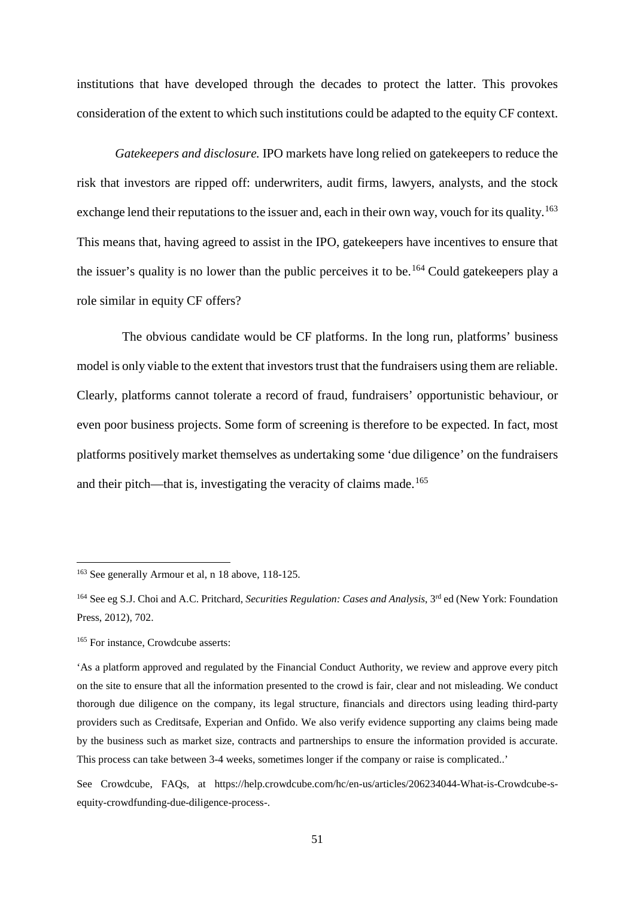institutions that have developed through the decades to protect the latter. This provokes consideration of the extent to which such institutions could be adapted to the equity CF context.

*Gatekeepers and disclosure.* IPO markets have long relied on gatekeepers to reduce the risk that investors are ripped off: underwriters, audit firms, lawyers, analysts, and the stock exchange lend their reputations to the issuer and, each in their own way, vouch for its quality.<sup>[163](#page-50-0)</sup> This means that, having agreed to assist in the IPO, gatekeepers have incentives to ensure that the issuer's quality is no lower than the public perceives it to be.<sup>[164](#page-50-1)</sup> Could gatekeepers play a role similar in equity CF offers?

The obvious candidate would be CF platforms. In the long run, platforms' business model is only viable to the extent that investors trust that the fundraisers using them are reliable. Clearly, platforms cannot tolerate a record of fraud, fundraisers' opportunistic behaviour, or even poor business projects. Some form of screening is therefore to be expected. In fact, most platforms positively market themselves as undertaking some 'due diligence' on the fundraisers and their pitch—that is, investigating the veracity of claims made.<sup>[165](#page-50-2)</sup>

**.** 

See Crowdcube, FAQs, at https://help.crowdcube.com/hc/en-us/articles/206234044-What-is-Crowdcube-sequity-crowdfunding-due-diligence-process-.

<span id="page-50-0"></span><sup>163</sup> See generally Armour et al, n [18](#page-7-3) above, 118-125.

<span id="page-50-1"></span><sup>&</sup>lt;sup>164</sup> See eg S.J. Choi and A.C. Pritchard, *Securities Regulation: Cases and Analysis*, 3<sup>rd</sup> ed (New York: Foundation Press, 2012), 702.

<span id="page-50-2"></span><sup>&</sup>lt;sup>165</sup> For instance, Crowdcube asserts:

<sup>&#</sup>x27;As a platform approved and regulated by the Financial Conduct Authority, we review and approve every pitch on the site to ensure that all the information presented to the crowd is fair, clear and not misleading. We conduct thorough due diligence on the company, its legal structure, financials and directors using leading third-party providers such as Creditsafe, Experian and Onfido. We also verify evidence supporting any claims being made by the business such as market size, contracts and partnerships to ensure the information provided is accurate. This process can take between 3-4 weeks, sometimes longer if the company or raise is complicated..'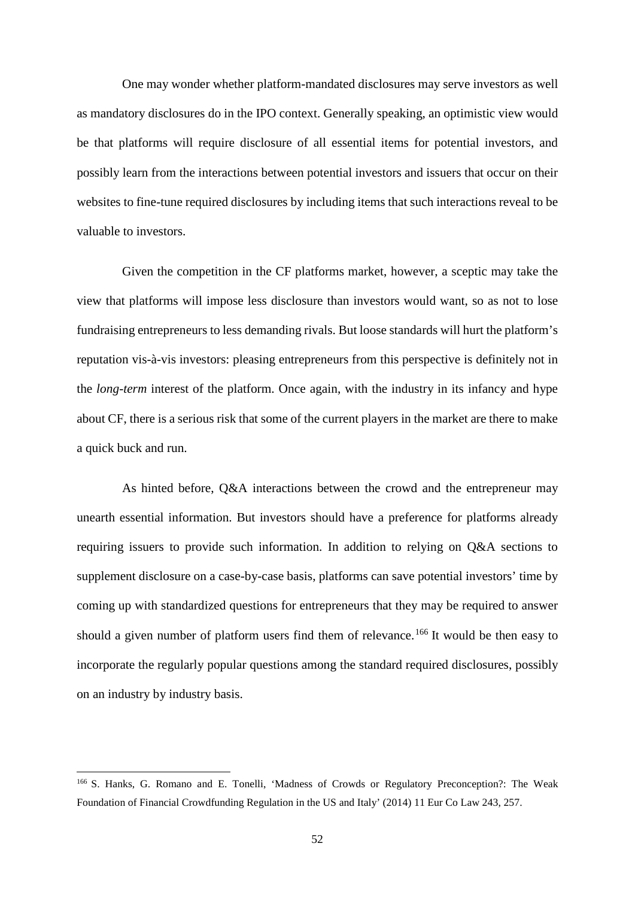One may wonder whether platform-mandated disclosures may serve investors as well as mandatory disclosures do in the IPO context. Generally speaking, an optimistic view would be that platforms will require disclosure of all essential items for potential investors, and possibly learn from the interactions between potential investors and issuers that occur on their websites to fine-tune required disclosures by including items that such interactions reveal to be valuable to investors.

Given the competition in the CF platforms market, however, a sceptic may take the view that platforms will impose less disclosure than investors would want, so as not to lose fundraising entrepreneurs to less demanding rivals. But loose standards will hurt the platform's reputation vis-à-vis investors: pleasing entrepreneurs from this perspective is definitely not in the *long-term* interest of the platform. Once again, with the industry in its infancy and hype about CF, there is a serious risk that some of the current players in the market are there to make a quick buck and run.

As hinted before, Q&A interactions between the crowd and the entrepreneur may unearth essential information. But investors should have a preference for platforms already requiring issuers to provide such information. In addition to relying on Q&A sections to supplement disclosure on a case-by-case basis, platforms can save potential investors' time by coming up with standardized questions for entrepreneurs that they may be required to answer should a given number of platform users find them of relevance.<sup>[166](#page-51-0)</sup> It would be then easy to incorporate the regularly popular questions among the standard required disclosures, possibly on an industry by industry basis.

<span id="page-51-0"></span><sup>&</sup>lt;sup>166</sup> S. Hanks, G. Romano and E. Tonelli, 'Madness of Crowds or Regulatory Preconception?: The Weak Foundation of Financial Crowdfunding Regulation in the US and Italy' (2014) 11 Eur Co Law 243, 257.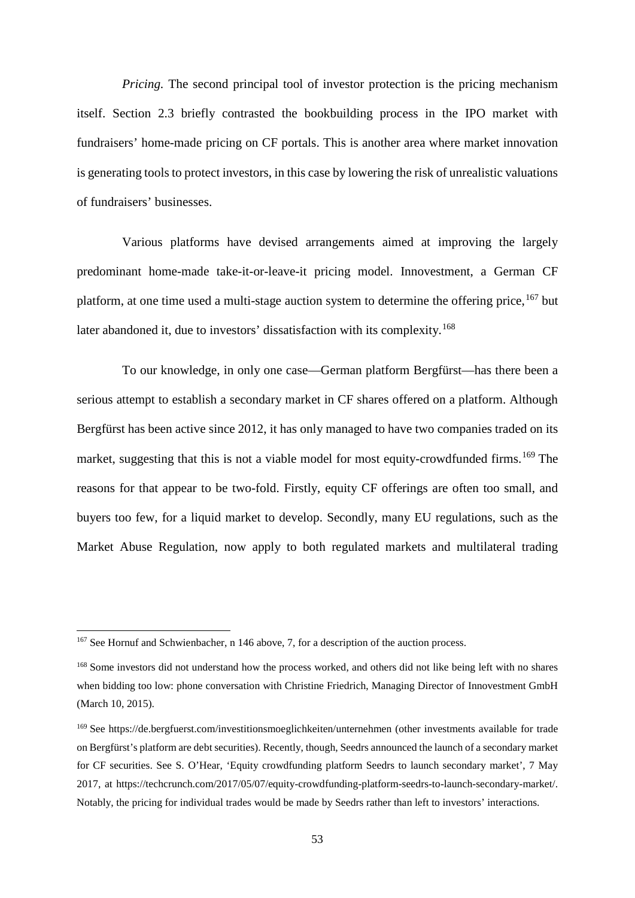*Pricing.* The second principal tool of investor protection is the pricing mechanism itself. Section 2.3 briefly contrasted the bookbuilding process in the IPO market with fundraisers' home-made pricing on CF portals. This is another area where market innovation is generating tools to protect investors, in this case by lowering the risk of unrealistic valuations of fundraisers' businesses.

Various platforms have devised arrangements aimed at improving the largely predominant home-made take-it-or-leave-it pricing model. Innovestment, a German CF platform, at one time used a multi-stage auction system to determine the offering price, <sup>[167](#page-52-0)</sup> but later abandoned it, due to investors' dissatisfaction with its complexity.<sup>[168](#page-52-1)</sup>

To our knowledge, in only one case—German platform Bergfürst—has there been a serious attempt to establish a secondary market in CF shares offered on a platform. Although Bergfürst has been active since 2012, it has only managed to have two companies traded on its market, suggesting that this is not a viable model for most equity-crowdfunded firms.<sup>[169](#page-52-2)</sup> The reasons for that appear to be two-fold. Firstly, equity CF offerings are often too small, and buyers too few, for a liquid market to develop. Secondly, many EU regulations, such as the Market Abuse Regulation, now apply to both regulated markets and multilateral trading

<span id="page-52-0"></span><sup>&</sup>lt;sup>167</sup> See Hornuf and Schwienbacher, n [146](#page-45-3) above, 7, for a description of the auction process.

<span id="page-52-1"></span><sup>&</sup>lt;sup>168</sup> Some investors did not understand how the process worked, and others did not like being left with no shares when bidding too low: phone conversation with Christine Friedrich, Managing Director of Innovestment GmbH (March 10, 2015).

<span id="page-52-2"></span><sup>169</sup> See https://de.bergfuerst.com/investitionsmoeglichkeiten/unternehmen (other investments available for trade on Bergfürst's platform are debt securities). Recently, though, Seedrs announced the launch of a secondary market for CF securities. See S. O'Hear, 'Equity crowdfunding platform Seedrs to launch secondary market', 7 May 2017, at https://techcrunch.com/2017/05/07/equity-crowdfunding-platform-seedrs-to-launch-secondary-market/. Notably, the pricing for individual trades would be made by Seedrs rather than left to investors' interactions.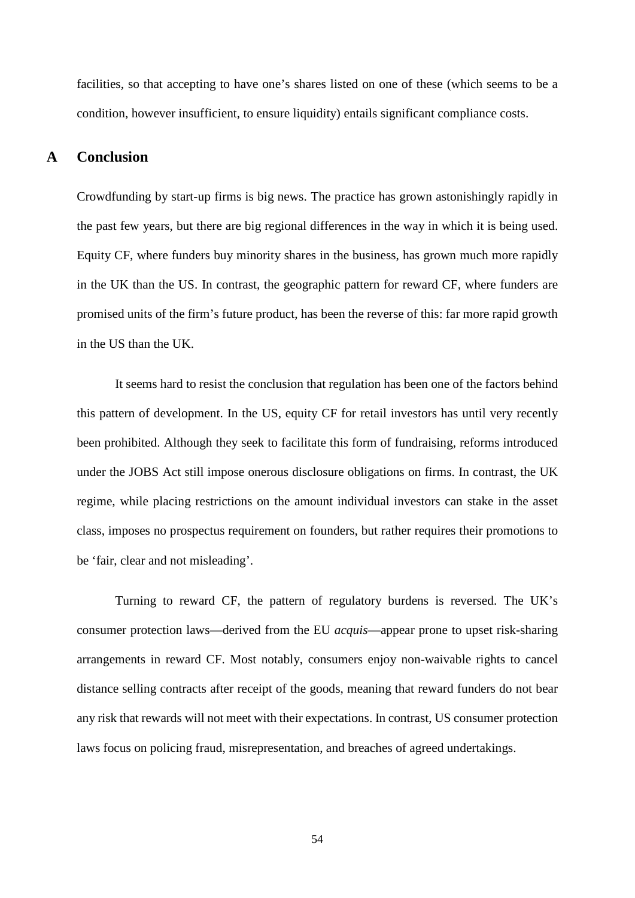facilities, so that accepting to have one's shares listed on one of these (which seems to be a condition, however insufficient, to ensure liquidity) entails significant compliance costs.

#### **A Conclusion**

Crowdfunding by start-up firms is big news. The practice has grown astonishingly rapidly in the past few years, but there are big regional differences in the way in which it is being used. Equity CF, where funders buy minority shares in the business, has grown much more rapidly in the UK than the US. In contrast, the geographic pattern for reward CF, where funders are promised units of the firm's future product, has been the reverse of this: far more rapid growth in the US than the UK.

It seems hard to resist the conclusion that regulation has been one of the factors behind this pattern of development. In the US, equity CF for retail investors has until very recently been prohibited. Although they seek to facilitate this form of fundraising, reforms introduced under the JOBS Act still impose onerous disclosure obligations on firms. In contrast, the UK regime, while placing restrictions on the amount individual investors can stake in the asset class, imposes no prospectus requirement on founders, but rather requires their promotions to be 'fair, clear and not misleading'.

Turning to reward CF, the pattern of regulatory burdens is reversed. The UK's consumer protection laws—derived from the EU *acquis*—appear prone to upset risk-sharing arrangements in reward CF. Most notably, consumers enjoy non-waivable rights to cancel distance selling contracts after receipt of the goods, meaning that reward funders do not bear any risk that rewards will not meet with their expectations. In contrast, US consumer protection laws focus on policing fraud, misrepresentation, and breaches of agreed undertakings.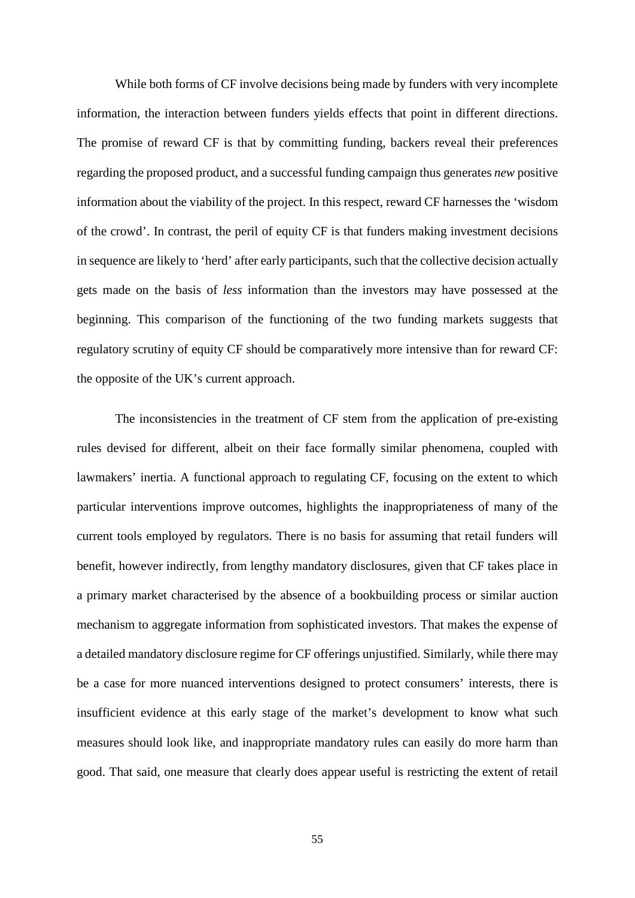While both forms of CF involve decisions being made by funders with very incomplete information, the interaction between funders yields effects that point in different directions. The promise of reward CF is that by committing funding, backers reveal their preferences regarding the proposed product, and a successful funding campaign thus generates *new* positive information about the viability of the project. In this respect, reward CF harnesses the 'wisdom of the crowd'. In contrast, the peril of equity CF is that funders making investment decisions in sequence are likely to 'herd' after early participants, such that the collective decision actually gets made on the basis of *less* information than the investors may have possessed at the beginning. This comparison of the functioning of the two funding markets suggests that regulatory scrutiny of equity CF should be comparatively more intensive than for reward CF: the opposite of the UK's current approach.

The inconsistencies in the treatment of CF stem from the application of pre-existing rules devised for different, albeit on their face formally similar phenomena, coupled with lawmakers' inertia. A functional approach to regulating CF, focusing on the extent to which particular interventions improve outcomes, highlights the inappropriateness of many of the current tools employed by regulators. There is no basis for assuming that retail funders will benefit, however indirectly, from lengthy mandatory disclosures, given that CF takes place in a primary market characterised by the absence of a bookbuilding process or similar auction mechanism to aggregate information from sophisticated investors. That makes the expense of a detailed mandatory disclosure regime for CF offerings unjustified. Similarly, while there may be a case for more nuanced interventions designed to protect consumers' interests, there is insufficient evidence at this early stage of the market's development to know what such measures should look like, and inappropriate mandatory rules can easily do more harm than good. That said, one measure that clearly does appear useful is restricting the extent of retail